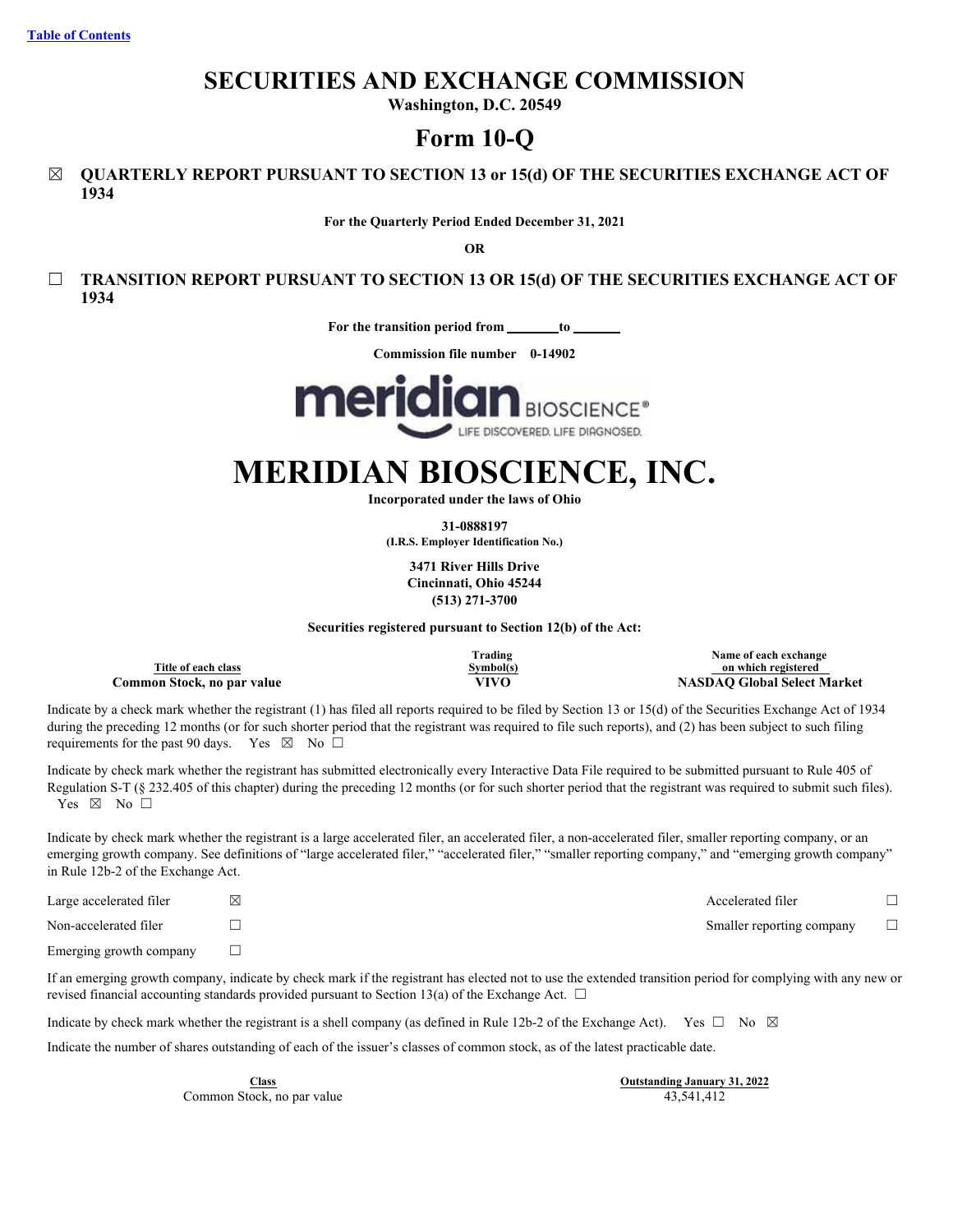# **SECURITIES AND EXCHANGE COMMISSION**

**Washington, D.C. 20549**

# **Form 10-Q**

# ☒ **QUARTERLY REPORT PURSUANT TO SECTION 13 or 15(d) OF THE SECURITIES EXCHANGE ACT OF 1934**

**For the Quarterly Period Ended December 31, 2021**

**OR**

☐ **TRANSITION REPORT PURSUANT TO SECTION 13 OR 15(d) OF THE SECURITIES EXCHANGE ACT OF 1934**

**For the transition period from \_\_\_\_\_\_\_\_to \_\_\_**<br>Commission file number 0-14902



# **MERIDIAN BIOSCIENCE, INC.**

**Incorporated under the laws of Ohio**

**31-0888197**

**(I.R.S. Employer Identification No.)**

**3471 River Hills Drive Cincinnati, Ohio 45244 (513) 271-3700**

**Securities registered pursuant to Section 12(b) of the Act:**

|                                      | Fradıng                   | Name of each exchange              |
|--------------------------------------|---------------------------|------------------------------------|
| l'itle of each class                 | $\mathbf{r}$<br>Svmbol(s) | .<br>on which registered           |
| $\sim$<br>Common Stock, no par value | vivo<br>1 V U             | <b>NASDAO Global Select Market</b> |
|                                      |                           |                                    |

Indicate by a check mark whether the registrant (1) has filed all reports required to be filed by Section 13 or 15(d) of the Securities Exchange Act of 1934 during the preceding 12 months (or for such shorter period that the registrant was required to file such reports), and (2) has been subject to such filing requirements for the past 90 days. Yes  $\boxtimes$  No  $\Box$ 

Indicate by check mark whether the registrant has submitted electronically every Interactive Data File required to be submitted pursuant to Rule 405 of Regulation S-T (§ 232.405 of this chapter) during the preceding 12 months (or for such shorter period that the registrant was required to submit such files). Yes  $\boxtimes$  No  $\square$ 

Indicate by check mark whether the registrant is a large accelerated filer, an accelerated filer, a non-accelerated filer, smaller reporting company, or an emerging growth company. See definitions of "large accelerated filer," "accelerated filer," "smaller reporting company," and "emerging growth company" in Rule 12b-2 of the Exchange Act.

| Large accelerated filer       | ച      | Accelerated filer         |  |
|-------------------------------|--------|---------------------------|--|
| Non-accelerated filer         | –<br>ٮ | Smaller reporting company |  |
| The control concert community |        |                           |  |

Emerging growth company  $\Box$ <br>If an emerging growth company, indicate by check mark if the registrant has elected not to use the extended transition period for complying with any new or revised financial accounting standards provided pursuant to Section 13(a) of the Exchange Act.  $\Box$ 

Indicate by check mark whether the registrant is a shell company (as defined in Rule 12b-2 of the Exchange Act). Yes  $\Box$  No  $\boxtimes$ 

Indicate the number of shares outstanding of each of the issuer's classes of common stock, as of the latest practicable date.

Common Stock, no par value 43,541,412

**Class Outstanding January 31, 2022**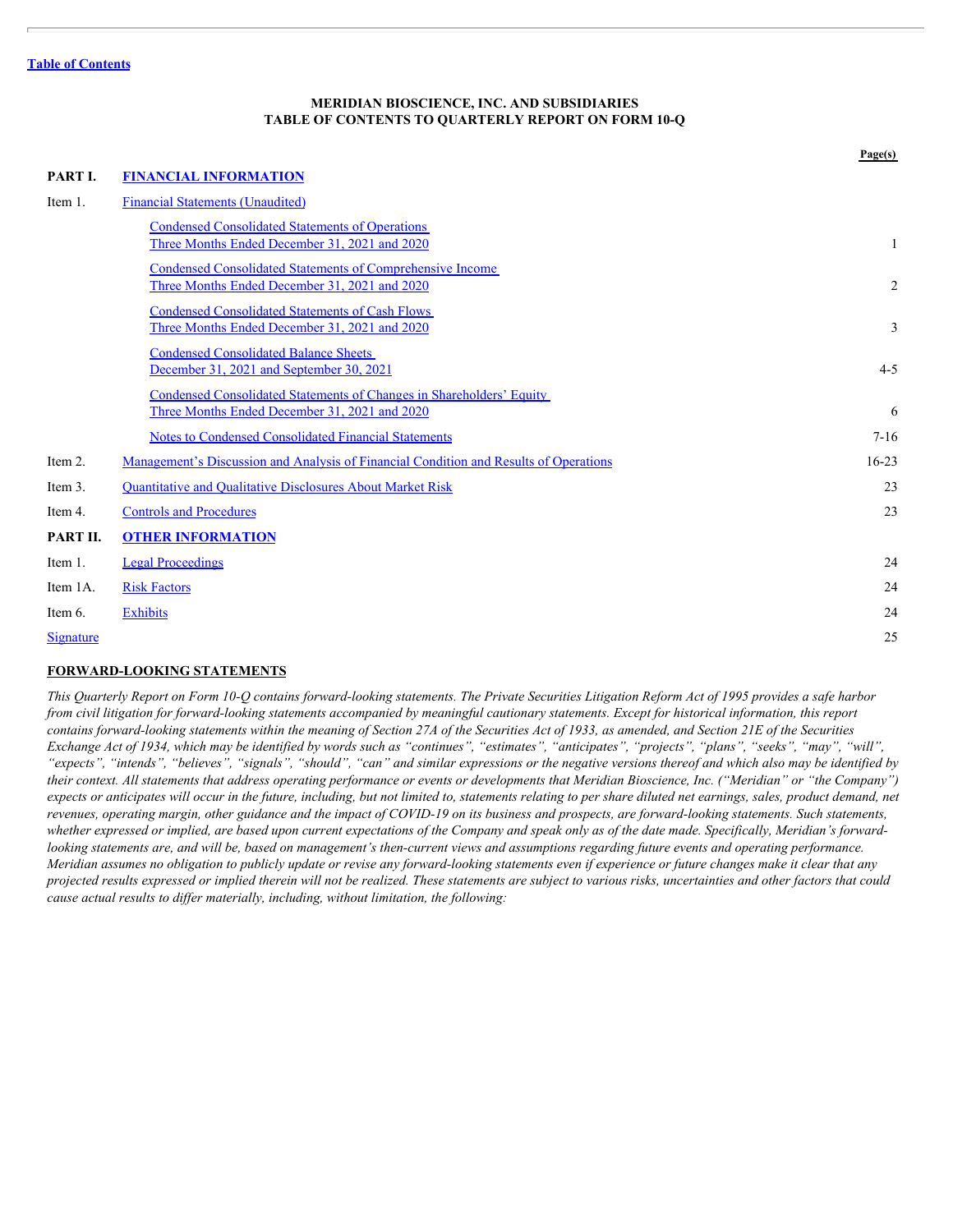#### **MERIDIAN BIOSCIENCE, INC. AND SUBSIDIARIES TABLE OF CONTENTS TO QUARTERLY REPORT ON FORM 10-Q**

|           |                                                                                                                       | Page(s)        |
|-----------|-----------------------------------------------------------------------------------------------------------------------|----------------|
| PART I.   | <b>FINANCIAL INFORMATION</b>                                                                                          |                |
| Item 1.   | <b>Financial Statements (Unaudited)</b>                                                                               |                |
|           | <b>Condensed Consolidated Statements of Operations</b><br>Three Months Ended December 31, 2021 and 2020               |                |
|           | <b>Condensed Consolidated Statements of Comprehensive Income</b><br>Three Months Ended December 31, 2021 and 2020     | $\overline{2}$ |
|           | <b>Condensed Consolidated Statements of Cash Flows</b><br>Three Months Ended December 31, 2021 and 2020               | 3              |
|           | <b>Condensed Consolidated Balance Sheets</b><br>December 31, 2021 and September 30, 2021                              | $4 - 5$        |
|           | Condensed Consolidated Statements of Changes in Shareholders' Equity<br>Three Months Ended December 31, 2021 and 2020 | 6              |
|           | <b>Notes to Condensed Consolidated Financial Statements</b>                                                           | $7 - 16$       |
| Item 2.   | Management's Discussion and Analysis of Financial Condition and Results of Operations                                 | $16-23$        |
| Item 3.   | Quantitative and Qualitative Disclosures About Market Risk                                                            | 23             |
| Item 4.   | <b>Controls and Procedures</b>                                                                                        | 23             |
| PART II.  | <b>OTHER INFORMATION</b>                                                                                              |                |
| Item 1.   | <b>Legal Proceedings</b>                                                                                              | 24             |
| Item 1A.  | <b>Risk Factors</b>                                                                                                   | 24             |
| Item 6.   | <b>Exhibits</b>                                                                                                       | 24             |
| Signature |                                                                                                                       | 25             |
|           |                                                                                                                       |                |

# **FORWARD-LOOKING STATEMENTS**

*This Quarterly Report on Form 10-Q contains forward-looking statements. The Private Securities Litigation Reform Act of 1995 provides a safe harbor from civil litigation for forward-looking statements accompanied by meaningful cautionary statements. Except for historical information, this report contains forward-looking statements within the meaning of Section 27A of the Securities Act of 1933, as amended, and Section 21E of the Securities Exchange Act of 1934, which may be identified by words such as "continues", "estimates", "anticipates", "projects", "plans", "seeks", "may", "will", "expects", "intends", "believes", "signals", "should", "can" and similar expressions or the negative versions thereof and which also may be identified by their context. All statements that address operating performance or events or developments that Meridian Bioscience, Inc. ("Meridian" or "the Company") expects or anticipates will occur in the future, including, but not limited to, statements relating to per share diluted net earnings, sales, product demand, net revenues, operating margin, other guidance and the impact of COVID-19 on its business and prospects, are forward-looking statements. Such statements, whether expressed or implied, are based upon current expectations of the Company and speak only as of the date made. Specifically, Meridian's forwardlooking statements are, and will be, based on management's then-current views and assumptions regarding future events and operating performance. Meridian assumes no obligation to publicly update or revise any forward-looking statements even if experience or future changes make it clear that any projected results expressed or implied therein will not be realized. These statements are subject to various risks, uncertainties and other factors that could cause actual results to differ materially, including, without limitation, the following:*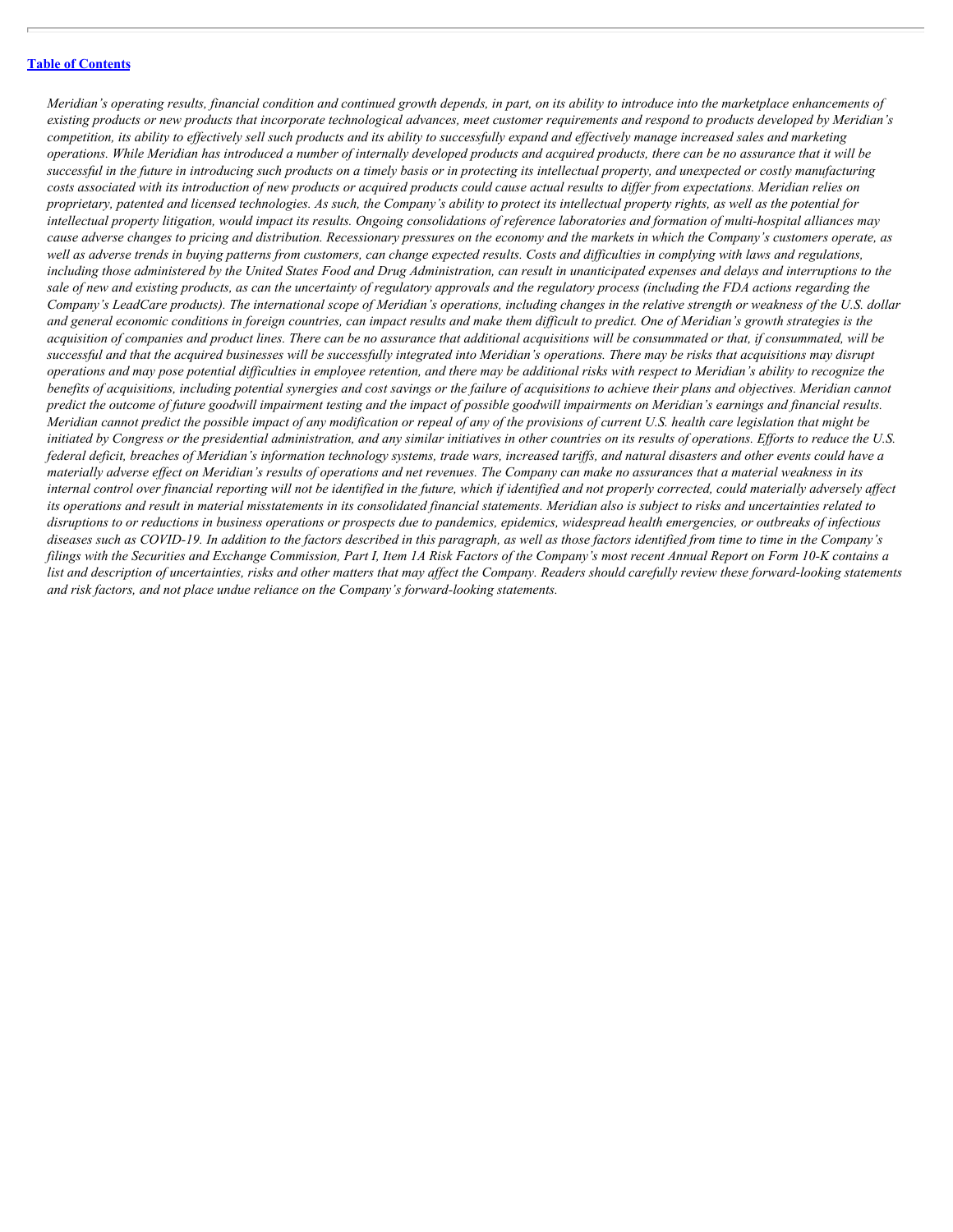#### **Table of Contents**

*Meridian's operating results, financial condition and continued growth depends, in part, on its ability to introduce into the marketplace enhancements of existing products or new products that incorporate technological advances, meet customer requirements and respond to products developed by Meridian's competition, its ability to effectively sell such products and its ability to successfully expand and effectively manage increased sales and marketing operations. While Meridian has introduced a number of internally developed products and acquired products, there can be no assurance that it will be successful in the future in introducing such products on a timely basis or in protecting its intellectual property, and unexpected or costly manufacturing costs associated with its introduction of new products or acquired products could cause actual results to differ from expectations. Meridian relies on proprietary, patented and licensed technologies. As such, the Company's ability to protect its intellectual property rights, as well as the potential for intellectual property litigation, would impact its results. Ongoing consolidations of reference laboratories and formation of multi-hospital alliances may cause adverse changes to pricing and distribution. Recessionary pressures on the economy and the markets in which the Company's customers operate, as well as adverse trends in buying patterns from customers, can change expected results. Costs and difficulties in complying with laws and regulations, including those administered by the United States Food and Drug Administration, can result in unanticipated expenses and delays and interruptions to the sale of new and existing products, as can the uncertainty of regulatory approvals and the regulatory process (including the FDA actions regarding the Company's LeadCare products). The international scope of Meridian's operations, including changes in the relative strength or weakness of the U.S. dollar and general economic conditions in foreign countries, can impact results and make them difficult to predict. One of Meridian's growth strategies is the acquisition of companies and product lines. There can be no assurance that additional acquisitions will be consummated or that, if consummated, will be successful and that the acquired businesses will be successfully integrated into Meridian's operations. There may be risks that acquisitions may disrupt operations and may pose potential difficulties in employee retention, and there may be additional risks with respect to Meridian's ability to recognize the benefits of acquisitions, including potential synergies and cost savings or the failure of acquisitions to achieve their plans and objectives. Meridian cannot predict the outcome of future goodwill impairment testing and the impact of possible goodwill impairments on Meridian's earnings and financial results. Meridian cannot predict the possible impact of any modification or repeal of any of the provisions of current U.S. health care legislation that might be initiated by Congress or the presidential administration, and any similar initiatives in other countries on its results of operations. Efforts to reduce the U.S. federal deficit, breaches of Meridian's information technology systems, trade wars, increased tariffs, and natural disasters and other events could have a materially adverse effect on Meridian's results of operations and net revenues. The Company can make no assurances that a material weakness in its internal control over financial reporting will not be identified in the future, which if identified and not properly corrected, could materially adversely affect its operations and result in material misstatements in its consolidated financial statements. Meridian also is subject to risks and uncertainties related to disruptions to or reductions in business operations or prospects due to pandemics, epidemics, widespread health emergencies, or outbreaks of infectious diseases such as COVID-19. In addition to the factors described in this paragraph, as well as those factors identified from time to time in the Company's filings with the Securities and Exchange Commission, Part I, Item 1A Risk Factors of the Company's most recent Annual Report on Form 10-K contains a list and description of uncertainties, risks and other matters that may affect the Company. Readers should carefully review these forward-looking statements and risk factors, and not place undue reliance on the Company's forward-looking statements.*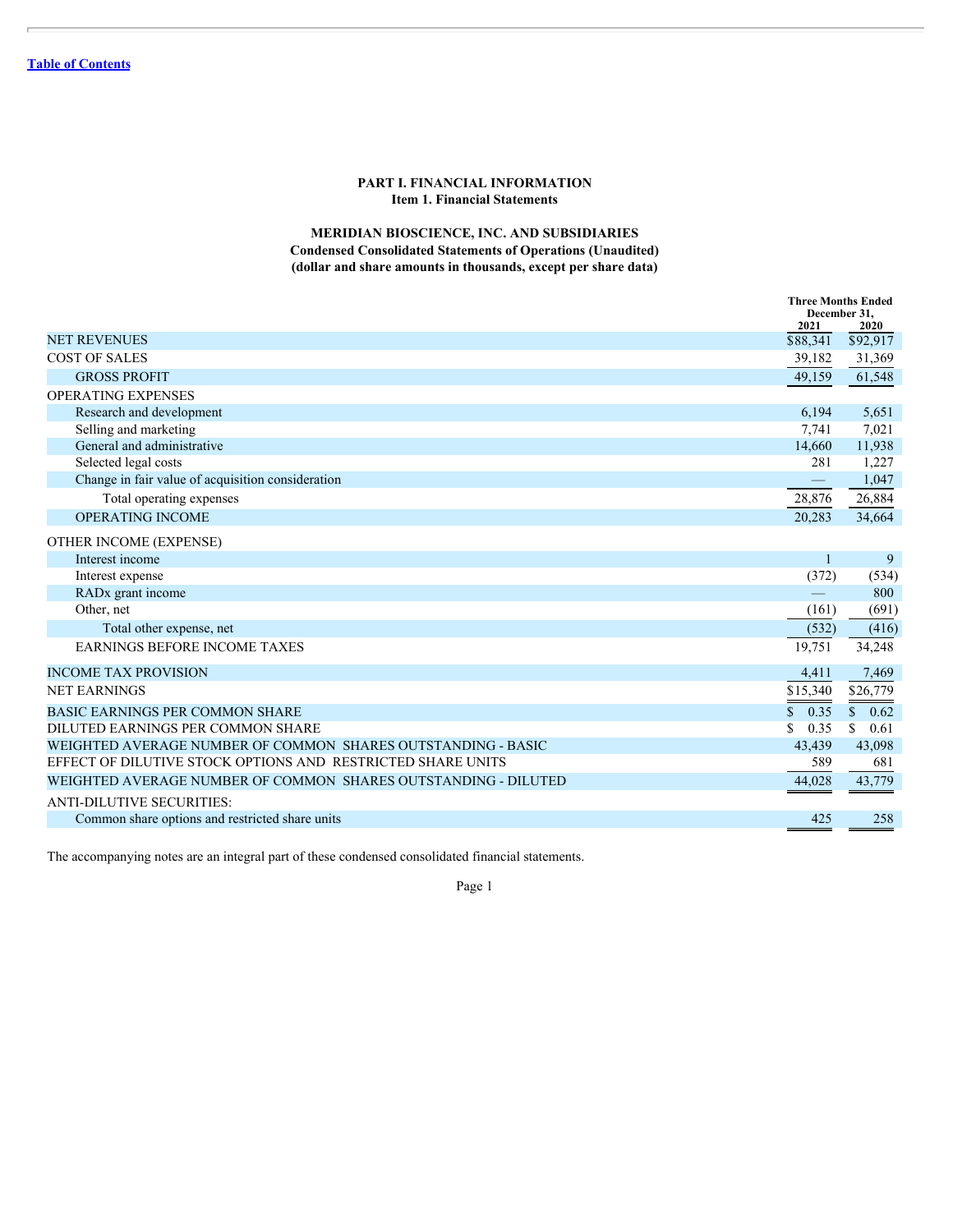# **PART I. FINANCIAL INFORMATION Item 1. Financial Statements**

# **MERIDIAN BIOSCIENCE, INC. AND SUBSIDIARIES Condensed Consolidated Statements of Operations (Unaudited) (dollar and share amounts in thousands, except per share data)**

|                                                                | <b>Three Months Ended</b><br>December 31,<br>2021 | 2020     |
|----------------------------------------------------------------|---------------------------------------------------|----------|
| <b>NET REVENUES</b>                                            | \$88,341                                          | \$92,917 |
| <b>COST OF SALES</b>                                           | 39,182                                            | 31,369   |
| <b>GROSS PROFIT</b>                                            | 49,159                                            | 61,548   |
| <b>OPERATING EXPENSES</b>                                      |                                                   |          |
| Research and development                                       | 6,194                                             | 5,651    |
| Selling and marketing                                          | 7,741                                             | 7,021    |
| General and administrative                                     | 14,660                                            | 11,938   |
| Selected legal costs                                           | 281                                               | 1,227    |
| Change in fair value of acquisition consideration              |                                                   | 1,047    |
| Total operating expenses                                       | 28,876                                            | 26,884   |
| OPERATING INCOME                                               | 20,283                                            | 34,664   |
| OTHER INCOME (EXPENSE)                                         |                                                   |          |
| Interest income                                                |                                                   | 9        |
| Interest expense                                               | (372)                                             | (534)    |
| RAD <sub>x</sub> grant income                                  | $\qquad \qquad -$                                 | 800      |
| Other, net                                                     | (161)                                             | (691)    |
| Total other expense, net                                       | (532)                                             | (416)    |
| <b>EARNINGS BEFORE INCOME TAXES</b>                            | 19,751                                            | 34,248   |
| <b>INCOME TAX PROVISION</b>                                    | 4,411                                             | 7,469    |
| <b>NET EARNINGS</b>                                            | \$15,340                                          | \$26,779 |
| <b>BASIC EARNINGS PER COMMON SHARE</b>                         | 0.35<br>$\mathbb{S}$                              | 0.62     |
| DILUTED EARNINGS PER COMMON SHARE                              | 0.35<br>\$.                                       | 0.61     |
| WEIGHTED AVERAGE NUMBER OF COMMON SHARES OUTSTANDING - BASIC   | 43,439                                            | 43,098   |
| EFFECT OF DILUTIVE STOCK OPTIONS AND RESTRICTED SHARE UNITS    | 589                                               | 681      |
| WEIGHTED AVERAGE NUMBER OF COMMON SHARES OUTSTANDING - DILUTED | 44,028                                            | 43,779   |
| <b>ANTI-DILUTIVE SECURITIES:</b>                               |                                                   |          |
| Common share options and restricted share units                | 425                                               | 258      |
|                                                                |                                                   |          |

The accompanying notes are an integral part of these condensed consolidated financial statements.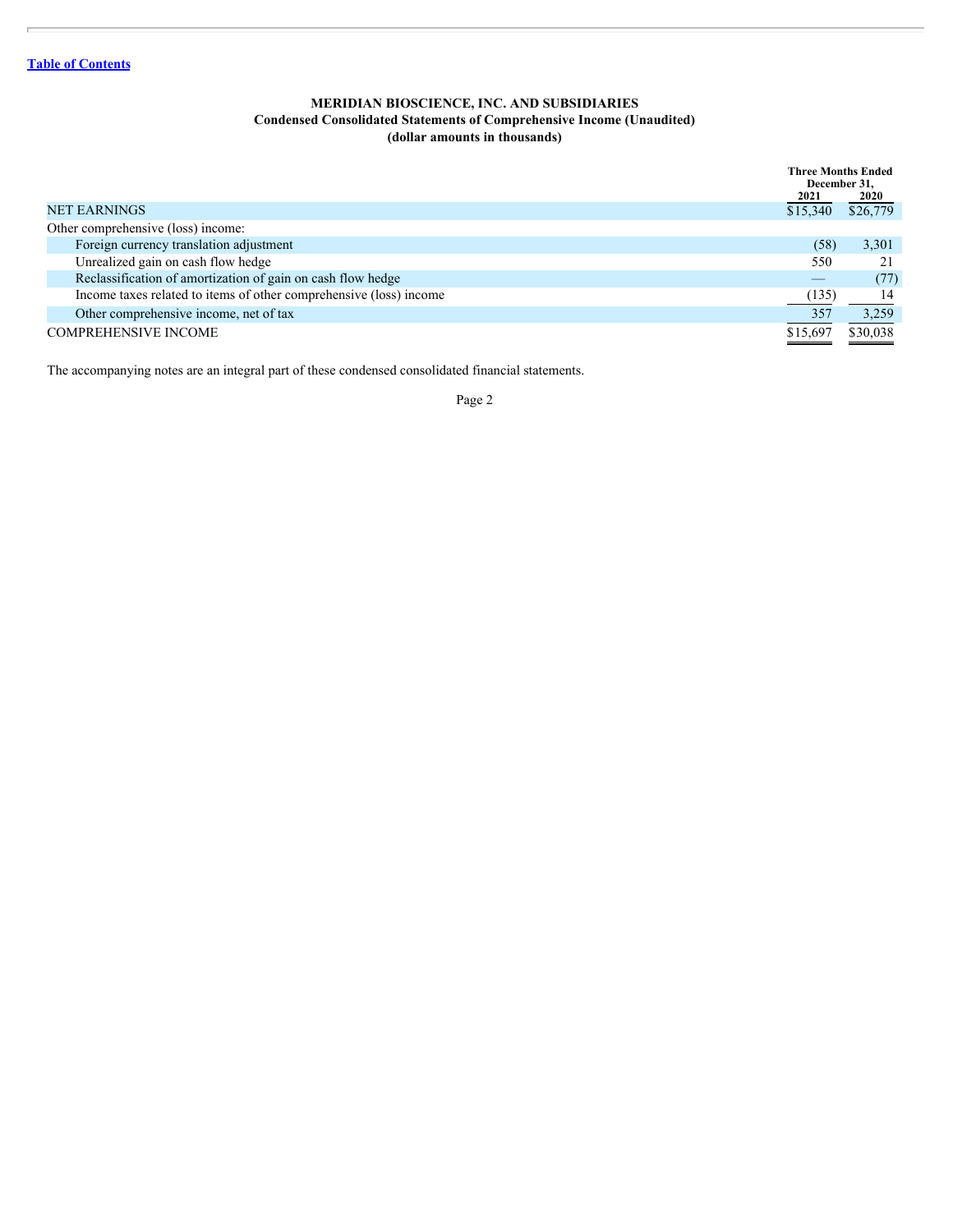# **MERIDIAN BIOSCIENCE, INC. AND SUBSIDIARIES Condensed Consolidated Statements of Comprehensive Income (Unaudited) (dollar amounts in thousands)**

|                                                                    | December 31,<br>2021 | <b>Three Months Ended</b><br><b>2020</b> |
|--------------------------------------------------------------------|----------------------|------------------------------------------|
| NET EARNINGS                                                       |                      | $$15,340$ $$26,779$                      |
| Other comprehensive (loss) income:                                 |                      |                                          |
| Foreign currency translation adjustment                            | (58)                 | 3,301                                    |
| Unrealized gain on cash flow hedge                                 | 550                  | 21                                       |
| Reclassification of amortization of gain on cash flow hedge        | $\hspace{0.05cm}$    | (77)                                     |
| Income taxes related to items of other comprehensive (loss) income | (135)                | 14                                       |
| Other comprehensive income, net of tax                             | 357                  | 3,259                                    |
| <b>COMPREHENSIVE INCOME</b>                                        | \$15,697             | \$30,038                                 |
|                                                                    |                      |                                          |

The accompanying notes are an integral part of these condensed consolidated financial statements.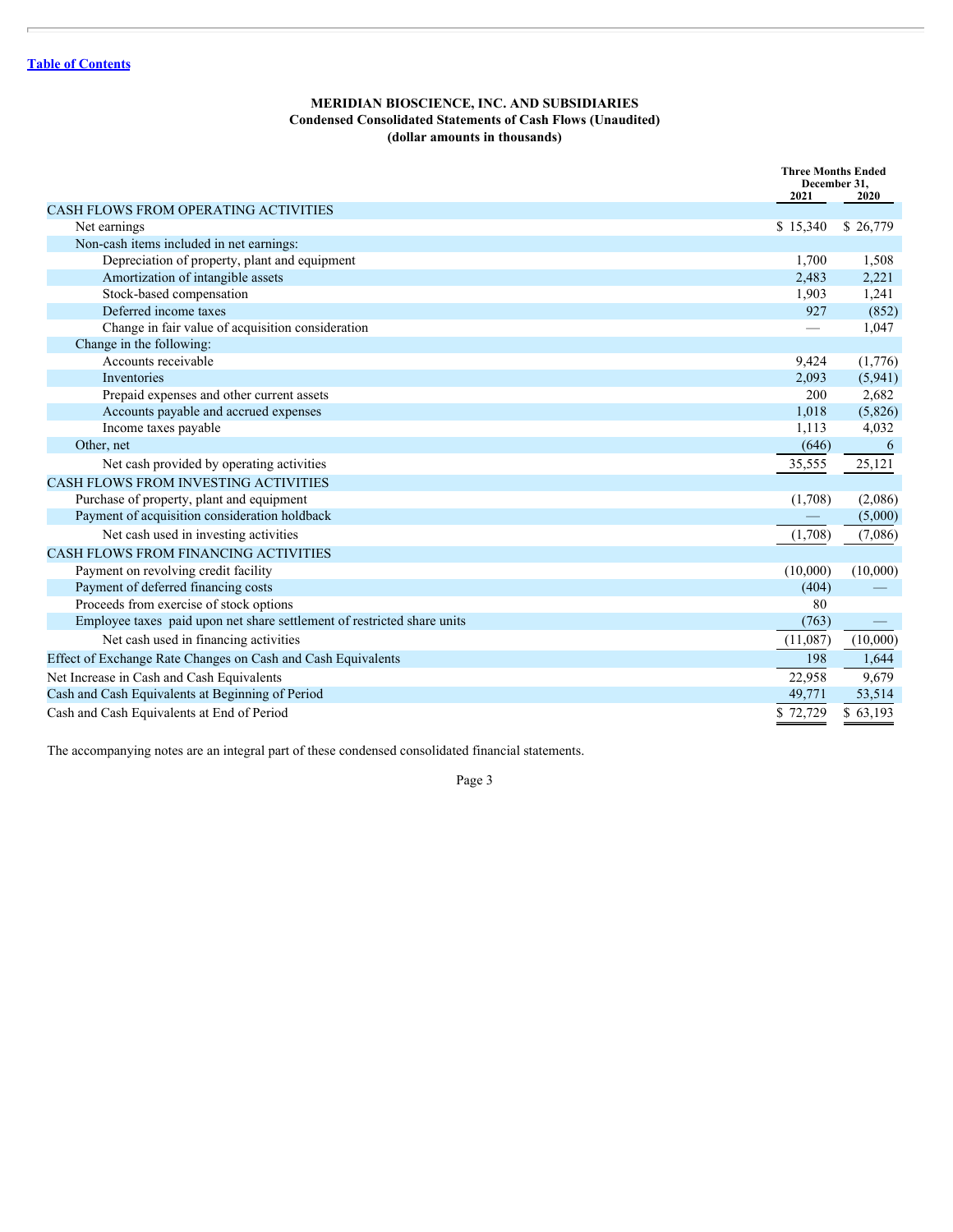# **MERIDIAN BIOSCIENCE, INC. AND SUBSIDIARIES Condensed Consolidated Statements of Cash Flows (Unaudited) (dollar amounts in thousands)**

|                                                                         | <b>Three Months Ended</b><br>December 31,<br>2021 | 2020     |  |
|-------------------------------------------------------------------------|---------------------------------------------------|----------|--|
| <b>CASH FLOWS FROM OPERATING ACTIVITIES</b>                             |                                                   |          |  |
| Net earnings                                                            | \$15,340                                          | \$26,779 |  |
| Non-cash items included in net earnings:                                |                                                   |          |  |
| Depreciation of property, plant and equipment                           | 1,700                                             | 1,508    |  |
| Amortization of intangible assets                                       | 2,483                                             | 2,221    |  |
| Stock-based compensation                                                | 1,903                                             | 1,241    |  |
| Deferred income taxes                                                   | 927                                               | (852)    |  |
| Change in fair value of acquisition consideration                       |                                                   | 1,047    |  |
| Change in the following:                                                |                                                   |          |  |
| Accounts receivable                                                     | 9,424                                             | (1,776)  |  |
| Inventories                                                             | 2,093                                             | (5,941)  |  |
| Prepaid expenses and other current assets                               | 200                                               | 2,682    |  |
| Accounts payable and accrued expenses                                   | 1,018                                             | (5,826)  |  |
| Income taxes payable                                                    | 1,113                                             | 4,032    |  |
| Other, net                                                              | (646)                                             | 6        |  |
| Net cash provided by operating activities                               | 35,555                                            | 25,121   |  |
| <b>CASH FLOWS FROM INVESTING ACTIVITIES</b>                             |                                                   |          |  |
| Purchase of property, plant and equipment                               | (1,708)                                           | (2,086)  |  |
| Payment of acquisition consideration holdback                           |                                                   | (5,000)  |  |
| Net cash used in investing activities                                   | (1,708)                                           | (7,086)  |  |
| <b>CASH FLOWS FROM FINANCING ACTIVITIES</b>                             |                                                   |          |  |
| Payment on revolving credit facility                                    | (10,000)                                          | (10,000) |  |
| Payment of deferred financing costs                                     | (404)                                             |          |  |
| Proceeds from exercise of stock options                                 | 80                                                |          |  |
| Employee taxes paid upon net share settlement of restricted share units | (763)                                             |          |  |
| Net cash used in financing activities                                   | (11,087)                                          | (10,000) |  |
| Effect of Exchange Rate Changes on Cash and Cash Equivalents            | 198                                               | 1,644    |  |
| Net Increase in Cash and Cash Equivalents                               | 22,958                                            | 9,679    |  |
| Cash and Cash Equivalents at Beginning of Period                        | 49,771                                            | 53,514   |  |
| Cash and Cash Equivalents at End of Period                              |                                                   | \$63,193 |  |
|                                                                         | \$72,729                                          |          |  |

The accompanying notes are an integral part of these condensed consolidated financial statements.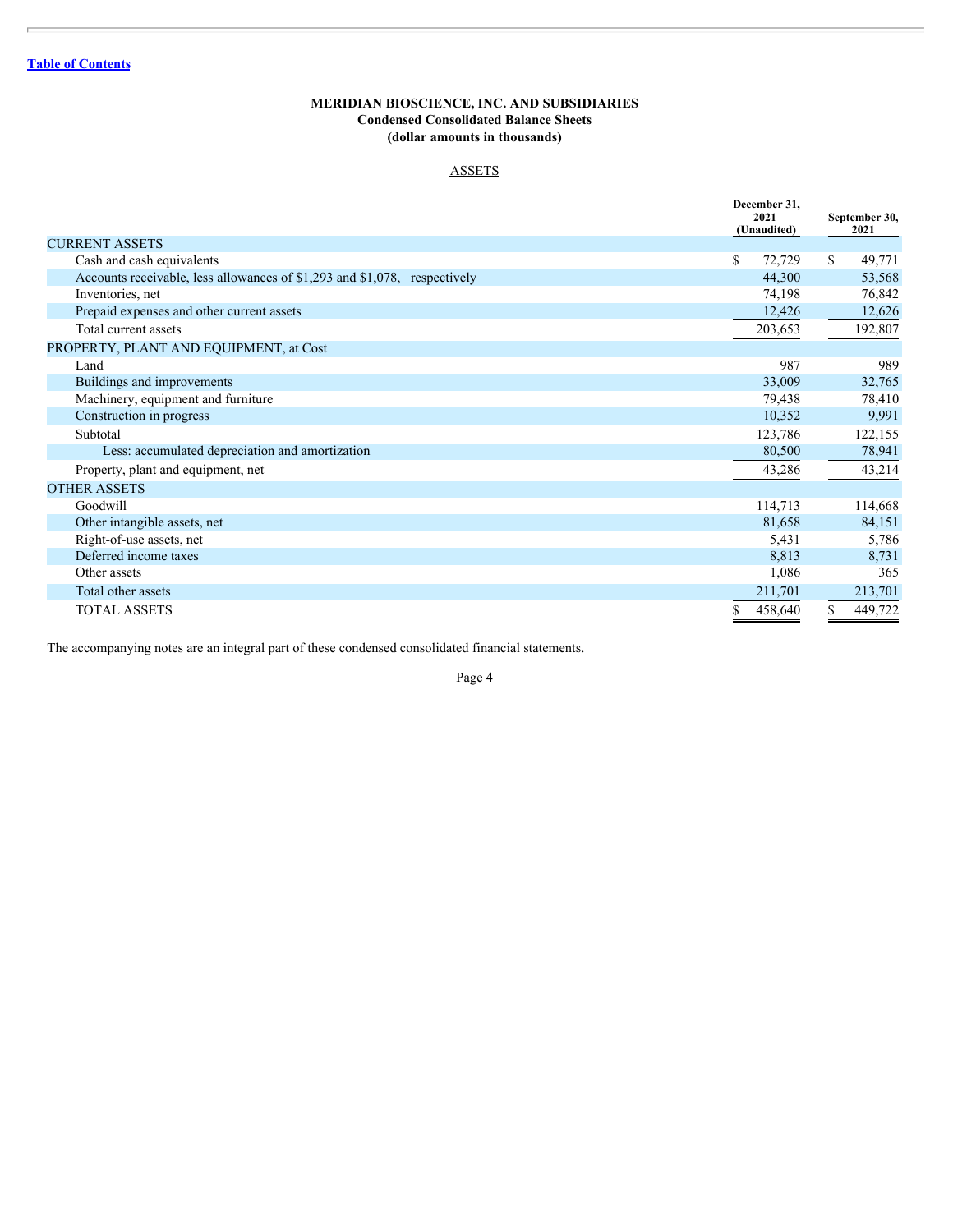# **MERIDIAN BIOSCIENCE, INC. AND SUBSIDIARIES Condensed Consolidated Balance Sheets (dollar amounts in thousands)**

# **ASSETS**

|                                                                           | December 31,<br>2021<br>(Unaudited) | September 30,<br>2021 |  |
|---------------------------------------------------------------------------|-------------------------------------|-----------------------|--|
| <b>CURRENT ASSETS</b>                                                     |                                     |                       |  |
| Cash and cash equivalents                                                 | 72,729                              | 49,771<br>S.          |  |
| Accounts receivable, less allowances of \$1,293 and \$1,078, respectively | 44,300                              | 53,568                |  |
| Inventories, net                                                          | 74,198                              | 76,842                |  |
| Prepaid expenses and other current assets                                 | 12,426                              | 12,626                |  |
| Total current assets                                                      | 203,653                             | 192,807               |  |
| PROPERTY, PLANT AND EQUIPMENT, at Cost                                    |                                     |                       |  |
| Land                                                                      | 987                                 | 989                   |  |
| Buildings and improvements                                                | 33,009                              | 32,765                |  |
| Machinery, equipment and furniture                                        | 79,438                              | 78,410                |  |
| Construction in progress                                                  | 10,352                              | 9,991                 |  |
| Subtotal                                                                  | 123,786                             | 122,155               |  |
| Less: accumulated depreciation and amortization                           | 80,500                              | 78,941                |  |
| Property, plant and equipment, net                                        | 43,286                              | 43,214                |  |
| <b>OTHER ASSETS</b>                                                       |                                     |                       |  |
| Goodwill                                                                  | 114,713                             | 114,668               |  |
| Other intangible assets, net                                              | 81,658                              | 84,151                |  |
| Right-of-use assets, net                                                  | 5,431                               | 5,786                 |  |
| Deferred income taxes                                                     | 8,813                               | 8,731                 |  |
| Other assets                                                              | 1,086                               | 365                   |  |
| Total other assets                                                        | 211,701                             | 213,701               |  |
| <b>TOTAL ASSETS</b>                                                       | 458,640                             | 449,722               |  |
|                                                                           |                                     |                       |  |

The accompanying notes are an integral part of these condensed consolidated financial statements.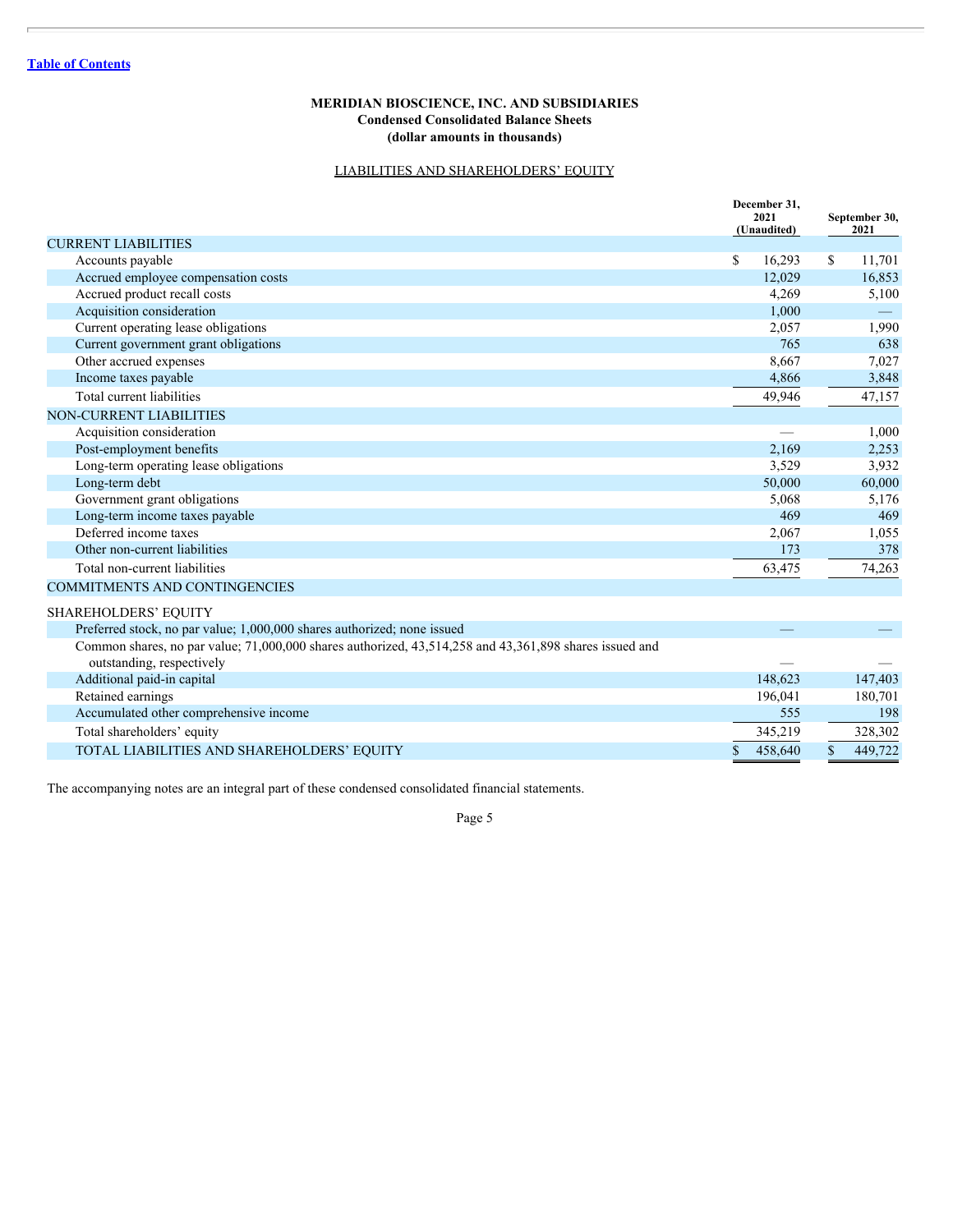# **MERIDIAN BIOSCIENCE, INC. AND SUBSIDIARIES Condensed Consolidated Balance Sheets (dollar amounts in thousands)**

# LIABILITIES AND SHAREHOLDERS' EQUITY

|                                                                                                        |    | December 31,<br>2021<br>(Unaudited) |    | September 30,<br>2021    |  |
|--------------------------------------------------------------------------------------------------------|----|-------------------------------------|----|--------------------------|--|
| <b>CURRENT LIABILITIES</b>                                                                             |    |                                     |    |                          |  |
| Accounts payable                                                                                       | \$ | 16,293                              | \$ | 11,701                   |  |
| Accrued employee compensation costs                                                                    |    | 12,029                              |    | 16,853                   |  |
| Accrued product recall costs                                                                           |    | 4,269                               |    | 5,100                    |  |
| Acquisition consideration                                                                              |    | 1,000                               |    | $\overline{\phantom{m}}$ |  |
| Current operating lease obligations                                                                    |    | 2,057                               |    | 1,990                    |  |
| Current government grant obligations                                                                   |    | 765                                 |    | 638                      |  |
| Other accrued expenses                                                                                 |    | 8,667                               |    | 7,027                    |  |
| Income taxes payable                                                                                   |    | 4,866                               |    | 3,848                    |  |
| Total current liabilities                                                                              |    | 49,946                              |    | 47,157                   |  |
| <b>NON-CURRENT LIABILITIES</b>                                                                         |    |                                     |    |                          |  |
| Acquisition consideration                                                                              |    |                                     |    | 1,000                    |  |
| Post-employment benefits                                                                               |    | 2,169                               |    | 2,253                    |  |
| Long-term operating lease obligations                                                                  |    | 3,529                               |    | 3,932                    |  |
| Long-term debt                                                                                         |    | 50,000                              |    | 60,000                   |  |
| Government grant obligations                                                                           |    | 5,068                               |    | 5,176                    |  |
| Long-term income taxes payable                                                                         |    | 469                                 |    | 469                      |  |
| Deferred income taxes                                                                                  |    | 2,067                               |    | 1,055                    |  |
| Other non-current liabilities                                                                          |    | 173                                 |    | 378                      |  |
| Total non-current liabilities                                                                          |    | 63,475                              |    | 74,263                   |  |
| <b>COMMITMENTS AND CONTINGENCIES</b>                                                                   |    |                                     |    |                          |  |
| SHAREHOLDERS' EQUITY                                                                                   |    |                                     |    |                          |  |
| Preferred stock, no par value; 1,000,000 shares authorized; none issued                                |    |                                     |    |                          |  |
| Common shares, no par value; 71,000,000 shares authorized, 43,514,258 and 43,361,898 shares issued and |    |                                     |    |                          |  |
| outstanding, respectively                                                                              |    |                                     |    |                          |  |
| Additional paid-in capital                                                                             |    | 148,623                             |    | 147,403                  |  |
| Retained earnings                                                                                      |    | 196.041                             |    | 180.701                  |  |

Accumulated other comprehensive income 555 198 Total shareholders' equity 328,302 TOTAL LIABILITIES AND SHAREHOLDERS' EQUITY S 458,640 \$ 449,722

The accompanying notes are an integral part of these condensed consolidated financial statements.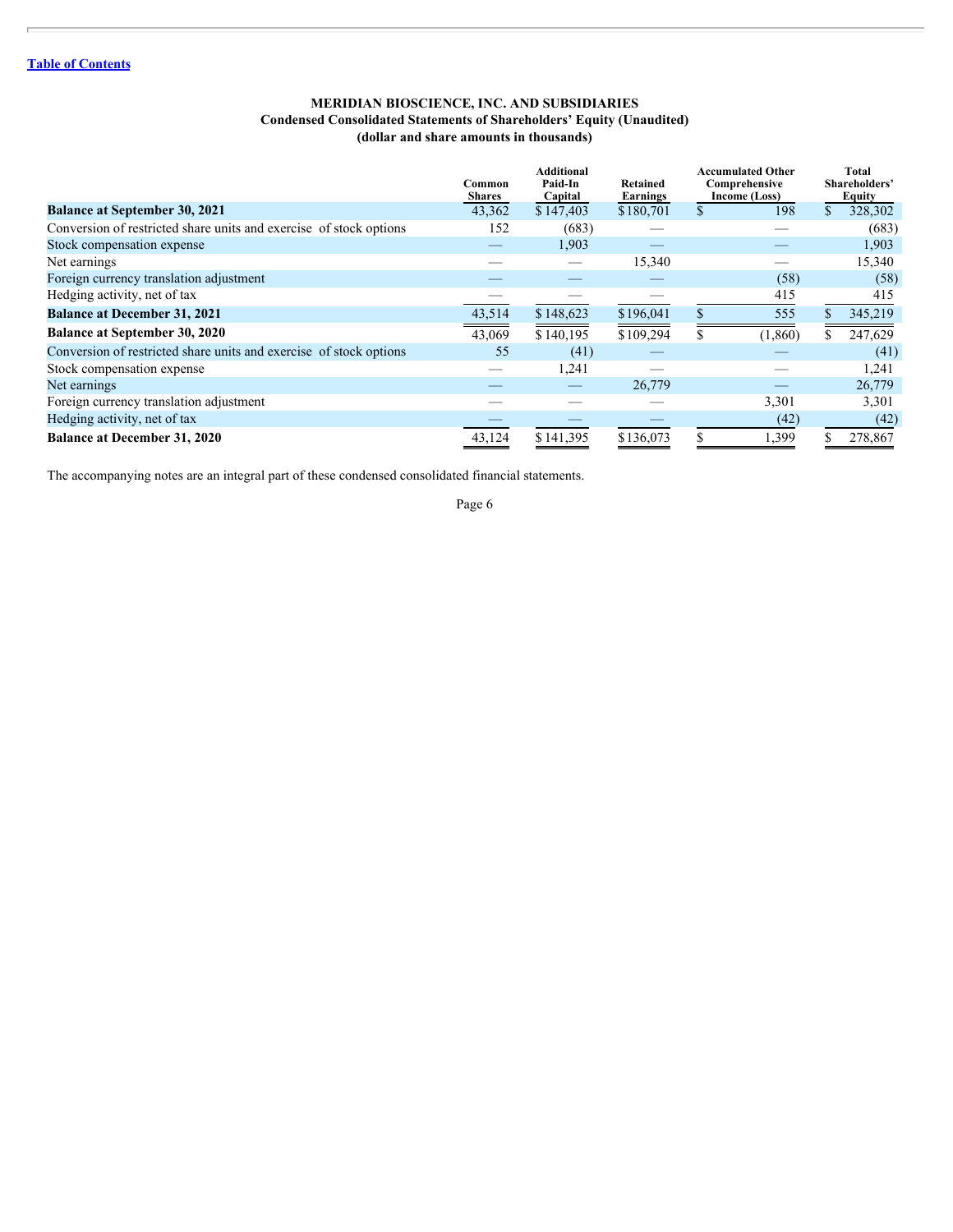# **MERIDIAN BIOSCIENCE, INC. AND SUBSIDIARIES Condensed Consolidated Statements of Shareholders' Equity (Unaudited) (dollar and share amounts in thousands)**

|                                                                    | Common<br><b>Shares</b> | <b>Additional</b><br>Paid-In<br>Capital | Retained<br>Earnings | <b>Accumulated Other</b><br>Comprehensive<br>Income (Loss) | Total<br>Shareholders'<br>Equity |
|--------------------------------------------------------------------|-------------------------|-----------------------------------------|----------------------|------------------------------------------------------------|----------------------------------|
| <b>Balance at September 30, 2021</b>                               | 43,362                  | \$147,403                               | \$180,701            | 198                                                        | 328,302                          |
| Conversion of restricted share units and exercise of stock options | 152                     | (683)                                   |                      |                                                            | (683)                            |
| Stock compensation expense                                         |                         | 1,903                                   | __                   | $\overline{\phantom{a}}$                                   | 1,903                            |
| Net earnings                                                       |                         |                                         | 15,340               |                                                            | 15,340                           |
| Foreign currency translation adjustment                            |                         |                                         |                      | (58)                                                       | (58)                             |
| Hedging activity, net of tax                                       |                         |                                         |                      | 415                                                        | 415                              |
| <b>Balance at December 31, 2021</b>                                | 43,514                  | \$148,623                               | \$196,041            | 555                                                        | 345,219                          |
| <b>Balance at September 30, 2020</b>                               | 43,069                  | \$140,195                               | \$109,294            | (1, 860)                                                   | 247,629                          |
| Conversion of restricted share units and exercise of stock options | 55                      | (41)                                    | $-$                  |                                                            | (41)                             |
| Stock compensation expense                                         |                         | 1,241                                   |                      |                                                            | 1,241                            |
| Net earnings                                                       |                         | $\overline{\phantom{0}}$                | 26,779               |                                                            | 26,779                           |
| Foreign currency translation adjustment                            |                         |                                         |                      | 3,301                                                      | 3,301                            |
| Hedging activity, net of tax                                       |                         |                                         |                      | (42)                                                       | (42)                             |
| <b>Balance at December 31, 2020</b>                                | 43,124                  | \$141,395                               | \$136,073            | 1,399                                                      | 278,867                          |

The accompanying notes are an integral part of these condensed consolidated financial statements.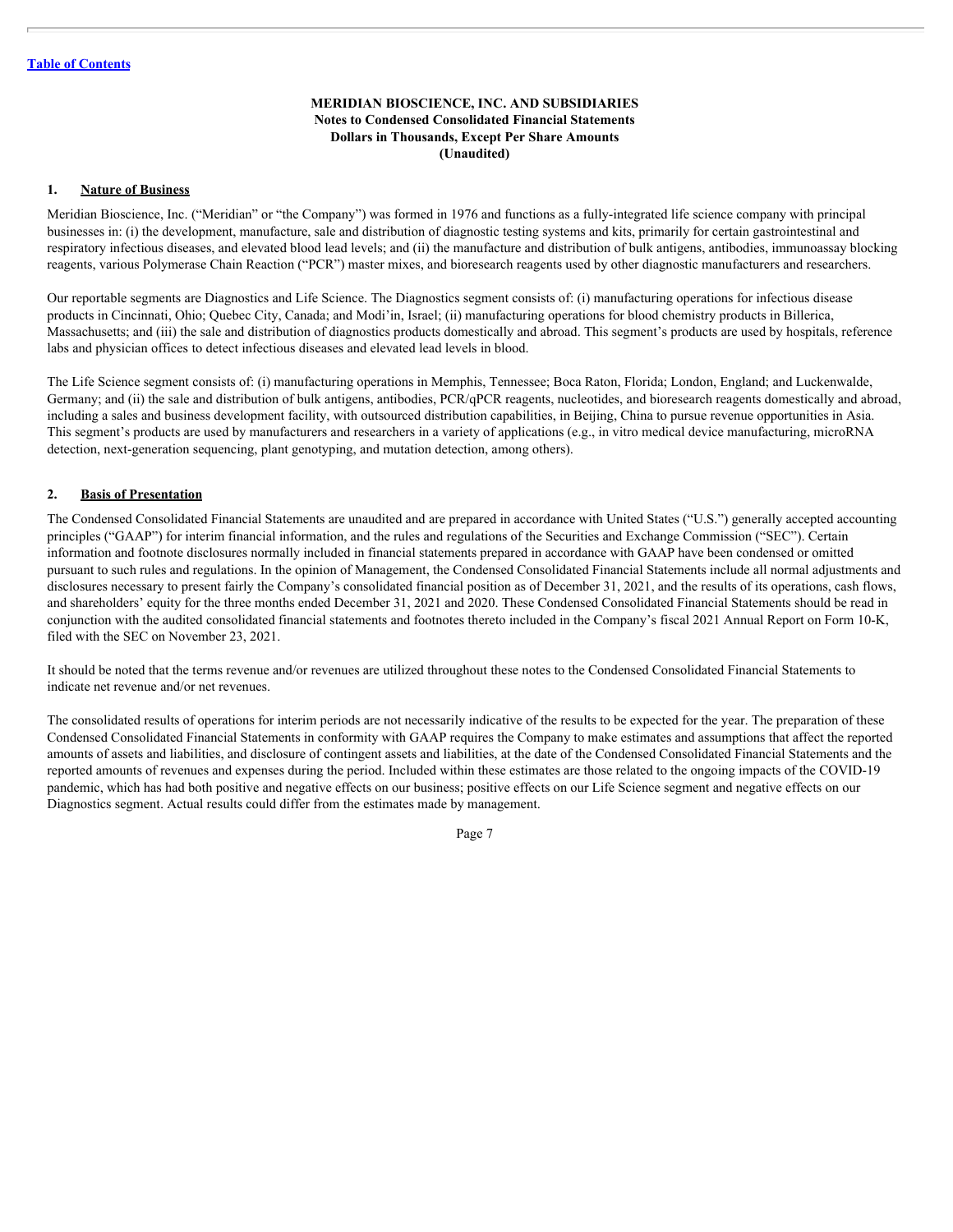# **MERIDIAN BIOSCIENCE, INC. AND SUBSIDIARIES Notes to Condensed Consolidated Financial Statements Dollars in Thousands, Except Per Share Amounts (Unaudited)**

# **1. Nature of Business**

Meridian Bioscience, Inc. ("Meridian" or "the Company") was formed in 1976 and functions as a fully-integrated life science company with principal businesses in: (i) the development, manufacture, sale and distribution of diagnostic testing systems and kits, primarily for certain gastrointestinal and respiratory infectious diseases, and elevated blood lead levels; and (ii) the manufacture and distribution of bulk antigens, antibodies, immunoassay blocking reagents, various Polymerase Chain Reaction ("PCR") master mixes, and bioresearch reagents used by other diagnostic manufacturers and researchers.

Our reportable segments are Diagnostics and Life Science. The Diagnostics segment consists of: (i) manufacturing operations for infectious disease products in Cincinnati, Ohio; Quebec City, Canada; and Modi'in, Israel; (ii) manufacturing operations for blood chemistry products in Billerica, Massachusetts; and (iii) the sale and distribution of diagnostics products domestically and abroad. This segment's products are used by hospitals, reference labs and physician offices to detect infectious diseases and elevated lead levels in blood.

The Life Science segment consists of: (i) manufacturing operations in Memphis, Tennessee; Boca Raton, Florida; London, England; and Luckenwalde, Germany; and (ii) the sale and distribution of bulk antigens, antibodies, PCR/qPCR reagents, nucleotides, and bioresearch reagents domestically and abroad, including a sales and business development facility, with outsourced distribution capabilities, in Beijing, China to pursue revenue opportunities in Asia. This segment's products are used by manufacturers and researchers in a variety of applications (e.g., in vitro medical device manufacturing, microRNA detection, next-generation sequencing, plant genotyping, and mutation detection, among others).

# **2. Basis of Presentation**

The Condensed Consolidated Financial Statements are unaudited and are prepared in accordance with United States ("U.S.") generally accepted accounting principles ("GAAP") for interim financial information, and the rules and regulations of the Securities and Exchange Commission ("SEC"). Certain information and footnote disclosures normally included in financial statements prepared in accordance with GAAP have been condensed or omitted pursuant to such rules and regulations. In the opinion of Management, the Condensed Consolidated Financial Statements include all normal adjustments and disclosures necessary to present fairly the Company's consolidated financial position as of December 31, 2021, and the results of its operations, cash flows, and shareholders' equity for the three months ended December 31, 2021 and 2020. These Condensed Consolidated Financial Statements should be read in conjunction with the audited consolidated financial statements and footnotes thereto included in the Company's fiscal 2021 Annual Report on Form 10-K, filed with the SEC on November 23, 2021.

It should be noted that the terms revenue and/or revenues are utilized throughout these notes to the Condensed Consolidated Financial Statements to indicate net revenue and/or net revenues.

The consolidated results of operations for interim periods are not necessarily indicative of the results to be expected for the year. The preparation of these Condensed Consolidated Financial Statements in conformity with GAAP requires the Company to make estimates and assumptions that affect the reported amounts of assets and liabilities, and disclosure of contingent assets and liabilities, at the date of the Condensed Consolidated Financial Statements and the reported amounts of revenues and expenses during the period. Included within these estimates are those related to the ongoing impacts of the COVID-19 pandemic, which has had both positive and negative effects on our business; positive effects on our Life Science segment and negative effects on our Diagnostics segment. Actual results could differ from the estimates made by management.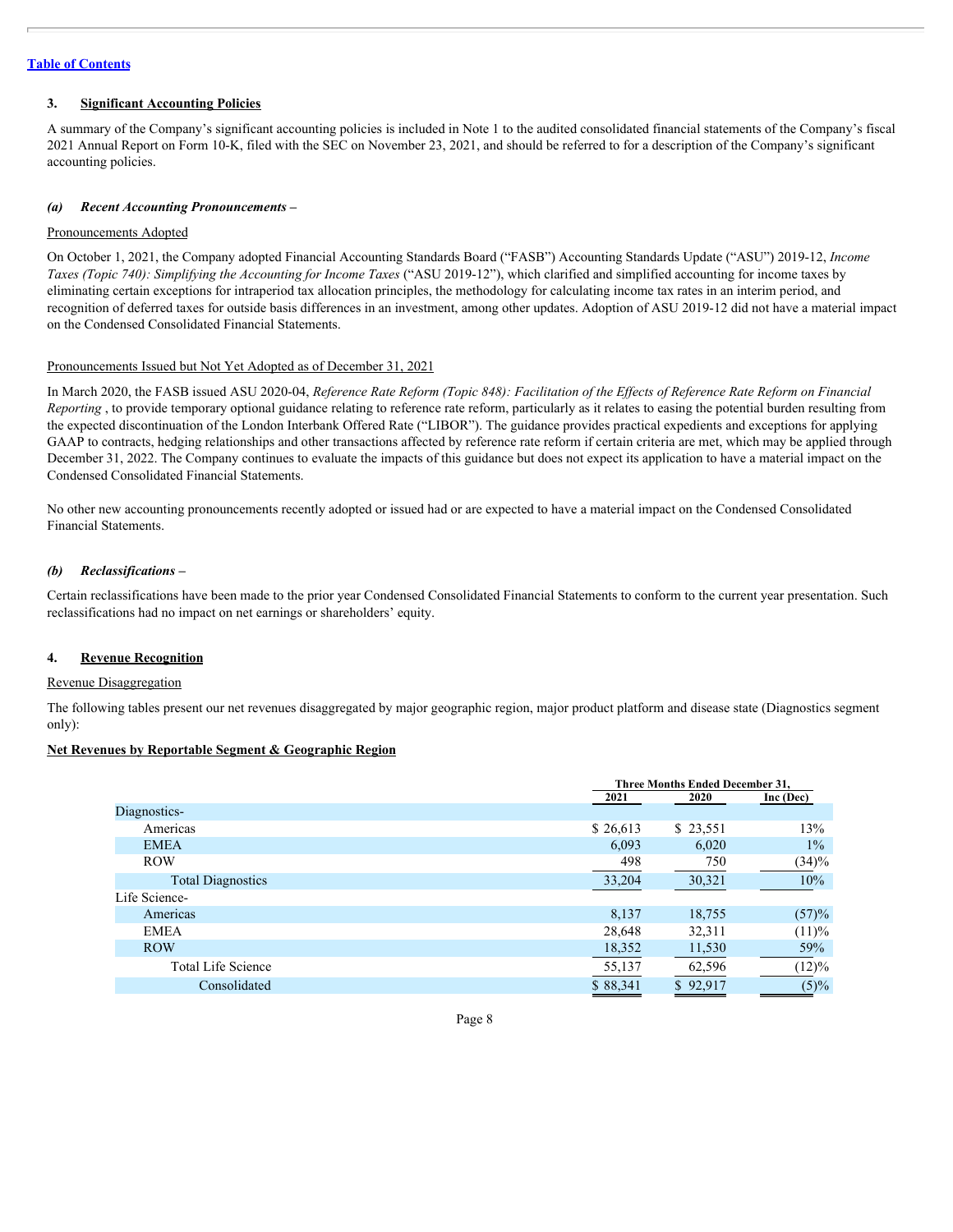#### **3. Significant Accounting Policies**

A summary of the Company's significant accounting policies is included in Note 1 to the audited consolidated financial statements of the Company's fiscal 2021 Annual Report on Form 10-K, filed with the SEC on November 23, 2021, and should be referred to for a description of the Company's significant accounting policies.

#### *(a) Recent Accounting Pronouncements –*

#### Pronouncements Adopted

On October 1, 2021, the Company adopted Financial Accounting Standards Board ("FASB") Accounting Standards Update ("ASU") 2019-12, *Income Taxes (Topic 740): Simplifying the Accounting for Income Taxes* ("ASU 2019-12"), which clarified and simplified accounting for income taxes by eliminating certain exceptions for intraperiod tax allocation principles, the methodology for calculating income tax rates in an interim period, and recognition of deferred taxes for outside basis differences in an investment, among other updates. Adoption of ASU 2019-12 did not have a material impact on the Condensed Consolidated Financial Statements.

#### Pronouncements Issued but Not Yet Adopted as of December 31, 2021

In March 2020, the FASB issued ASU 2020-04, *Reference Rate Reform (Topic 848): Facilitation of the Effects of Reference Rate Reform on Financial Reporting* , to provide temporary optional guidance relating to reference rate reform, particularly as it relates to easing the potential burden resulting from the expected discontinuation of the London Interbank Offered Rate ("LIBOR"). The guidance provides practical expedients and exceptions for applying GAAP to contracts, hedging relationships and other transactions affected by reference rate reform if certain criteria are met, which may be applied through December 31, 2022. The Company continues to evaluate the impacts of this guidance but does not expect its application to have a material impact on the Condensed Consolidated Financial Statements.

No other new accounting pronouncements recently adopted or issued had or are expected to have a material impact on the Condensed Consolidated Financial Statements.

#### *(b) Reclassifications –*

Certain reclassifications have been made to the prior year Condensed Consolidated Financial Statements to conform to the current year presentation. Such reclassifications had no impact on net earnings or shareholders' equity.

# **4. Revenue Recognition**

#### Revenue Disaggregation

The following tables present our net revenues disaggregated by major geographic region, major product platform and disease state (Diagnostics segment only):

# **Net Revenues by Reportable Segment & Geographic Region**

|                          |          | Three Months Ended December 31, |           |  |  |  |
|--------------------------|----------|---------------------------------|-----------|--|--|--|
|                          | 2021     | 2020                            | Inc (Dec) |  |  |  |
| Diagnostics-             |          |                                 |           |  |  |  |
| Americas                 | \$26,613 | \$23,551                        | 13%       |  |  |  |
| <b>EMEA</b>              | 6,093    | 6,020                           | $1\%$     |  |  |  |
| <b>ROW</b>               | 498      | 750                             | (34)%     |  |  |  |
| <b>Total Diagnostics</b> | 33,204   | 30,321                          | 10%       |  |  |  |
| Life Science-            |          |                                 |           |  |  |  |
| Americas                 | 8,137    | 18,755                          | (57)%     |  |  |  |
| <b>EMEA</b>              | 28,648   | 32,311                          | (11)%     |  |  |  |
| <b>ROW</b>               | 18,352   | 11,530                          | 59%       |  |  |  |
| Total Life Science       | 55,137   | 62,596                          | $(12)\%$  |  |  |  |
| Consolidated             | \$88,341 | \$92,917                        | $(5)\%$   |  |  |  |
|                          |          |                                 |           |  |  |  |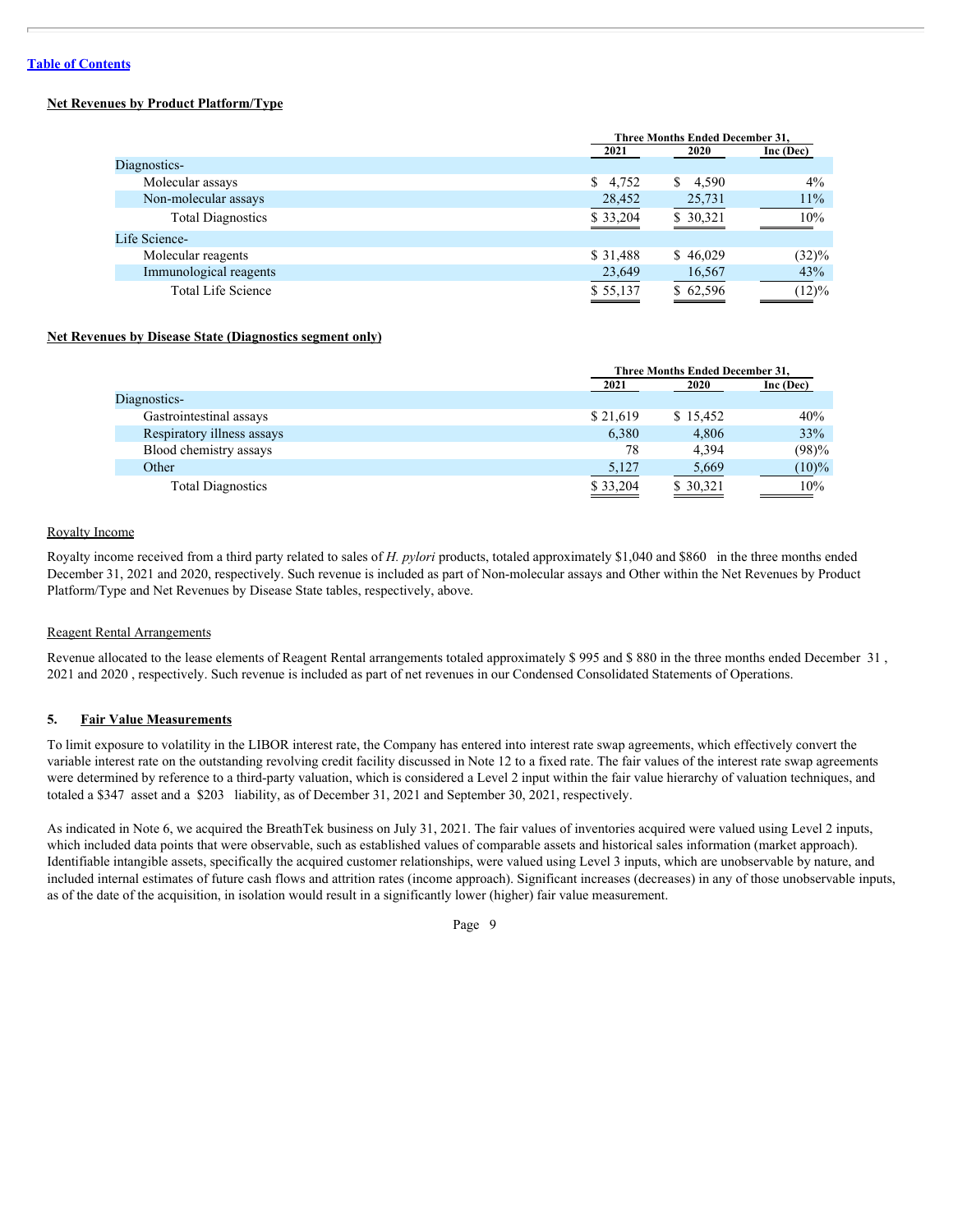#### **Table of Contents**

#### **Net Revenues by Product Platform/Type**

|                           |           | <b>Three Months Ended December 31,</b> |           |  |  |  |
|---------------------------|-----------|----------------------------------------|-----------|--|--|--|
|                           | 2021      | 2020                                   | Inc (Dec) |  |  |  |
| Diagnostics-              |           |                                        |           |  |  |  |
| Molecular assays          | \$4,752   | \$4,590                                | 4%        |  |  |  |
| Non-molecular assays      | 28,452    | 25,731                                 | 11%       |  |  |  |
| <b>Total Diagnostics</b>  | \$33,204  | \$ 30,321                              | 10%       |  |  |  |
| Life Science-             |           |                                        |           |  |  |  |
| Molecular reagents        | \$ 31,488 | \$46,029                               | (32)%     |  |  |  |
| Immunological reagents    | 23,649    | 16,567                                 | 43%       |  |  |  |
| <b>Total Life Science</b> | \$55,137  | \$62,596                               | (12)%     |  |  |  |
|                           |           |                                        |           |  |  |  |

#### **Net Revenues by Disease State (Diagnostics segment only)**

|                            |          | <b>Three Months Ended December 31.</b> |           |  |  |  |
|----------------------------|----------|----------------------------------------|-----------|--|--|--|
|                            | 2021     | <b>2020</b>                            | Inc (Dec) |  |  |  |
| Diagnostics-               |          |                                        |           |  |  |  |
| Gastrointestinal assays    | \$21,619 | \$15,452                               | 40%       |  |  |  |
| Respiratory illness assays | 6,380    | 4,806                                  | 33%       |  |  |  |
| Blood chemistry assays     | 78       | 4,394                                  | (98)%     |  |  |  |
| Other                      | 5,127    | 5,669                                  | $(10)\%$  |  |  |  |
| <b>Total Diagnostics</b>   | \$33,204 | \$ 30,321                              | 10%       |  |  |  |

#### Royalty Income

Royalty income received from a third party related to sales of *H. pylori* products, totaled approximately \$1,040 and \$860 in the three months ended December 31, 2021 and 2020, respectively. Such revenue is included as part of Non-molecular assays and Other within the Net Revenues by Product Platform/Type and Net Revenues by Disease State tables, respectively, above.

#### Reagent Rental Arrangements

Revenue allocated to the lease elements of Reagent Rental arrangements totaled approximately \$995 and \$880 in the three months ended December 31, 2021 and 2020 , respectively. Such revenue is included as part of net revenues in our Condensed Consolidated Statements of Operations.

#### **5. Fair Value Measurements**

To limit exposure to volatility in the LIBOR interest rate, the Company has entered into interest rate swap agreements, which effectively convert the variable interest rate on the outstanding revolving credit facility discussed in Note 12 to a fixed rate. The fair values of the interest rate swap agreements were determined by reference to a third-party valuation, which is considered a Level 2 input within the fair value hierarchy of valuation techniques, and totaled a \$347 asset and a \$203 liability, as of December 31, 2021 and September 30, 2021, respectively.

As indicated in Note 6, we acquired the BreathTek business on July 31, 2021. The fair values of inventories acquired were valued using Level 2 inputs, which included data points that were observable, such as established values of comparable assets and historical sales information (market approach). Identifiable intangible assets, specifically the acquired customer relationships, were valued using Level 3 inputs, which are unobservable by nature, and included internal estimates of future cash flows and attrition rates (income approach). Significant increases (decreases) in any of those unobservable inputs, as of the date of the acquisition, in isolation would result in a significantly lower (higher) fair value measurement.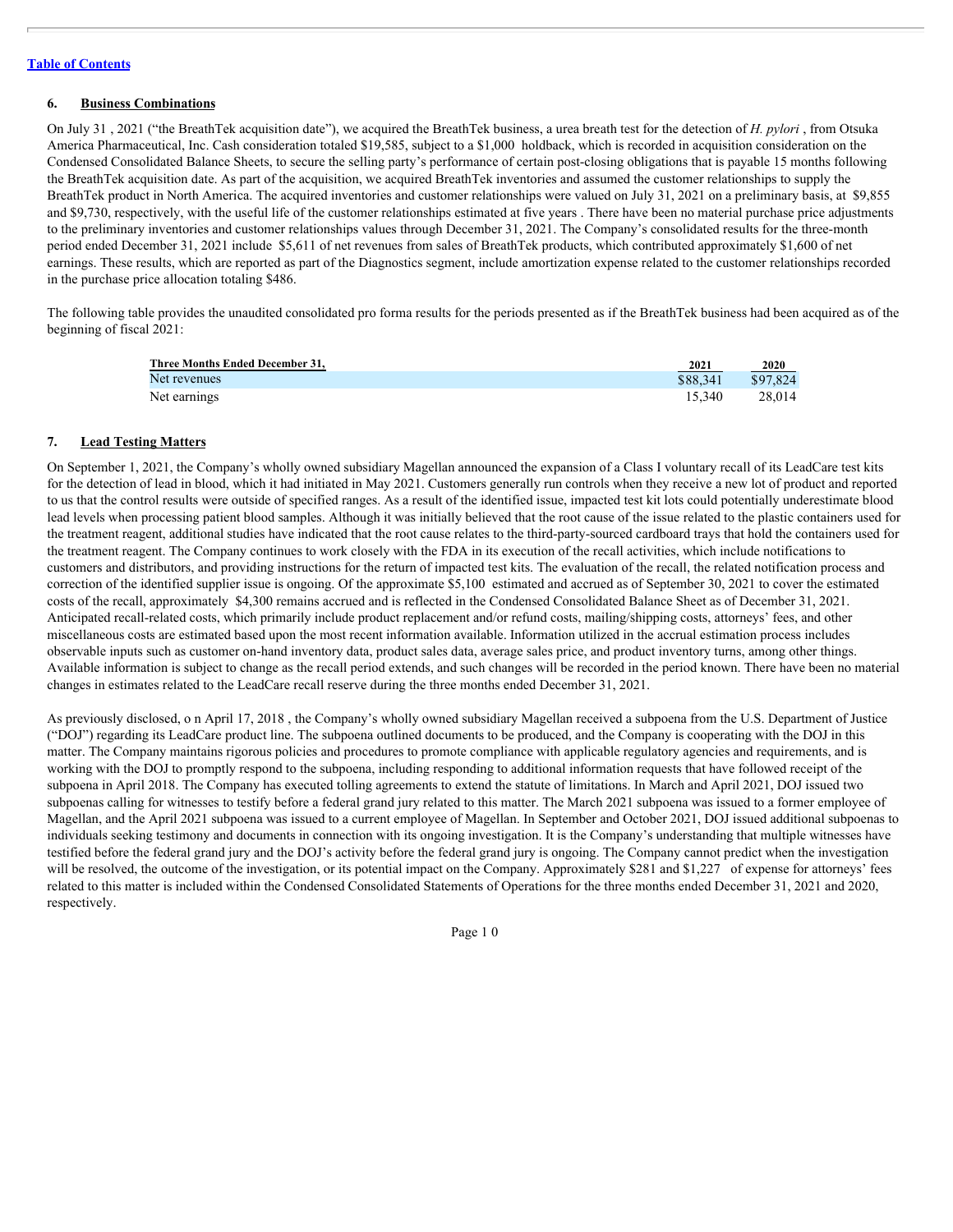#### **6. Business Combinations**

On July 31 , 2021 ("the BreathTek acquisition date"), we acquired the BreathTek business, a urea breath test for the detection of *H. pylori* , from Otsuka America Pharmaceutical, Inc. Cash consideration totaled \$19,585, subject to a \$1,000 holdback, which is recorded in acquisition consideration on the Condensed Consolidated Balance Sheets, to secure the selling party's performance of certain post-closing obligations that is payable 15 months following the BreathTek acquisition date. As part of the acquisition, we acquired BreathTek inventories and assumed the customer relationships to supply the BreathTek product in North America. The acquired inventories and customer relationships were valued on July 31, 2021 on a preliminary basis, at \$9,855 and \$9,730, respectively, with the useful life of the customer relationships estimated at five years . There have been no material purchase price adjustments to the preliminary inventories and customer relationships values through December 31, 2021. The Company's consolidated results for the three-month period ended December 31, 2021 include \$5,611 of net revenues from sales of BreathTek products, which contributed approximately \$1,600 of net earnings. These results, which are reported as part of the Diagnostics segment, include amortization expense related to the customer relationships recorded in the purchase price allocation totaling \$486.

The following table provides the unaudited consolidated pro forma results for the periods presented as if the BreathTek business had been acquired as of the beginning of fiscal 2021:

| Three Months Ended December 31. | 2021     | 2020<br>and the control of the control of |
|---------------------------------|----------|-------------------------------------------|
| Net revenues                    | \$88,341 | \$97,824                                  |
| Net earnings                    | 15,340   | 28,014                                    |

#### **7. Lead Testing Matters**

On September 1, 2021, the Company's wholly owned subsidiary Magellan announced the expansion of a Class I voluntary recall of its LeadCare test kits for the detection of lead in blood, which it had initiated in May 2021. Customers generally run controls when they receive a new lot of product and reported to us that the control results were outside of specified ranges. As a result of the identified issue, impacted test kit lots could potentially underestimate blood lead levels when processing patient blood samples. Although it was initially believed that the root cause of the issue related to the plastic containers used for the treatment reagent, additional studies have indicated that the root cause relates to the third-party-sourced cardboard trays that hold the containers used for the treatment reagent. The Company continues to work closely with the FDA in its execution of the recall activities, which include notifications to customers and distributors, and providing instructions for the return of impacted test kits. The evaluation of the recall, the related notification process and correction of the identified supplier issue is ongoing. Of the approximate \$5,100 estimated and accrued as of September 30, 2021 to cover the estimated costs of the recall, approximately \$4,300 remains accrued and is reflected in the Condensed Consolidated Balance Sheet as of December 31, 2021. Anticipated recall-related costs, which primarily include product replacement and/or refund costs, mailing/shipping costs, attorneys' fees, and other miscellaneous costs are estimated based upon the most recent information available. Information utilized in the accrual estimation process includes observable inputs such as customer on-hand inventory data, product sales data, average sales price, and product inventory turns, among other things. Available information is subject to change as the recall period extends, and such changes will be recorded in the period known. There have been no material changes in estimates related to the LeadCare recall reserve during the three months ended December 31, 2021.

As previously disclosed, o n April 17, 2018 , the Company's wholly owned subsidiary Magellan received a subpoena from the U.S. Department of Justice ("DOJ") regarding its LeadCare product line. The subpoena outlined documents to be produced, and the Company is cooperating with the DOJ in this matter. The Company maintains rigorous policies and procedures to promote compliance with applicable regulatory agencies and requirements, and is working with the DOJ to promptly respond to the subpoena, including responding to additional information requests that have followed receipt of the subpoena in April 2018. The Company has executed tolling agreements to extend the statute of limitations. In March and April 2021, DOJ issued two subpoenas calling for witnesses to testify before a federal grand jury related to this matter. The March 2021 subpoena was issued to a former employee of Magellan, and the April 2021 subpoena was issued to a current employee of Magellan. In September and October 2021, DOJ issued additional subpoenas to individuals seeking testimony and documents in connection with its ongoing investigation. It is the Company's understanding that multiple witnesses have testified before the federal grand jury and the DOJ's activity before the federal grand jury is ongoing. The Company cannot predict when the investigation will be resolved, the outcome of the investigation, or its potential impact on the Company. Approximately \$281 and \$1,227 of expense for attorneys' fees related to this matter is included within the Condensed Consolidated Statements of Operations for the three months ended December 31, 2021 and 2020, respectively.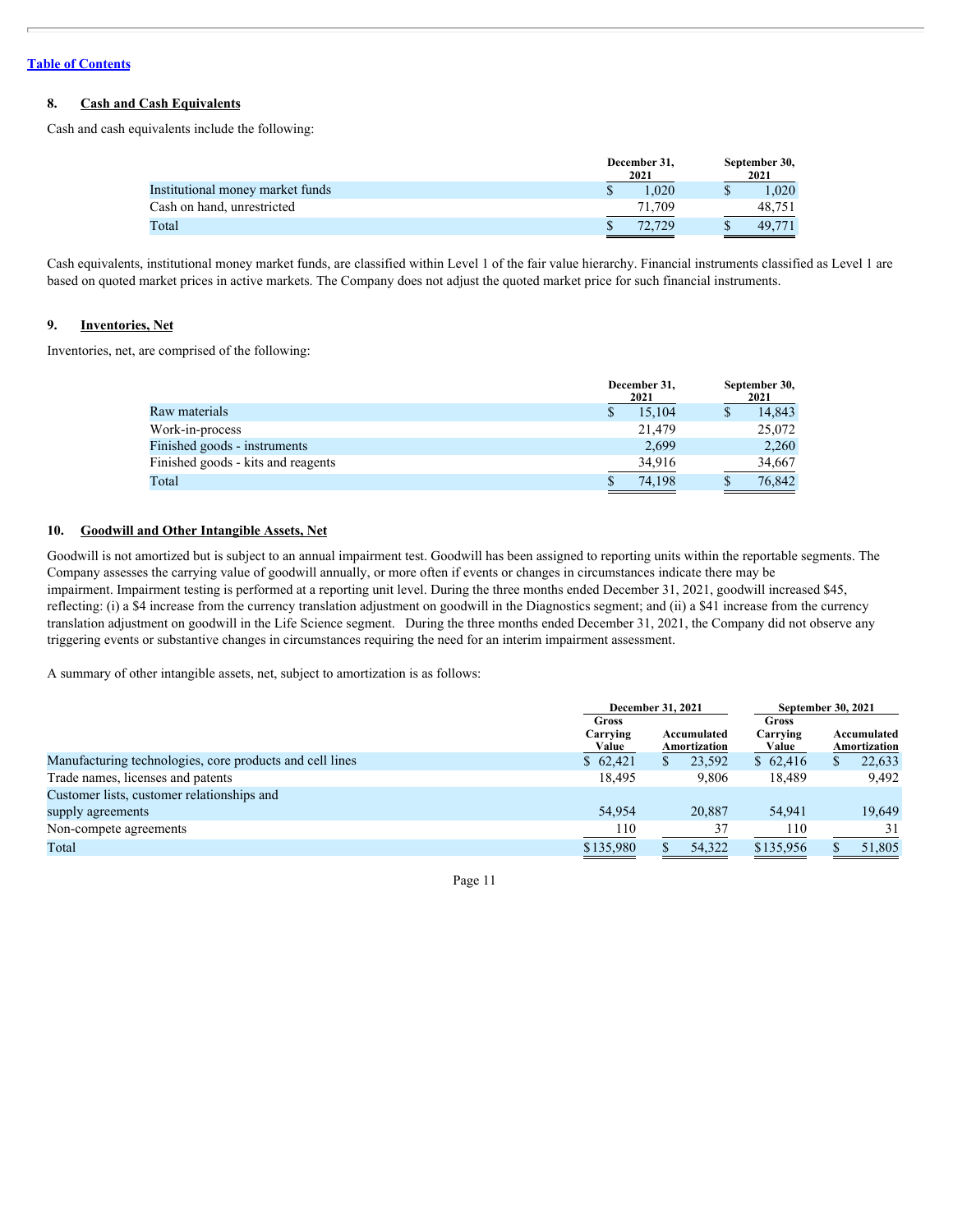# **8. Cash and Cash Equivalents**

Cash and cash equivalents include the following:

|                                  | December 31.<br>2021 |  | September 30,<br>2021 |
|----------------------------------|----------------------|--|-----------------------|
| Institutional money market funds | .020                 |  | ,020                  |
| Cash on hand, unrestricted       | 71<br>1,709          |  | 48,751                |
| Total                            | 72,729               |  | 49,771                |

Cash equivalents, institutional money market funds, are classified within Level 1 of the fair value hierarchy. Financial instruments classified as Level 1 are based on quoted market prices in active markets. The Company does not adjust the quoted market price for such financial instruments.

# **9. Inventories, Net**

Inventories, net, are comprised of the following:

|                                    | December 31,<br>2021 |  | September 30,<br>2021 |
|------------------------------------|----------------------|--|-----------------------|
| Raw materials                      | 15,104               |  | 14,843                |
| Work-in-process                    | 21,479               |  | 25,072                |
| Finished goods - instruments       | 2,699                |  | 2,260                 |
| Finished goods - kits and reagents | 34,916               |  | 34,667                |
| Total                              | 74,198               |  | 76,842                |

# **10. Goodwill and Other Intangible Assets, Net**

Goodwill is not amortized but is subject to an annual impairment test. Goodwill has been assigned to reporting units within the reportable segments. The Company assesses the carrying value of goodwill annually, or more often if events or changes in circumstances indicate there may be impairment. Impairment testing is performed at a reporting unit level. During the three months ended December 31, 2021, goodwill increased \$45, reflecting: (i) a \$4 increase from the currency translation adjustment on goodwill in the Diagnostics segment; and (ii) a \$41 increase from the currency translation adjustment on goodwill in the Life Science segment. During the three months ended December 31, 2021, the Company did not observe any triggering events or substantive changes in circumstances requiring the need for an interim impairment assessment.

A summary of other intangible assets, net, subject to amortization is as follows:

|                                                          |                            | December 31, 2021           |                                   | <b>September 30, 2021</b>   |  |  |
|----------------------------------------------------------|----------------------------|-----------------------------|-----------------------------------|-----------------------------|--|--|
|                                                          | Gross<br>Carrying<br>Value | Accumulated<br>Amortization | <b>Gross</b><br>Carrving<br>Value | Accumulated<br>Amortization |  |  |
| Manufacturing technologies, core products and cell lines | \$62,421                   | 23,592                      | 62,416                            | 22,633                      |  |  |
| Trade names, licenses and patents                        | 18,495                     | 9,806                       | 18,489                            | 9,492                       |  |  |
| Customer lists, customer relationships and               |                            |                             |                                   |                             |  |  |
| supply agreements                                        | 54,954                     | 20,887                      | 54,941                            | 19,649                      |  |  |
| Non-compete agreements                                   | 110                        | 37                          | 110                               |                             |  |  |
| Total                                                    | \$135,980                  | 54,322                      | \$135,956                         | 51,805                      |  |  |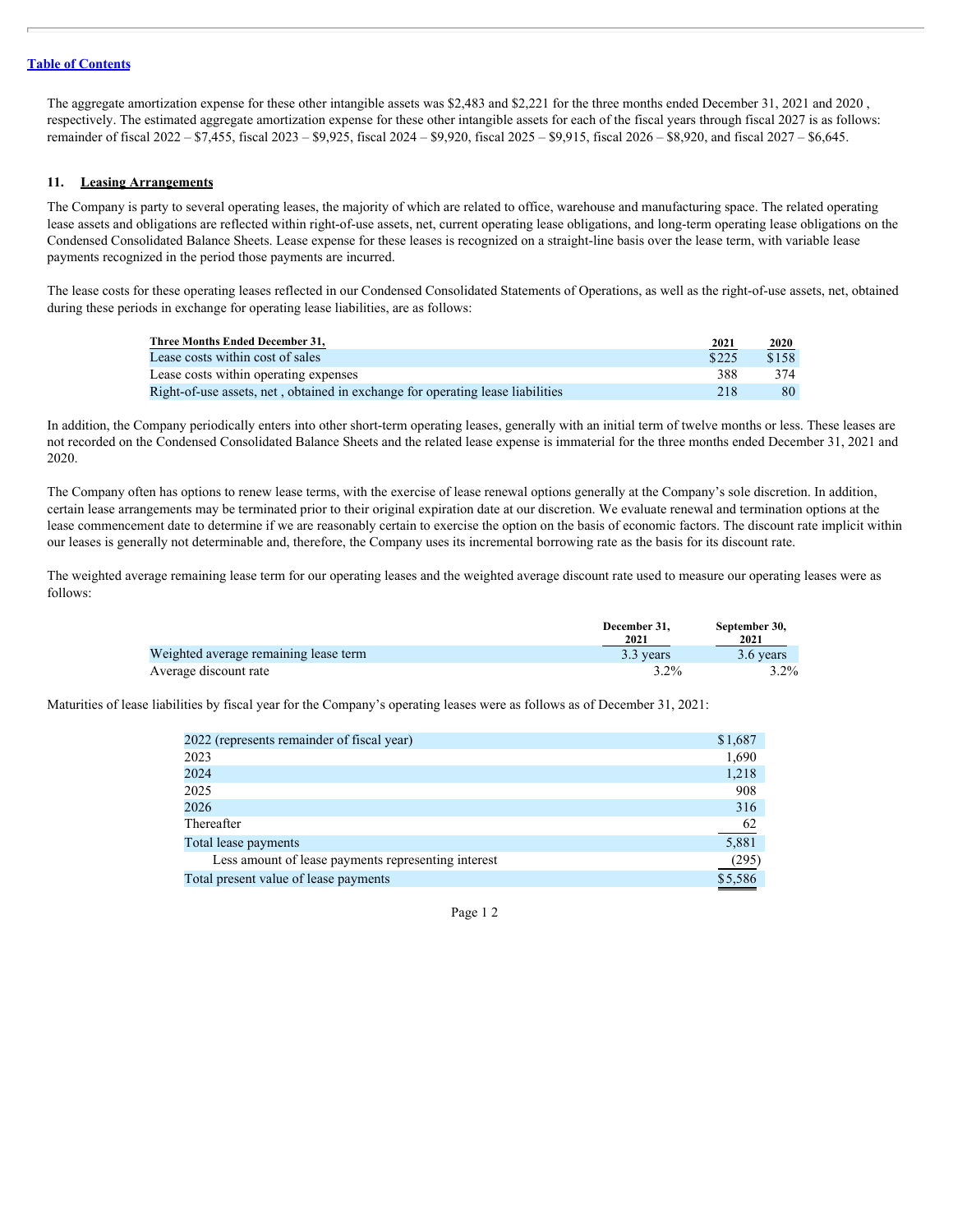#### **Table of Contents**

The aggregate amortization expense for these other intangible assets was \$2,483 and \$2,221 for the three months ended December 31, 2021 and 2020 , respectively. The estimated aggregate amortization expense for these other intangible assets for each of the fiscal years through fiscal 2027 is as follows: remainder of fiscal 2022 – \$7,455, fiscal 2023 – \$9,925, fiscal 2024 – \$9,920, fiscal 2025 – \$9,915, fiscal 2026 – \$8,920, and fiscal 2027 – \$6,645.

# **11. Leasing Arrangements**

The Company is party to several operating leases, the majority of which are related to office, warehouse and manufacturing space. The related operating lease assets and obligations are reflected within right-of-use assets, net, current operating lease obligations, and long-term operating lease obligations on the Condensed Consolidated Balance Sheets. Lease expense for these leases is recognized on a straight-line basis over the lease term, with variable lease payments recognized in the period those payments are incurred.

The lease costs for these operating leases reflected in our Condensed Consolidated Statements of Operations, as well as the right-of-use assets, net, obtained during these periods in exchange for operating lease liabilities, are as follows:

| Three Months Ended December 31.                                                | 2021  | 2020  |
|--------------------------------------------------------------------------------|-------|-------|
| Lease costs within cost of sales                                               | \$225 | \$158 |
| Lease costs within operating expenses                                          | 388   | 374   |
| Right-of-use assets, net, obtained in exchange for operating lease liabilities |       | 80    |

In addition, the Company periodically enters into other short-term operating leases, generally with an initial term of twelve months or less. These leases are not recorded on the Condensed Consolidated Balance Sheets and the related lease expense is immaterial for the three months ended December 31, 2021 and 2020.

The Company often has options to renew lease terms, with the exercise of lease renewal options generally at the Company's sole discretion. In addition, certain lease arrangements may be terminated prior to their original expiration date at our discretion. We evaluate renewal and termination options at the lease commencement date to determine if we are reasonably certain to exercise the option on the basis of economic factors. The discount rate implicit within our leases is generally not determinable and, therefore, the Company uses its incremental borrowing rate as the basis for its discount rate.

The weighted average remaining lease term for our operating leases and the weighted average discount rate used to measure our operating leases were as follows:

|                                       | December 31,              | September 30,  |
|---------------------------------------|---------------------------|----------------|
|                                       | 2021                      | 2021           |
| Weighted average remaining lease term | $\sim$<br>.3 years<br>ر . | 3.6 years      |
| Average discount rate                 | 2.20<br>3.27C             | 2.70/<br>3.470 |

Maturities of lease liabilities by fiscal year for the Company's operating leases were as follows as of December 31, 2021:

| 2022 (represents remainder of fiscal year)          | \$1,687            |
|-----------------------------------------------------|--------------------|
| 2023                                                | 1,690              |
| 2024                                                | 1,218              |
| 2025                                                | 908                |
| 2026                                                | 316                |
| Thereafter                                          | $\frac{62}{5,881}$ |
| Total lease payments                                |                    |
| Less amount of lease payments representing interest | (295)              |
| Total present value of lease payments               | \$5,586            |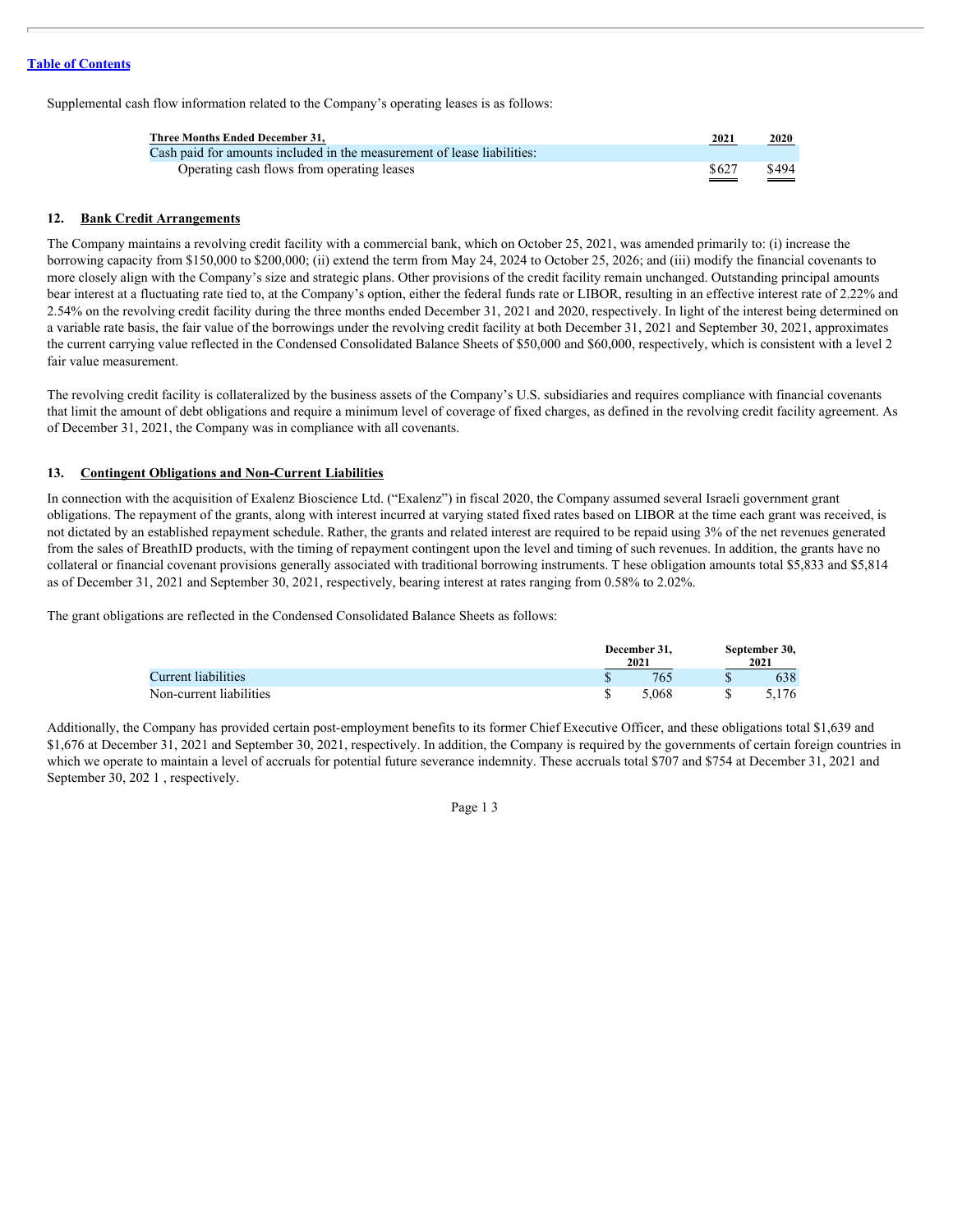Supplemental cash flow information related to the Company's operating leases is as follows:

| Three Months Ended December 31.                                         | 2021  | 2020  |
|-------------------------------------------------------------------------|-------|-------|
| Cash paid for amounts included in the measurement of lease liabilities: |       |       |
| Operating cash flows from operating leases                              | \$627 | \$494 |

#### **12. Bank Credit Arrangements**

The Company maintains a revolving credit facility with a commercial bank, which on October 25, 2021, was amended primarily to: (i) increase the borrowing capacity from \$150,000 to \$200,000; (ii) extend the term from May 24, 2024 to October 25, 2026; and (iii) modify the financial covenants to more closely align with the Company's size and strategic plans. Other provisions of the credit facility remain unchanged. Outstanding principal amounts bear interest at a fluctuating rate tied to, at the Company's option, either the federal funds rate or LIBOR, resulting in an effective interest rate of 2.22% and 2.54% on the revolving credit facility during the three months ended December 31, 2021 and 2020, respectively. In light of the interest being determined on a variable rate basis, the fair value of the borrowings under the revolving credit facility at both December 31, 2021 and September 30, 2021, approximates the current carrying value reflected in the Condensed Consolidated Balance Sheets of \$50,000 and \$60,000, respectively, which is consistent with a level 2 fair value measurement.

The revolving credit facility is collateralized by the business assets of the Company's U.S. subsidiaries and requires compliance with financial covenants that limit the amount of debt obligations and require a minimum level of coverage of fixed charges, as defined in the revolving credit facility agreement. As of December 31, 2021, the Company was in compliance with all covenants.

#### **13. Contingent Obligations and Non-Current Liabilities**

In connection with the acquisition of Exalenz Bioscience Ltd. ("Exalenz") in fiscal 2020, the Company assumed several Israeli government grant obligations. The repayment of the grants, along with interest incurred at varying stated fixed rates based on LIBOR at the time each grant was received, is not dictated by an established repayment schedule. Rather, the grants and related interest are required to be repaid using 3% of the net revenues generated from the sales of BreathID products, with the timing of repayment contingent upon the level and timing of such revenues. In addition, the grants have no collateral or financial covenant provisions generally associated with traditional borrowing instruments. T hese obligation amounts total \$5,833 and \$5,814 as of December 31, 2021 and September 30, 2021, respectively, bearing interest at rates ranging from 0.58% to 2.02%.

The grant obligations are reflected in the Condensed Consolidated Balance Sheets as follows:

|                            | December 31.<br>2021 |  | September 30,<br>2021           |
|----------------------------|----------------------|--|---------------------------------|
| <b>Current liabilities</b> | 765                  |  | $\epsilon \cap \epsilon$<br>ხპშ |
| Non-current liabilities    | 5,068                |  | 5,176                           |

Additionally, the Company has provided certain post-employment benefits to its former Chief Executive Officer, and these obligations total \$1,639 and \$1,676 at December 31, 2021 and September 30, 2021, respectively. In addition, the Company is required by the governments of certain foreign countries in which we operate to maintain a level of accruals for potential future severance indemnity. These accruals total \$707 and \$754 at December 31, 2021 and September 30, 202 1 , respectively.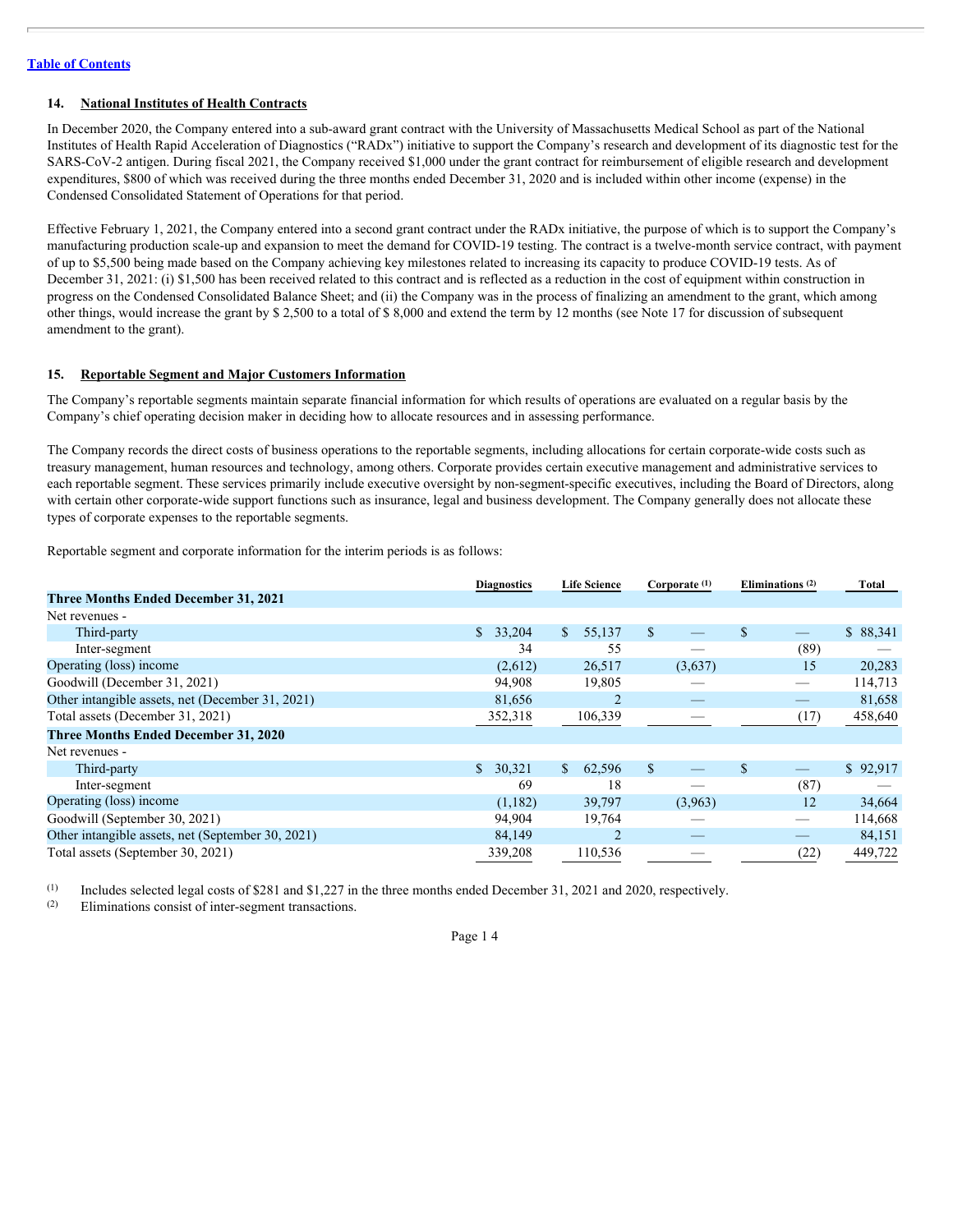#### **14. National Institutes of Health Contracts**

In December 2020, the Company entered into a sub-award grant contract with the University of Massachusetts Medical School as part of the National Institutes of Health Rapid Acceleration of Diagnostics ("RADx") initiative to support the Company's research and development of its diagnostic test for the SARS-CoV-2 antigen. During fiscal 2021, the Company received \$1,000 under the grant contract for reimbursement of eligible research and development expenditures, \$800 of which was received during the three months ended December 31, 2020 and is included within other income (expense) in the Condensed Consolidated Statement of Operations for that period.

Effective February 1, 2021, the Company entered into a second grant contract under the RADx initiative, the purpose of which is to support the Company's manufacturing production scale-up and expansion to meet the demand for COVID-19 testing. The contract is a twelve-month service contract, with payment of up to \$5,500 being made based on the Company achieving key milestones related to increasing its capacity to produce COVID-19 tests. As of December 31, 2021: (i) \$1,500 has been received related to this contract and is reflected as a reduction in the cost of equipment within construction in progress on the Condensed Consolidated Balance Sheet; and (ii) the Company was in the process of finalizing an amendment to the grant, which among other things, would increase the grant by \$ 2,500 to a total of \$ 8,000 and extend the term by 12 months (see Note 17 for discussion of subsequent amendment to the grant).

#### **15. Reportable Segment and Major Customers Information**

The Company's reportable segments maintain separate financial information for which results of operations are evaluated on a regular basis by the Company's chief operating decision maker in deciding how to allocate resources and in assessing performance.

The Company records the direct costs of business operations to the reportable segments, including allocations for certain corporate-wide costs such as treasury management, human resources and technology, among others. Corporate provides certain executive management and administrative services to each reportable segment. These services primarily include executive oversight by non-segment-specific executives, including the Board of Directors, along with certain other corporate-wide support functions such as insurance, legal and business development. The Company generally does not allocate these types of corporate expenses to the reportable segments.

Reportable segment and corporate information for the interim periods is as follows:

|                                                   | <b>Diagnostics</b> | <b>Life Science</b> | Corporate $(1)$ | Eliminations $(2)$       | Total    |
|---------------------------------------------------|--------------------|---------------------|-----------------|--------------------------|----------|
| <b>Three Months Ended December 31, 2021</b>       |                    |                     |                 |                          |          |
| Net revenues -                                    |                    |                     |                 |                          |          |
| Third-party                                       | \$33,204           | 55,137<br>S.        |                 | $\overline{\phantom{0}}$ | 88,341   |
| Inter-segment                                     | 34                 | 55                  |                 | (89)                     |          |
| Operating (loss) income                           | (2,612)            | 26,517              | (3,637)         | 15                       | 20,283   |
| Goodwill (December 31, 2021)                      | 94,908             | 19,805              |                 |                          | 114,713  |
| Other intangible assets, net (December 31, 2021)  | 81,656             |                     | $-$             |                          | 81,658   |
| Total assets (December 31, 2021)                  | 352,318            | 106,339             |                 | (17)                     | 458,640  |
| Three Months Ended December 31, 2020              |                    |                     |                 |                          |          |
| Net revenues -                                    |                    |                     |                 |                          |          |
| Third-party                                       | \$30,321           | 62,596<br>\$.       |                 |                          | \$92,917 |
| Inter-segment                                     | 69                 | 18                  |                 | (87)                     |          |
| Operating (loss) income                           | (1,182)            | 39,797              | (3,963)         | 12                       | 34,664   |
| Goodwill (September 30, 2021)                     | 94,904             | 19,764              |                 |                          | 114,668  |
| Other intangible assets, net (September 30, 2021) | 84,149             | $\sim$              |                 |                          | 84,151   |
| Total assets (September 30, 2021)                 | 339,208            | 110,536             |                 | (22)                     | 449,722  |
|                                                   |                    |                     |                 |                          |          |

(1) Includes selected legal costs of \$281 and \$1,227 in the three months ended December 31, 2021 and 2020, respectively.<br>Eliminations consist of inter-segment transactions

Eliminations consist of inter-segment transactions.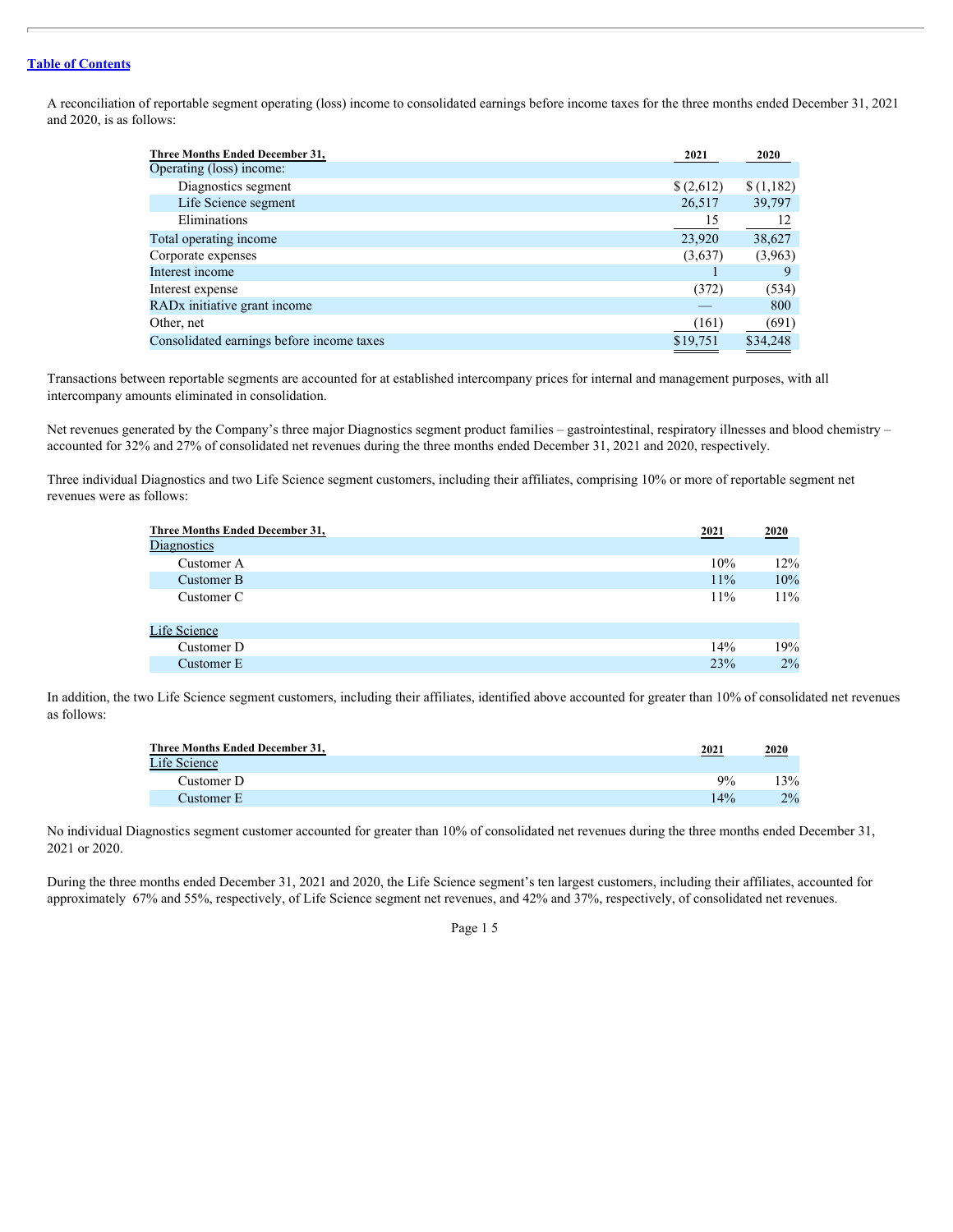#### **Table of Contents**

A reconciliation of reportable segment operating (loss) income to consolidated earnings before income taxes for the three months ended December 31, 2021 and 2020, is as follows:

| Three Months Ended December 31,           | 2021      | 2020      |
|-------------------------------------------|-----------|-----------|
| Operating (loss) income:                  |           |           |
| Diagnostics segment                       | \$(2,612) | \$(1,182) |
| Life Science segment                      | 26,517    | 39,797    |
| Eliminations                              | 15        |           |
| Total operating income                    | 23,920    | 38,627    |
| Corporate expenses                        | (3,637)   | (3,963)   |
| Interest income                           |           |           |
| Interest expense                          | (372)     | (534)     |
| RAD <sub>x</sub> initiative grant income  | —         | 800       |
| Other, net                                | (161)     | (691)     |
| Consolidated earnings before income taxes | \$19,751  | \$34,248  |

Transactions between reportable segments are accounted for at established intercompany prices for internal and management purposes, with all intercompany amounts eliminated in consolidation.

Net revenues generated by the Company's three major Diagnostics segment product families – gastrointestinal, respiratory illnesses and blood chemistry – accounted for 32% and 27% of consolidated net revenues during the three months ended December 31, 2021 and 2020, respectively.

Three individual Diagnostics and two Life Science segment customers, including their affiliates, comprising 10% or more of reportable segment net revenues were as follows:

| <b>Three Months Ended December 31,</b> | 2021<br><u>en de la provincia de la provincia de la provincia de la provincia de la provincia de la provincia de la provi</u> | 2020 |
|----------------------------------------|-------------------------------------------------------------------------------------------------------------------------------|------|
| Diagnostics                            |                                                                                                                               |      |
| Customer A                             | 10%                                                                                                                           | 12%  |
| Customer B                             | 11%                                                                                                                           | 10%  |
| Customer C                             | $11\%$                                                                                                                        | 11%  |
|                                        |                                                                                                                               |      |
| Life Science                           |                                                                                                                               |      |
| Customer D                             | 14%                                                                                                                           | 19%  |
| Customer E                             | 23%                                                                                                                           | 2%   |

In addition, the two Life Science segment customers, including their affiliates, identified above accounted for greater than 10% of consolidated net revenues as follows:

| Three Months Ended December 31, | 2021<br>$\sim$                                                                                                        | 2020<br><b>Contract Contract Contract</b>                                                                                                                              |
|---------------------------------|-----------------------------------------------------------------------------------------------------------------------|------------------------------------------------------------------------------------------------------------------------------------------------------------------------|
| Life Science                    | <b>Contract Contract Contract Contract Contract Contract Contract Contract Contract Contract Contract Contract Co</b> |                                                                                                                                                                        |
| Customer D                      | $Q_0$<br>$\sim$ $\sim$                                                                                                | 13%                                                                                                                                                                    |
| $\sim$<br>Customer E            | 14%                                                                                                                   | 20 <sub>l</sub><br>$\overline{\phantom{0}}$<br>$\mathcal{L}(\mathcal{L})$ and $\mathcal{L}(\mathcal{L})$ and $\mathcal{L}(\mathcal{L})$ and $\mathcal{L}(\mathcal{L})$ |

No individual Diagnostics segment customer accounted for greater than 10% of consolidated net revenues during the three months ended December 31, 2021 or 2020.

During the three months ended December 31, 2021 and 2020, the Life Science segment's ten largest customers, including their affiliates, accounted for approximately 67% and 55%, respectively, of Life Science segment net revenues, and 42% and 37%, respectively, of consolidated net revenues.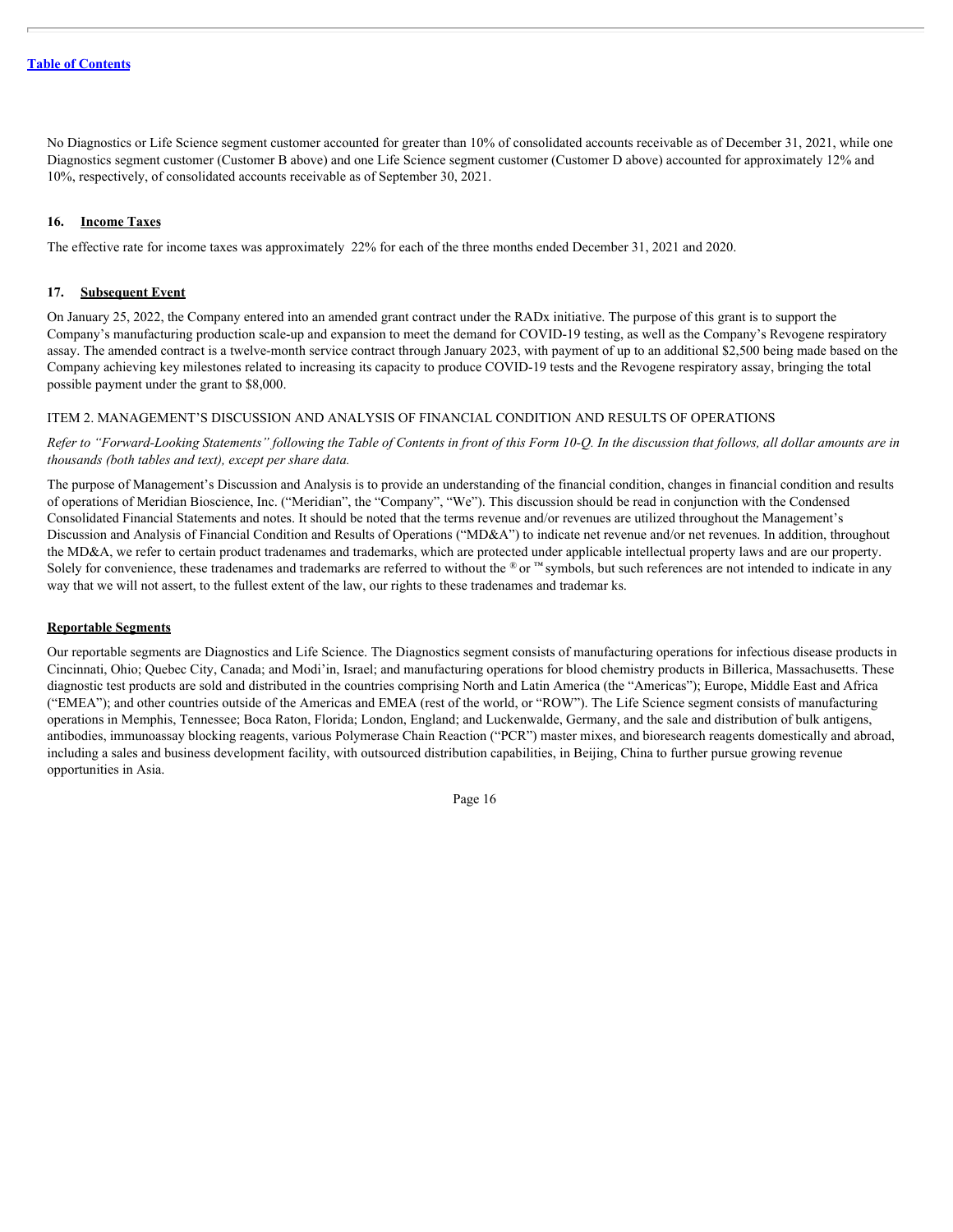No Diagnostics or Life Science segment customer accounted for greater than 10% of consolidated accounts receivable as of December 31, 2021, while one Diagnostics segment customer (Customer B above) and one Life Science segment customer (Customer D above) accounted for approximately 12% and 10%, respectively, of consolidated accounts receivable as of September 30, 2021.

# **16. Income Taxes**

The effective rate for income taxes was approximately 22% for each of the three months ended December 31, 2021 and 2020.

#### **17. Subsequent Event**

On January 25, 2022, the Company entered into an amended grant contract under the RADx initiative. The purpose of this grant is to support the Company's manufacturing production scale-up and expansion to meet the demand for COVID-19 testing, as well as the Company's Revogene respiratory assay. The amended contract is a twelve-month service contract through January 2023, with payment of up to an additional \$2,500 being made based on the Company achieving key milestones related to increasing its capacity to produce COVID-19 tests and the Revogene respiratory assay, bringing the total possible payment under the grant to \$8,000.

#### ITEM 2. MANAGEMENT'S DISCUSSION AND ANALYSIS OF FINANCIAL CONDITION AND RESULTS OF OPERATIONS

*Refer to "Forward-Looking Statements" following the Table of Contents in front of this Form 10-Q. In the discussion that follows, all dollar amounts are in thousands (both tables and text), except per share data.*

The purpose of Management's Discussion and Analysis is to provide an understanding of the financial condition, changes in financial condition and results of operations of Meridian Bioscience, Inc. ("Meridian", the "Company", "We"). This discussion should be read in conjunction with the Condensed Consolidated Financial Statements and notes. It should be noted that the terms revenue and/or revenues are utilized throughout the Management's Discussion and Analysis of Financial Condition and Results of Operations ("MD&A") to indicate net revenue and/or net revenues. In addition, throughout the MD&A, we refer to certain product tradenames and trademarks, which are protected under applicable intellectual property laws and are our property. Solely for convenience, these tradenames and trademarks are referred to without the *®* or ™ symbols, but such references are not intended to indicate in any way that we will not assert, to the fullest extent of the law, our rights to these tradenames and trademar ks.

#### **Reportable Segments**

Our reportable segments are Diagnostics and Life Science. The Diagnostics segment consists of manufacturing operations for infectious disease products in Cincinnati, Ohio; Quebec City, Canada; and Modi'in, Israel; and manufacturing operations for blood chemistry products in Billerica, Massachusetts. These diagnostic test products are sold and distributed in the countries comprising North and Latin America (the "Americas"); Europe, Middle East and Africa ("EMEA"); and other countries outside of the Americas and EMEA (rest of the world, or "ROW"). The Life Science segment consists of manufacturing operations in Memphis, Tennessee; Boca Raton, Florida; London, England; and Luckenwalde, Germany, and the sale and distribution of bulk antigens, antibodies, immunoassay blocking reagents, various Polymerase Chain Reaction ("PCR") master mixes, and bioresearch reagents domestically and abroad, including a sales and business development facility, with outsourced distribution capabilities, in Beijing, China to further pursue growing revenue opportunities in Asia.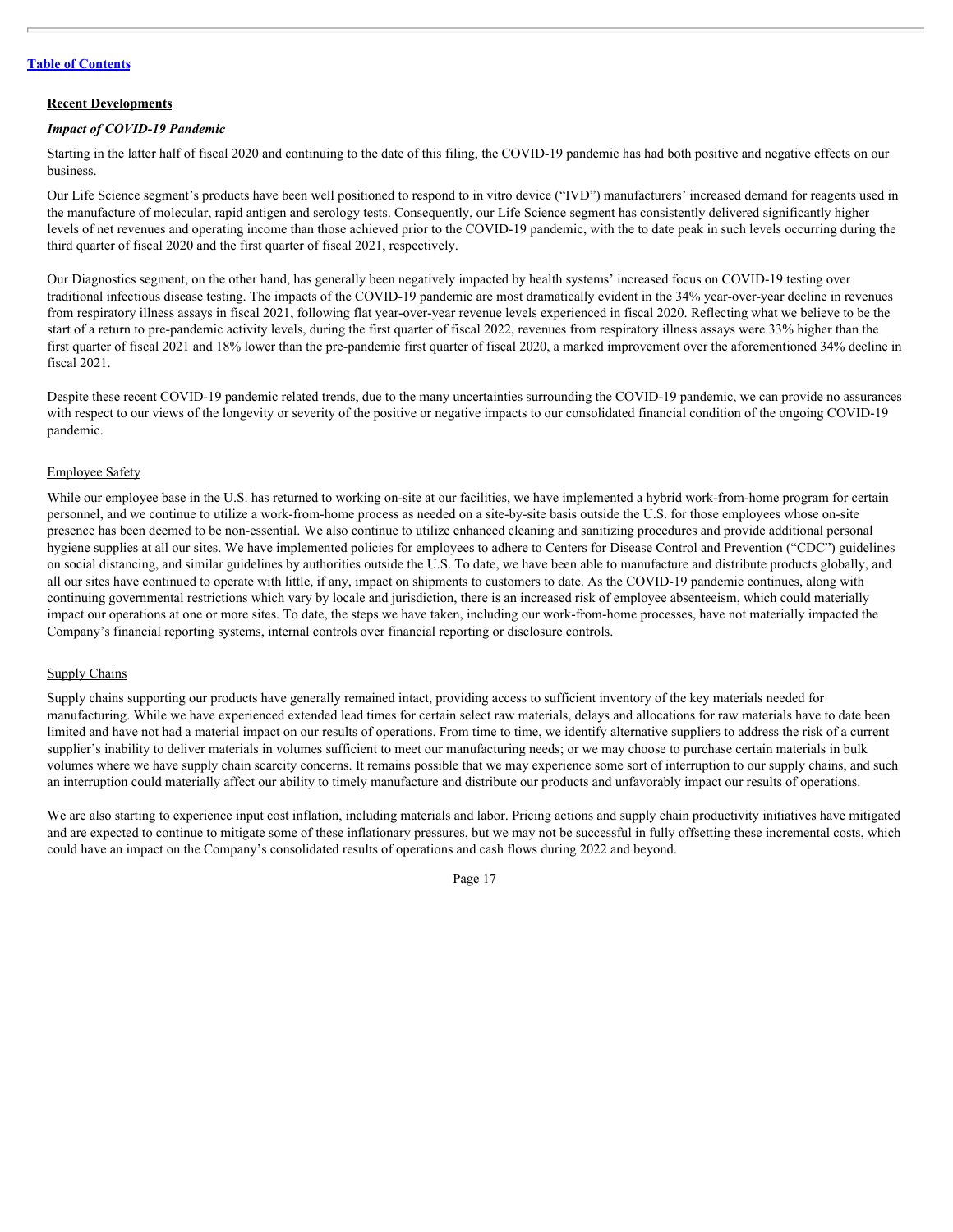#### **Recent Developments**

#### *Impact of COVID-19 Pandemic*

Starting in the latter half of fiscal 2020 and continuing to the date of this filing, the COVID-19 pandemic has had both positive and negative effects on our business.

Our Life Science segment's products have been well positioned to respond to in vitro device ("IVD") manufacturers' increased demand for reagents used in the manufacture of molecular, rapid antigen and serology tests. Consequently, our Life Science segment has consistently delivered significantly higher levels of net revenues and operating income than those achieved prior to the COVID-19 pandemic, with the to date peak in such levels occurring during the third quarter of fiscal 2020 and the first quarter of fiscal 2021, respectively.

Our Diagnostics segment, on the other hand, has generally been negatively impacted by health systems' increased focus on COVID-19 testing over traditional infectious disease testing. The impacts of the COVID-19 pandemic are most dramatically evident in the 34% year-over-year decline in revenues from respiratory illness assays in fiscal 2021, following flat year-over-year revenue levels experienced in fiscal 2020. Reflecting what we believe to be the start of a return to pre-pandemic activity levels, during the first quarter of fiscal 2022, revenues from respiratory illness assays were 33% higher than the first quarter of fiscal 2021 and 18% lower than the pre-pandemic first quarter of fiscal 2020, a marked improvement over the aforementioned 34% decline in fiscal 2021.

Despite these recent COVID-19 pandemic related trends, due to the many uncertainties surrounding the COVID-19 pandemic, we can provide no assurances with respect to our views of the longevity or severity of the positive or negative impacts to our consolidated financial condition of the ongoing COVID-19 pandemic.

#### Employee Safety

While our employee base in the U.S. has returned to working on-site at our facilities, we have implemented a hybrid work-from-home program for certain personnel, and we continue to utilize a work-from-home process as needed on a site-by-site basis outside the U.S. for those employees whose on-site presence has been deemed to be non-essential. We also continue to utilize enhanced cleaning and sanitizing procedures and provide additional personal hygiene supplies at all our sites. We have implemented policies for employees to adhere to Centers for Disease Control and Prevention ("CDC") guidelines on social distancing, and similar guidelines by authorities outside the U.S. To date, we have been able to manufacture and distribute products globally, and all our sites have continued to operate with little, if any, impact on shipments to customers to date. As the COVID-19 pandemic continues, along with continuing governmental restrictions which vary by locale and jurisdiction, there is an increased risk of employee absenteeism, which could materially impact our operations at one or more sites. To date, the steps we have taken, including our work-from-home processes, have not materially impacted the Company's financial reporting systems, internal controls over financial reporting or disclosure controls.

#### Supply Chains

Supply chains supporting our products have generally remained intact, providing access to sufficient inventory of the key materials needed for manufacturing. While we have experienced extended lead times for certain select raw materials, delays and allocations for raw materials have to date been limited and have not had a material impact on our results of operations. From time to time, we identify alternative suppliers to address the risk of a current supplier's inability to deliver materials in volumes sufficient to meet our manufacturing needs; or we may choose to purchase certain materials in bulk volumes where we have supply chain scarcity concerns. It remains possible that we may experience some sort of interruption to our supply chains, and such an interruption could materially affect our ability to timely manufacture and distribute our products and unfavorably impact our results of operations.

We are also starting to experience input cost inflation, including materials and labor. Pricing actions and supply chain productivity initiatives have mitigated and are expected to continue to mitigate some of these inflationary pressures, but we may not be successful in fully offsetting these incremental costs, which could have an impact on the Company's consolidated results of operations and cash flows during 2022 and beyond.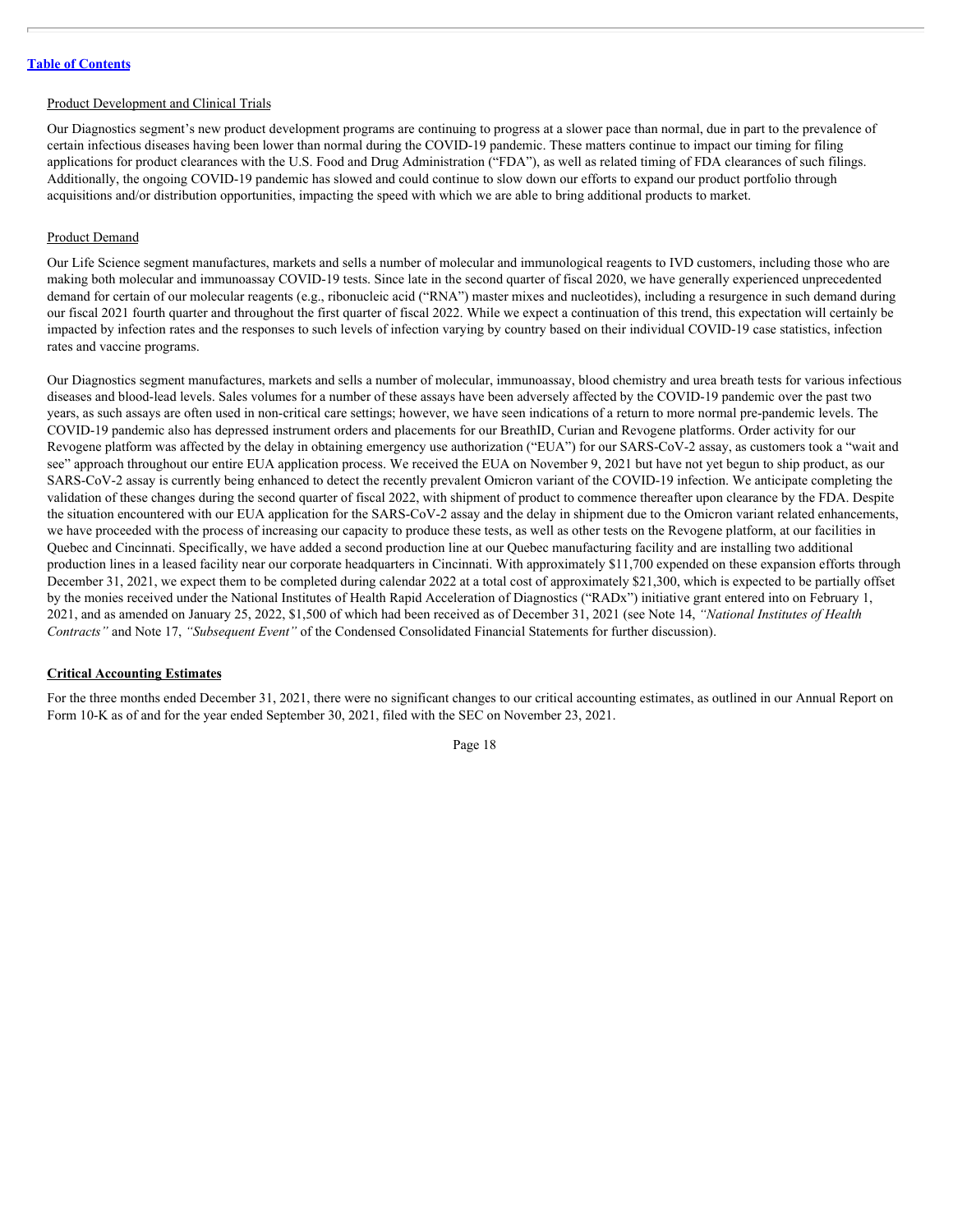#### Product Development and Clinical Trials

Our Diagnostics segment's new product development programs are continuing to progress at a slower pace than normal, due in part to the prevalence of certain infectious diseases having been lower than normal during the COVID-19 pandemic. These matters continue to impact our timing for filing applications for product clearances with the U.S. Food and Drug Administration ("FDA"), as well as related timing of FDA clearances of such filings. Additionally, the ongoing COVID-19 pandemic has slowed and could continue to slow down our efforts to expand our product portfolio through acquisitions and/or distribution opportunities, impacting the speed with which we are able to bring additional products to market.

#### Product Demand

Our Life Science segment manufactures, markets and sells a number of molecular and immunological reagents to IVD customers, including those who are making both molecular and immunoassay COVID-19 tests. Since late in the second quarter of fiscal 2020, we have generally experienced unprecedented demand for certain of our molecular reagents (e.g., ribonucleic acid ("RNA") master mixes and nucleotides), including a resurgence in such demand during our fiscal 2021 fourth quarter and throughout the first quarter of fiscal 2022. While we expect a continuation of this trend, this expectation will certainly be impacted by infection rates and the responses to such levels of infection varying by country based on their individual COVID-19 case statistics, infection rates and vaccine programs.

Our Diagnostics segment manufactures, markets and sells a number of molecular, immunoassay, blood chemistry and urea breath tests for various infectious diseases and blood-lead levels. Sales volumes for a number of these assays have been adversely affected by the COVID-19 pandemic over the past two years, as such assays are often used in non-critical care settings; however, we have seen indications of a return to more normal pre-pandemic levels. The COVID-19 pandemic also has depressed instrument orders and placements for our BreathID, Curian and Revogene platforms. Order activity for our Revogene platform was affected by the delay in obtaining emergency use authorization ("EUA") for our SARS-CoV-2 assay, as customers took a "wait and see" approach throughout our entire EUA application process. We received the EUA on November 9, 2021 but have not yet begun to ship product, as our SARS-CoV-2 assay is currently being enhanced to detect the recently prevalent Omicron variant of the COVID-19 infection. We anticipate completing the validation of these changes during the second quarter of fiscal 2022, with shipment of product to commence thereafter upon clearance by the FDA. Despite the situation encountered with our EUA application for the SARS-CoV-2 assay and the delay in shipment due to the Omicron variant related enhancements, we have proceeded with the process of increasing our capacity to produce these tests, as well as other tests on the Revogene platform, at our facilities in Quebec and Cincinnati. Specifically, we have added a second production line at our Quebec manufacturing facility and are installing two additional production lines in a leased facility near our corporate headquarters in Cincinnati. With approximately \$11,700 expended on these expansion efforts through December 31, 2021, we expect them to be completed during calendar 2022 at a total cost of approximately \$21,300, which is expected to be partially offset by the monies received under the National Institutes of Health Rapid Acceleration of Diagnostics ("RADx") initiative grant entered into on February 1, 2021, and as amended on January 25, 2022, \$1,500 of which had been received as of December 31, 2021 (see Note 14, *"National Institutes of Health Contracts"* and Note 17, *"Subsequent Event"* of the Condensed Consolidated Financial Statements for further discussion).

#### **Critical Accounting Estimates**

For the three months ended December 31, 2021, there were no significant changes to our critical accounting estimates, as outlined in our Annual Report on Form 10-K as of and for the year ended September 30, 2021, filed with the SEC on November 23, 2021.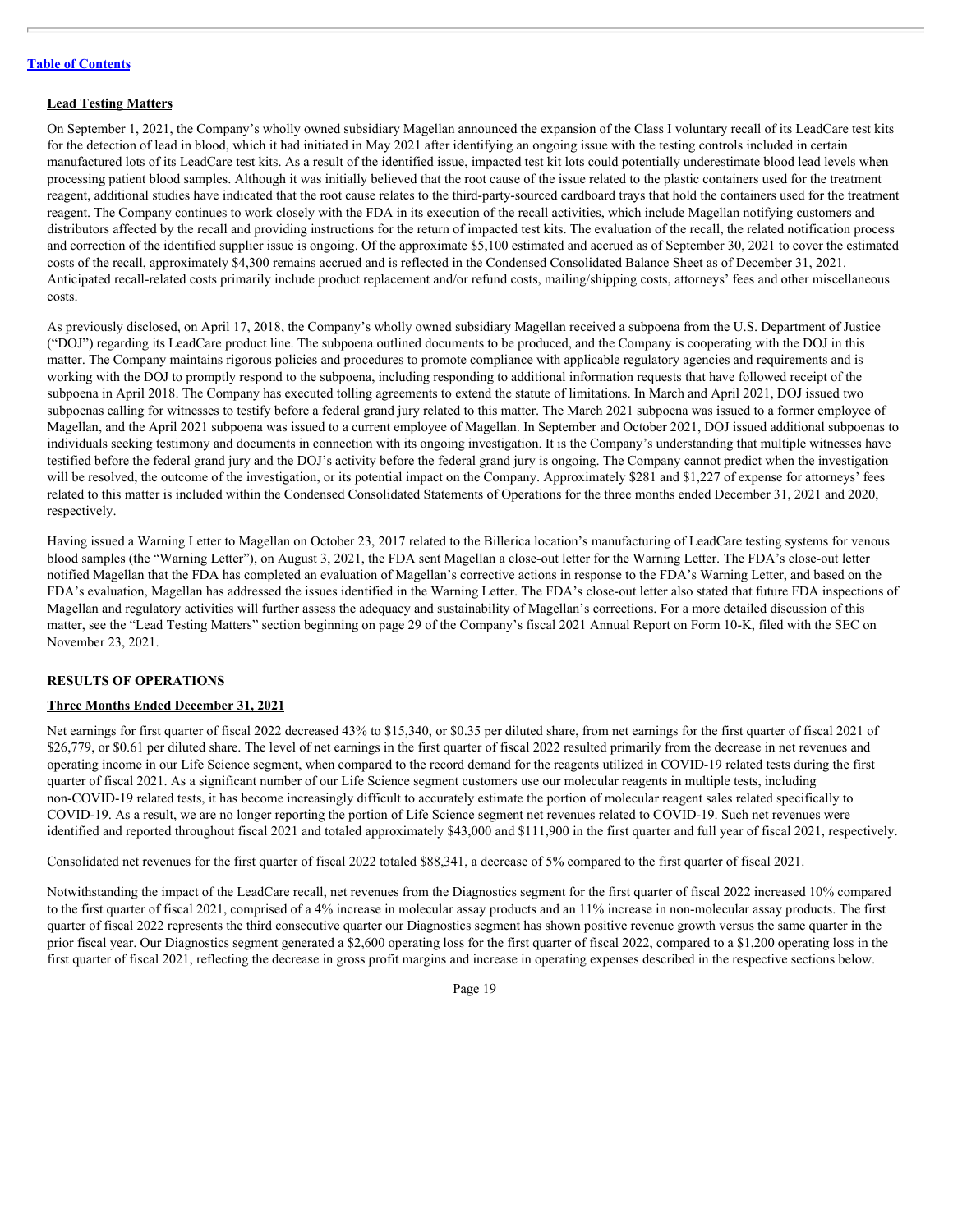#### **Table of Contents**

#### **Lead Testing Matters**

On September 1, 2021, the Company's wholly owned subsidiary Magellan announced the expansion of the Class I voluntary recall of its LeadCare test kits for the detection of lead in blood, which it had initiated in May 2021 after identifying an ongoing issue with the testing controls included in certain manufactured lots of its LeadCare test kits. As a result of the identified issue, impacted test kit lots could potentially underestimate blood lead levels when processing patient blood samples. Although it was initially believed that the root cause of the issue related to the plastic containers used for the treatment reagent, additional studies have indicated that the root cause relates to the third-party-sourced cardboard trays that hold the containers used for the treatment reagent. The Company continues to work closely with the FDA in its execution of the recall activities, which include Magellan notifying customers and distributors affected by the recall and providing instructions for the return of impacted test kits. The evaluation of the recall, the related notification process and correction of the identified supplier issue is ongoing. Of the approximate \$5,100 estimated and accrued as of September 30, 2021 to cover the estimated costs of the recall, approximately \$4,300 remains accrued and is reflected in the Condensed Consolidated Balance Sheet as of December 31, 2021. Anticipated recall-related costs primarily include product replacement and/or refund costs, mailing/shipping costs, attorneys' fees and other miscellaneous costs.

As previously disclosed, on April 17, 2018, the Company's wholly owned subsidiary Magellan received a subpoena from the U.S. Department of Justice ("DOJ") regarding its LeadCare product line. The subpoena outlined documents to be produced, and the Company is cooperating with the DOJ in this matter. The Company maintains rigorous policies and procedures to promote compliance with applicable regulatory agencies and requirements and is working with the DOJ to promptly respond to the subpoena, including responding to additional information requests that have followed receipt of the subpoena in April 2018. The Company has executed tolling agreements to extend the statute of limitations. In March and April 2021, DOJ issued two subpoenas calling for witnesses to testify before a federal grand jury related to this matter. The March 2021 subpoena was issued to a former employee of Magellan, and the April 2021 subpoena was issued to a current employee of Magellan. In September and October 2021, DOJ issued additional subpoenas to individuals seeking testimony and documents in connection with its ongoing investigation. It is the Company's understanding that multiple witnesses have testified before the federal grand jury and the DOJ's activity before the federal grand jury is ongoing. The Company cannot predict when the investigation will be resolved, the outcome of the investigation, or its potential impact on the Company. Approximately \$281 and \$1,227 of expense for attorneys' fees related to this matter is included within the Condensed Consolidated Statements of Operations for the three months ended December 31, 2021 and 2020, respectively.

Having issued a Warning Letter to Magellan on October 23, 2017 related to the Billerica location's manufacturing of LeadCare testing systems for venous blood samples (the "Warning Letter"), on August 3, 2021, the FDA sent Magellan a close-out letter for the Warning Letter. The FDA's close-out letter notified Magellan that the FDA has completed an evaluation of Magellan's corrective actions in response to the FDA's Warning Letter, and based on the FDA's evaluation, Magellan has addressed the issues identified in the Warning Letter. The FDA's close-out letter also stated that future FDA inspections of Magellan and regulatory activities will further assess the adequacy and sustainability of Magellan's corrections. For a more detailed discussion of this matter, see the "Lead Testing Matters" section beginning on page 29 of the Company's fiscal 2021 Annual Report on Form 10-K, filed with the SEC on November 23, 2021.

#### **RESULTS OF OPERATIONS**

#### **Three Months Ended December 31, 2021**

Net earnings for first quarter of fiscal 2022 decreased 43% to \$15,340, or \$0.35 per diluted share, from net earnings for the first quarter of fiscal 2021 of \$26,779, or \$0.61 per diluted share. The level of net earnings in the first quarter of fiscal 2022 resulted primarily from the decrease in net revenues and operating income in our Life Science segment, when compared to the record demand for the reagents utilized in COVID-19 related tests during the first quarter of fiscal 2021. As a significant number of our Life Science segment customers use our molecular reagents in multiple tests, including non-COVID-19 related tests, it has become increasingly difficult to accurately estimate the portion of molecular reagent sales related specifically to COVID-19. As a result, we are no longer reporting the portion of Life Science segment net revenues related to COVID-19. Such net revenues were identified and reported throughout fiscal 2021 and totaled approximately \$43,000 and \$111,900 in the first quarter and full year of fiscal 2021, respectively.

Consolidated net revenues for the first quarter of fiscal 2022 totaled \$88,341, a decrease of 5% compared to the first quarter of fiscal 2021.

Notwithstanding the impact of the LeadCare recall, net revenues from the Diagnostics segment for the first quarter of fiscal 2022 increased 10% compared to the first quarter of fiscal 2021, comprised of a 4% increase in molecular assay products and an 11% increase in non-molecular assay products. The first quarter of fiscal 2022 represents the third consecutive quarter our Diagnostics segment has shown positive revenue growth versus the same quarter in the prior fiscal year. Our Diagnostics segment generated a \$2,600 operating loss for the first quarter of fiscal 2022, compared to a \$1,200 operating loss in the first quarter of fiscal 2021, reflecting the decrease in gross profit margins and increase in operating expenses described in the respective sections below.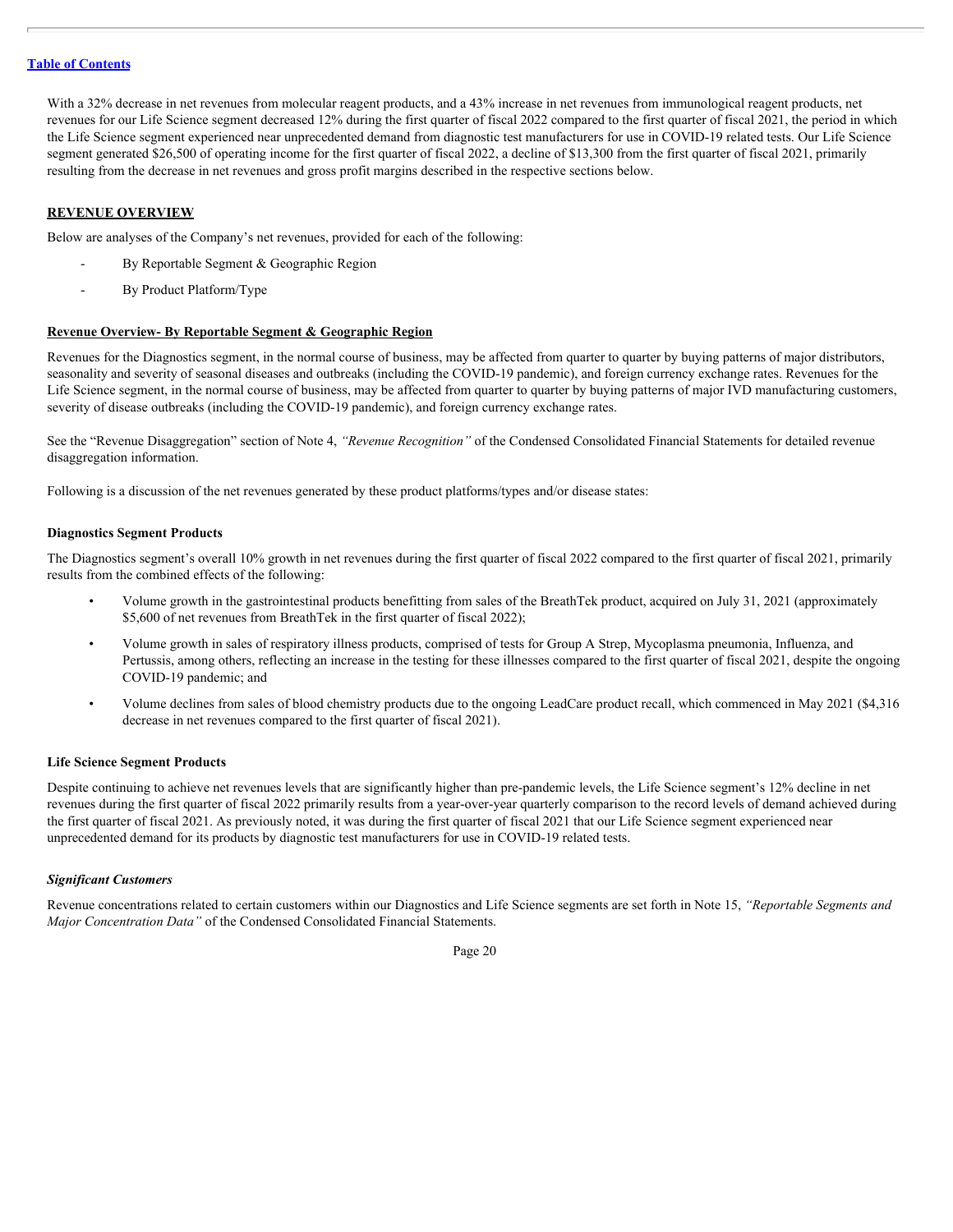#### **Table of Contents**

With a 32% decrease in net revenues from molecular reagent products, and a 43% increase in net revenues from immunological reagent products, net revenues for our Life Science segment decreased 12% during the first quarter of fiscal 2022 compared to the first quarter of fiscal 2021, the period in which the Life Science segment experienced near unprecedented demand from diagnostic test manufacturers for use in COVID-19 related tests. Our Life Science segment generated \$26,500 of operating income for the first quarter of fiscal 2022, a decline of \$13,300 from the first quarter of fiscal 2021, primarily resulting from the decrease in net revenues and gross profit margins described in the respective sections below.

# **REVENUE OVERVIEW**

Below are analyses of the Company's net revenues, provided for each of the following:

- By Reportable Segment & Geographic Region
- By Product Platform/Type

#### **Revenue Overview- By Reportable Segment & Geographic Region**

Revenues for the Diagnostics segment, in the normal course of business, may be affected from quarter to quarter by buying patterns of major distributors, seasonality and severity of seasonal diseases and outbreaks (including the COVID-19 pandemic), and foreign currency exchange rates. Revenues for the Life Science segment, in the normal course of business, may be affected from quarter to quarter by buying patterns of major IVD manufacturing customers, severity of disease outbreaks (including the COVID-19 pandemic), and foreign currency exchange rates.

See the "Revenue Disaggregation" section of Note 4, *"Revenue Recognition"* of the Condensed Consolidated Financial Statements for detailed revenue disaggregation information.

Following is a discussion of the net revenues generated by these product platforms/types and/or disease states:

#### **Diagnostics Segment Products**

The Diagnostics segment's overall 10% growth in net revenues during the first quarter of fiscal 2022 compared to the first quarter of fiscal 2021, primarily results from the combined effects of the following:

- Volume growth in the gastrointestinal products benefitting from sales of the BreathTek product, acquired on July 31, 2021 (approximately \$5,600 of net revenues from BreathTek in the first quarter of fiscal 2022);
- Volume growth in sales of respiratory illness products, comprised of tests for Group A Strep, Mycoplasma pneumonia, Influenza, and Pertussis, among others, reflecting an increase in the testing for these illnesses compared to the first quarter of fiscal 2021, despite the ongoing COVID-19 pandemic; and
- Volume declines from sales of blood chemistry products due to the ongoing LeadCare product recall, which commenced in May 2021 (\$4,316 decrease in net revenues compared to the first quarter of fiscal 2021).

#### **Life Science Segment Products**

Despite continuing to achieve net revenues levels that are significantly higher than pre-pandemic levels, the Life Science segment's 12% decline in net revenues during the first quarter of fiscal 2022 primarily results from a year-over-year quarterly comparison to the record levels of demand achieved during the first quarter of fiscal 2021. As previously noted, it was during the first quarter of fiscal 2021 that our Life Science segment experienced near unprecedented demand for its products by diagnostic test manufacturers for use in COVID-19 related tests.

#### *Significant Customers*

Revenue concentrations related to certain customers within our Diagnostics and Life Science segments are set forth in Note 15, *"Reportable Segments and Major Concentration Data"* of the Condensed Consolidated Financial Statements.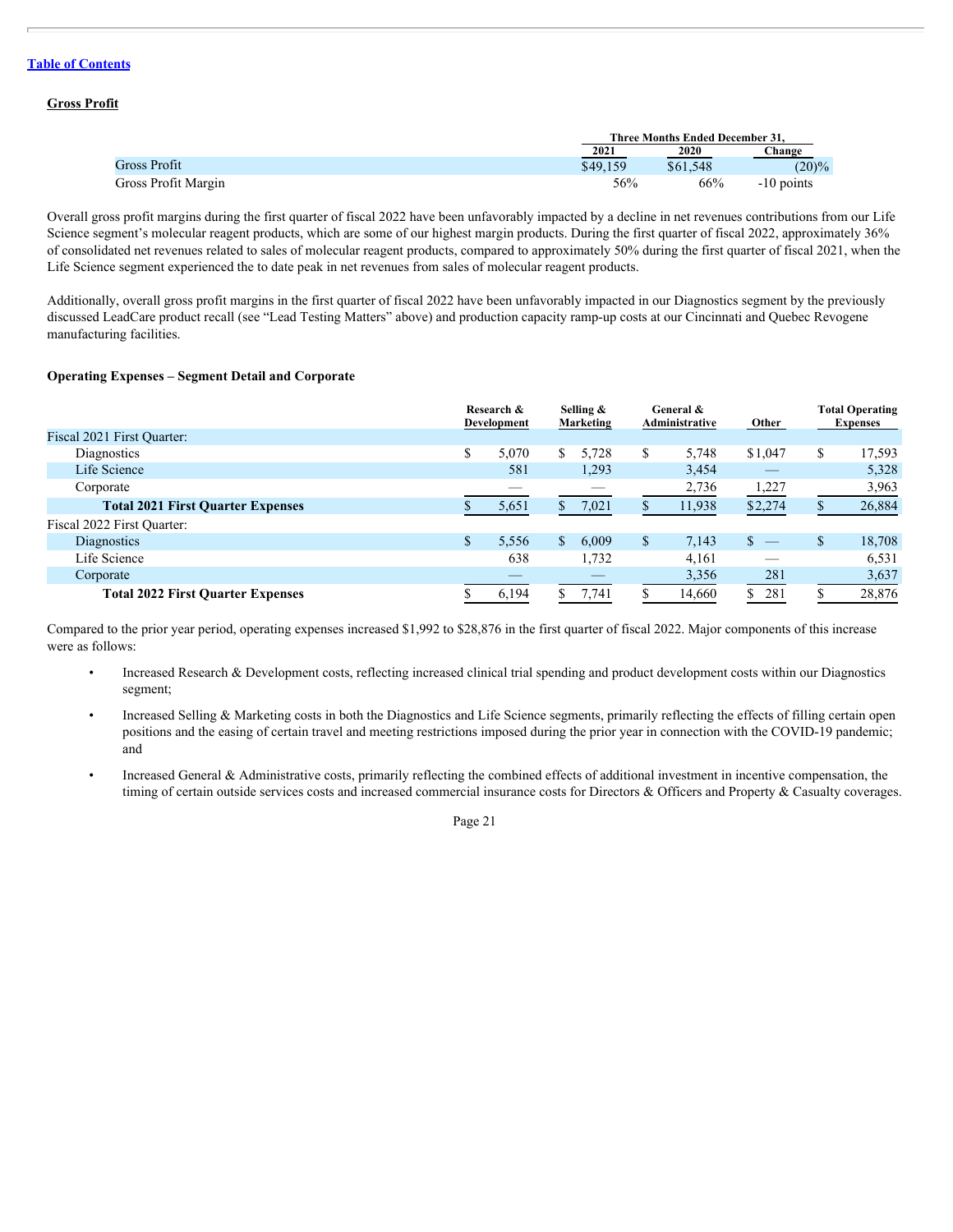# **Gross Profit**

|                     |          | Three Months Ended December 31, |              |  |  |  |
|---------------------|----------|---------------------------------|--------------|--|--|--|
|                     | 2021     | 2020                            | Change       |  |  |  |
| Gross Profit        | \$49,159 | \$61,548                        | $(20)\%$     |  |  |  |
| Gross Profit Margin | 56%      | 66%                             | $-10$ points |  |  |  |

Overall gross profit margins during the first quarter of fiscal 2022 have been unfavorably impacted by a decline in net revenues contributions from our Life Science segment's molecular reagent products, which are some of our highest margin products. During the first quarter of fiscal 2022, approximately 36% of consolidated net revenues related to sales of molecular reagent products, compared to approximately 50% during the first quarter of fiscal 2021, when the Life Science segment experienced the to date peak in net revenues from sales of molecular reagent products.

Additionally, overall gross profit margins in the first quarter of fiscal 2022 have been unfavorably impacted in our Diagnostics segment by the previously discussed LeadCare product recall (see "Lead Testing Matters" above) and production capacity ramp-up costs at our Cincinnati and Quebec Revogene manufacturing facilities.

#### **Operating Expenses – Segment Detail and Corporate**

|                                          | Research &<br>Development | Selling &<br>Marketing |   | General &<br>Administrative | Other                    | <b>Total Operating</b><br><b>Expenses</b> |
|------------------------------------------|---------------------------|------------------------|---|-----------------------------|--------------------------|-------------------------------------------|
| Fiscal 2021 First Quarter:               |                           |                        |   |                             |                          |                                           |
| Diagnostics                              | 5.070                     | 5,728                  | S | 5,748                       | \$1,047                  | 17,593                                    |
| Life Science                             | 581                       | 1,293                  |   | 3,454                       | $\overline{\phantom{m}}$ | 5,328                                     |
| Corporate                                |                           |                        |   | 2,736                       | 1,227                    | 3,963                                     |
| <b>Total 2021 First Quarter Expenses</b> | 5,651                     | 7,021                  |   | 11,938                      | \$2,274                  | 26,884                                    |
| Fiscal 2022 First Quarter:               |                           |                        |   |                             |                          |                                           |
| Diagnostics                              | 5,556                     | 6,009                  | Ж | 7,143                       | $\overline{\phantom{m}}$ | 18,708                                    |
| Life Science                             | 638                       | 1,732                  |   | 4,161                       | $\overline{\phantom{m}}$ | 6,531                                     |
| Corporate                                | __                        | $\hspace{0.05cm}$      |   | 3,356                       | 281                      | 3,637                                     |
| <b>Total 2022 First Quarter Expenses</b> | 6,194                     | 7,741                  |   | 14,660                      | \$ 281                   | 28,876                                    |

Compared to the prior year period, operating expenses increased \$1,992 to \$28,876 in the first quarter of fiscal 2022. Major components of this increase were as follows:

- Increased Research & Development costs, reflecting increased clinical trial spending and product development costs within our Diagnostics segment;
- Increased Selling & Marketing costs in both the Diagnostics and Life Science segments, primarily reflecting the effects of filling certain open positions and the easing of certain travel and meeting restrictions imposed during the prior year in connection with the COVID-19 pandemic; and
- Increased General & Administrative costs, primarily reflecting the combined effects of additional investment in incentive compensation, the timing of certain outside services costs and increased commercial insurance costs for Directors & Officers and Property & Casualty coverages.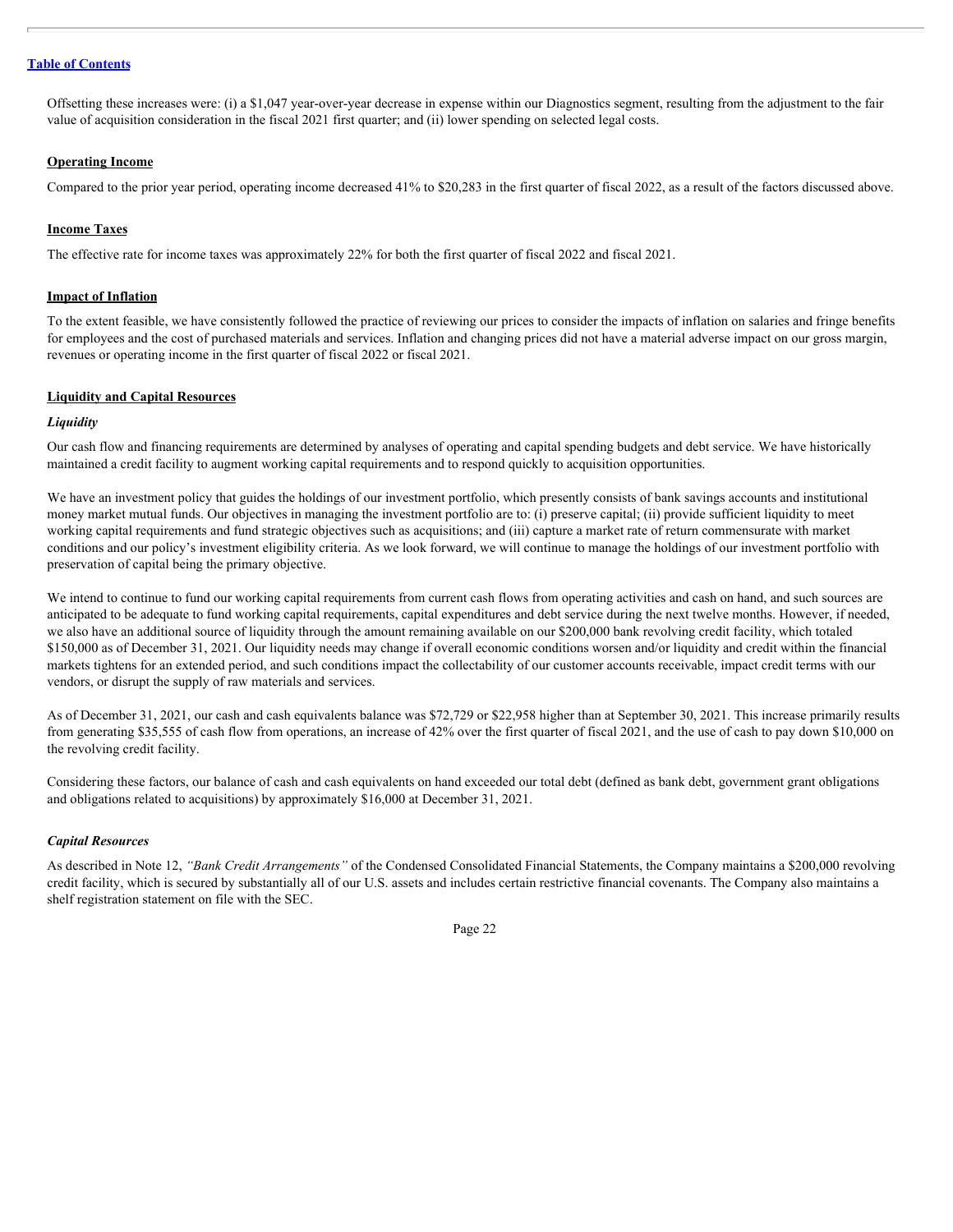#### **Table of Contents**

Offsetting these increases were: (i) a \$1,047 year-over-year decrease in expense within our Diagnostics segment, resulting from the adjustment to the fair value of acquisition consideration in the fiscal 2021 first quarter; and (ii) lower spending on selected legal costs.

#### **Operating Income**

Compared to the prior year period, operating income decreased 41% to \$20,283 in the first quarter of fiscal 2022, as a result of the factors discussed above.

# **Income Taxes**

The effective rate for income taxes was approximately 22% for both the first quarter of fiscal 2022 and fiscal 2021.

#### **Impact of Inflation**

To the extent feasible, we have consistently followed the practice of reviewing our prices to consider the impacts of inflation on salaries and fringe benefits for employees and the cost of purchased materials and services. Inflation and changing prices did not have a material adverse impact on our gross margin, revenues or operating income in the first quarter of fiscal 2022 or fiscal 2021.

#### **Liquidity and Capital Resources**

#### *Liquidity*

Our cash flow and financing requirements are determined by analyses of operating and capital spending budgets and debt service. We have historically maintained a credit facility to augment working capital requirements and to respond quickly to acquisition opportunities.

We have an investment policy that guides the holdings of our investment portfolio, which presently consists of bank savings accounts and institutional money market mutual funds. Our objectives in managing the investment portfolio are to: (i) preserve capital; (ii) provide sufficient liquidity to meet working capital requirements and fund strategic objectives such as acquisitions; and (iii) capture a market rate of return commensurate with market conditions and our policy's investment eligibility criteria. As we look forward, we will continue to manage the holdings of our investment portfolio with preservation of capital being the primary objective.

We intend to continue to fund our working capital requirements from current cash flows from operating activities and cash on hand, and such sources are anticipated to be adequate to fund working capital requirements, capital expenditures and debt service during the next twelve months. However, if needed, we also have an additional source of liquidity through the amount remaining available on our \$200,000 bank revolving credit facility, which totaled \$150,000 as of December 31, 2021. Our liquidity needs may change if overall economic conditions worsen and/or liquidity and credit within the financial markets tightens for an extended period, and such conditions impact the collectability of our customer accounts receivable, impact credit terms with our vendors, or disrupt the supply of raw materials and services.

As of December 31, 2021, our cash and cash equivalents balance was \$72,729 or \$22,958 higher than at September 30, 2021. This increase primarily results from generating \$35,555 of cash flow from operations, an increase of 42% over the first quarter of fiscal 2021, and the use of cash to pay down \$10,000 on the revolving credit facility.

Considering these factors, our balance of cash and cash equivalents on hand exceeded our total debt (defined as bank debt, government grant obligations and obligations related to acquisitions) by approximately \$16,000 at December 31, 2021.

# *Capital Resources*

As described in Note 12, *"Bank Credit Arrangements"* of the Condensed Consolidated Financial Statements, the Company maintains a \$200,000 revolving credit facility, which is secured by substantially all of our U.S. assets and includes certain restrictive financial covenants. The Company also maintains a shelf registration statement on file with the SEC.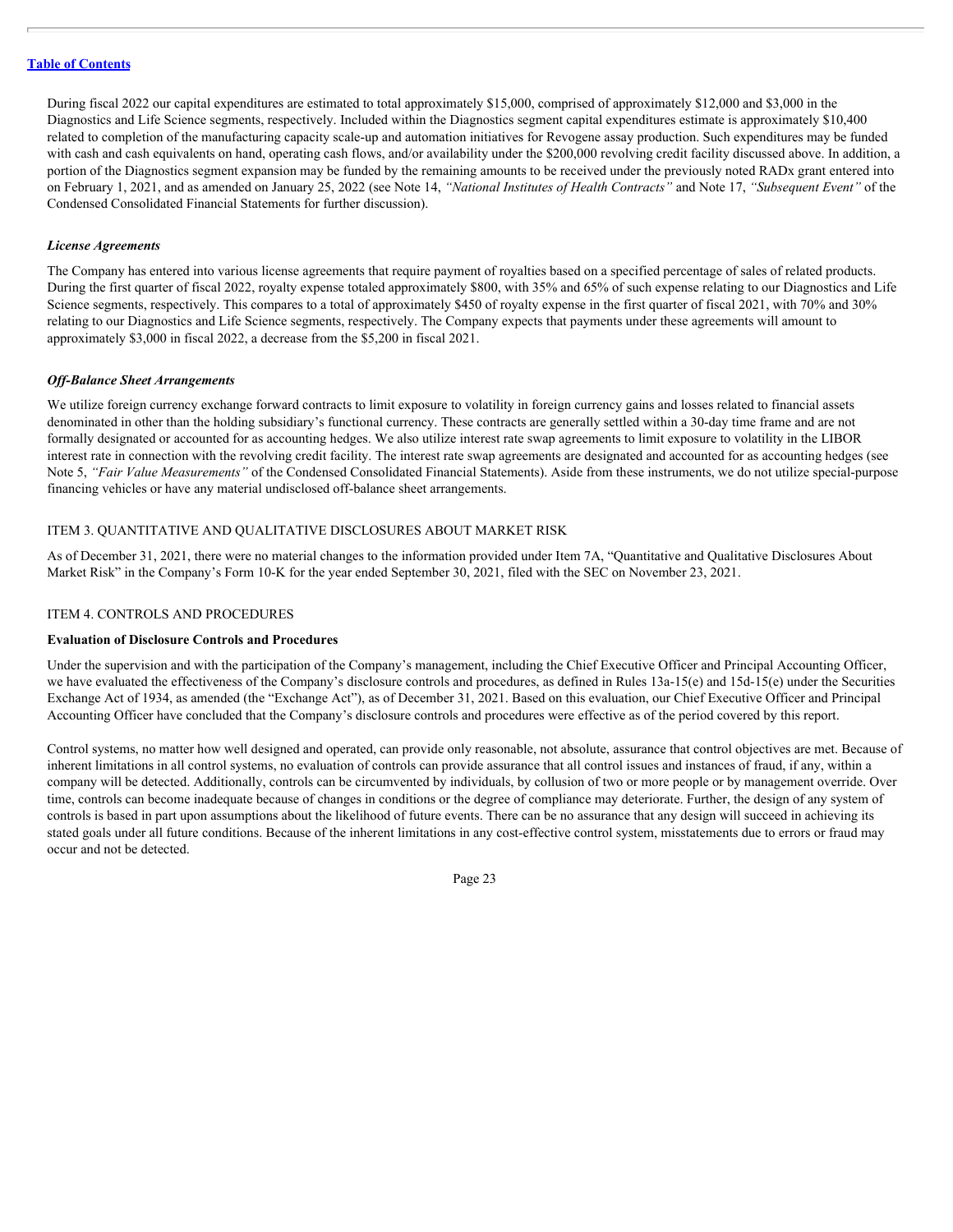#### **Table of Contents**

During fiscal 2022 our capital expenditures are estimated to total approximately \$15,000, comprised of approximately \$12,000 and \$3,000 in the Diagnostics and Life Science segments, respectively. Included within the Diagnostics segment capital expenditures estimate is approximately \$10,400 related to completion of the manufacturing capacity scale-up and automation initiatives for Revogene assay production. Such expenditures may be funded with cash and cash equivalents on hand, operating cash flows, and/or availability under the \$200,000 revolving credit facility discussed above. In addition, a portion of the Diagnostics segment expansion may be funded by the remaining amounts to be received under the previously noted RADx grant entered into on February 1, 2021, and as amended on January 25, 2022 (see Note 14, *"National Institutes of Health Contracts"* and Note 17, *"Subsequent Event"* of the Condensed Consolidated Financial Statements for further discussion).

#### *License Agreements*

The Company has entered into various license agreements that require payment of royalties based on a specified percentage of sales of related products. During the first quarter of fiscal 2022, royalty expense totaled approximately \$800, with 35% and 65% of such expense relating to our Diagnostics and Life Science segments, respectively. This compares to a total of approximately \$450 of royalty expense in the first quarter of fiscal 2021, with 70% and 30% relating to our Diagnostics and Life Science segments, respectively. The Company expects that payments under these agreements will amount to approximately \$3,000 in fiscal 2022, a decrease from the \$5,200 in fiscal 2021.

#### *Off-Balance Sheet Arrangements*

We utilize foreign currency exchange forward contracts to limit exposure to volatility in foreign currency gains and losses related to financial assets denominated in other than the holding subsidiary's functional currency. These contracts are generally settled within a 30-day time frame and are not formally designated or accounted for as accounting hedges. We also utilize interest rate swap agreements to limit exposure to volatility in the LIBOR interest rate in connection with the revolving credit facility. The interest rate swap agreements are designated and accounted for as accounting hedges (see Note 5, *"Fair Value Measurements"* of the Condensed Consolidated Financial Statements). Aside from these instruments, we do not utilize special-purpose financing vehicles or have any material undisclosed off-balance sheet arrangements.

#### ITEM 3. QUANTITATIVE AND QUALITATIVE DISCLOSURES ABOUT MARKET RISK

As of December 31, 2021, there were no material changes to the information provided under Item 7A, "Quantitative and Qualitative Disclosures About Market Risk" in the Company's Form 10-K for the year ended September 30, 2021, filed with the SEC on November 23, 2021.

#### ITEM 4. CONTROLS AND PROCEDURES

#### **Evaluation of Disclosure Controls and Procedures**

Under the supervision and with the participation of the Company's management, including the Chief Executive Officer and Principal Accounting Officer, we have evaluated the effectiveness of the Company's disclosure controls and procedures, as defined in Rules 13a-15(e) and 15d-15(e) under the Securities Exchange Act of 1934, as amended (the "Exchange Act"), as of December 31, 2021. Based on this evaluation, our Chief Executive Officer and Principal Accounting Officer have concluded that the Company's disclosure controls and procedures were effective as of the period covered by this report.

Control systems, no matter how well designed and operated, can provide only reasonable, not absolute, assurance that control objectives are met. Because of inherent limitations in all control systems, no evaluation of controls can provide assurance that all control issues and instances of fraud, if any, within a company will be detected. Additionally, controls can be circumvented by individuals, by collusion of two or more people or by management override. Over time, controls can become inadequate because of changes in conditions or the degree of compliance may deteriorate. Further, the design of any system of controls is based in part upon assumptions about the likelihood of future events. There can be no assurance that any design will succeed in achieving its stated goals under all future conditions. Because of the inherent limitations in any cost-effective control system, misstatements due to errors or fraud may occur and not be detected.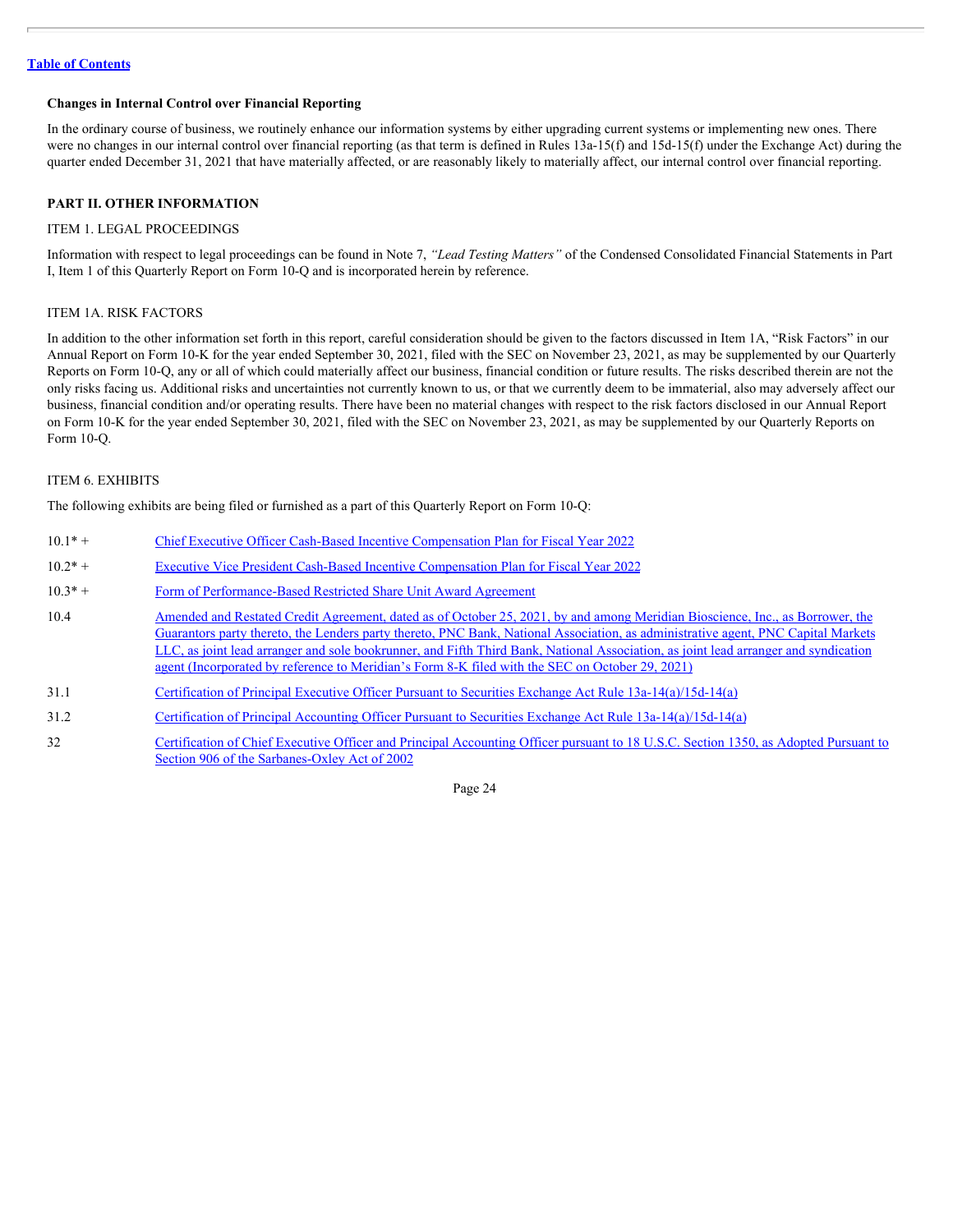#### **Changes in Internal Control over Financial Reporting**

In the ordinary course of business, we routinely enhance our information systems by either upgrading current systems or implementing new ones. There were no changes in our internal control over financial reporting (as that term is defined in Rules 13a-15(f) and 15d-15(f) under the Exchange Act) during the quarter ended December 31, 2021 that have materially affected, or are reasonably likely to materially affect, our internal control over financial reporting.

# **PART II. OTHER INFORMATION**

#### ITEM 1. LEGAL PROCEEDINGS

Information with respect to legal proceedings can be found in Note 7, *"Lead Testing Matters"* of the Condensed Consolidated Financial Statements in Part I, Item 1 of this Quarterly Report on Form 10-Q and is incorporated herein by reference.

#### ITEM 1A. RISK FACTORS

In addition to the other information set forth in this report, careful consideration should be given to the factors discussed in Item 1A, "Risk Factors" in our Annual Report on Form 10-K for the year ended September 30, 2021, filed with the SEC on November 23, 2021, as may be supplemented by our Quarterly Reports on Form 10-Q, any or all of which could materially affect our business, financial condition or future results. The risks described therein are not the only risks facing us. Additional risks and uncertainties not currently known to us, or that we currently deem to be immaterial, also may adversely affect our business, financial condition and/or operating results. There have been no material changes with respect to the risk factors disclosed in our Annual Report on Form 10-K for the year ended September 30, 2021, filed with the SEC on November 23, 2021, as may be supplemented by our Quarterly Reports on Form 10-Q.

#### ITEM 6. EXHIBITS

The following exhibits are being filed or furnished as a part of this Quarterly Report on Form 10-Q:

Section 906 of the Sarbanes-Oxley Act of 2002

| $10.1* +$ | <b>Chief Executive Officer Cash-Based Incentive Compensation Plan for Fiscal Year 2022</b>                                                                                                                                                                                                                                                                                                                                                                                                                   |
|-----------|--------------------------------------------------------------------------------------------------------------------------------------------------------------------------------------------------------------------------------------------------------------------------------------------------------------------------------------------------------------------------------------------------------------------------------------------------------------------------------------------------------------|
| $10.2* +$ | <b>Executive Vice President Cash-Based Incentive Compensation Plan for Fiscal Year 2022</b>                                                                                                                                                                                                                                                                                                                                                                                                                  |
| $10.3* +$ | Form of Performance-Based Restricted Share Unit Award Agreement                                                                                                                                                                                                                                                                                                                                                                                                                                              |
| 10.4      | Amended and Restated Credit Agreement, dated as of October 25, 2021, by and among Meridian Bioscience, Inc., as Borrower, the<br>Guarantors party thereto, the Lenders party thereto, PNC Bank, National Association, as administrative agent, PNC Capital Markets<br>LLC, as joint lead arranger and sole bookrunner, and Fifth Third Bank, National Association, as joint lead arranger and syndication<br>agent (Incorporated by reference to Meridian's Form 8-K filed with the SEC on October 29, 2021) |
| 31.1      | Certification of Principal Executive Officer Pursuant to Securities Exchange Act Rule 13a-14(a)/15d-14(a)                                                                                                                                                                                                                                                                                                                                                                                                    |
| 31.2      | Certification of Principal Accounting Officer Pursuant to Securities Exchange Act Rule 13a-14(a)/15d-14(a)                                                                                                                                                                                                                                                                                                                                                                                                   |
| 32        | Certification of Chief Executive Officer and Principal Accounting Officer pursuant to 18 U.S.C. Section 1350, as Adopted Pursuant to                                                                                                                                                                                                                                                                                                                                                                         |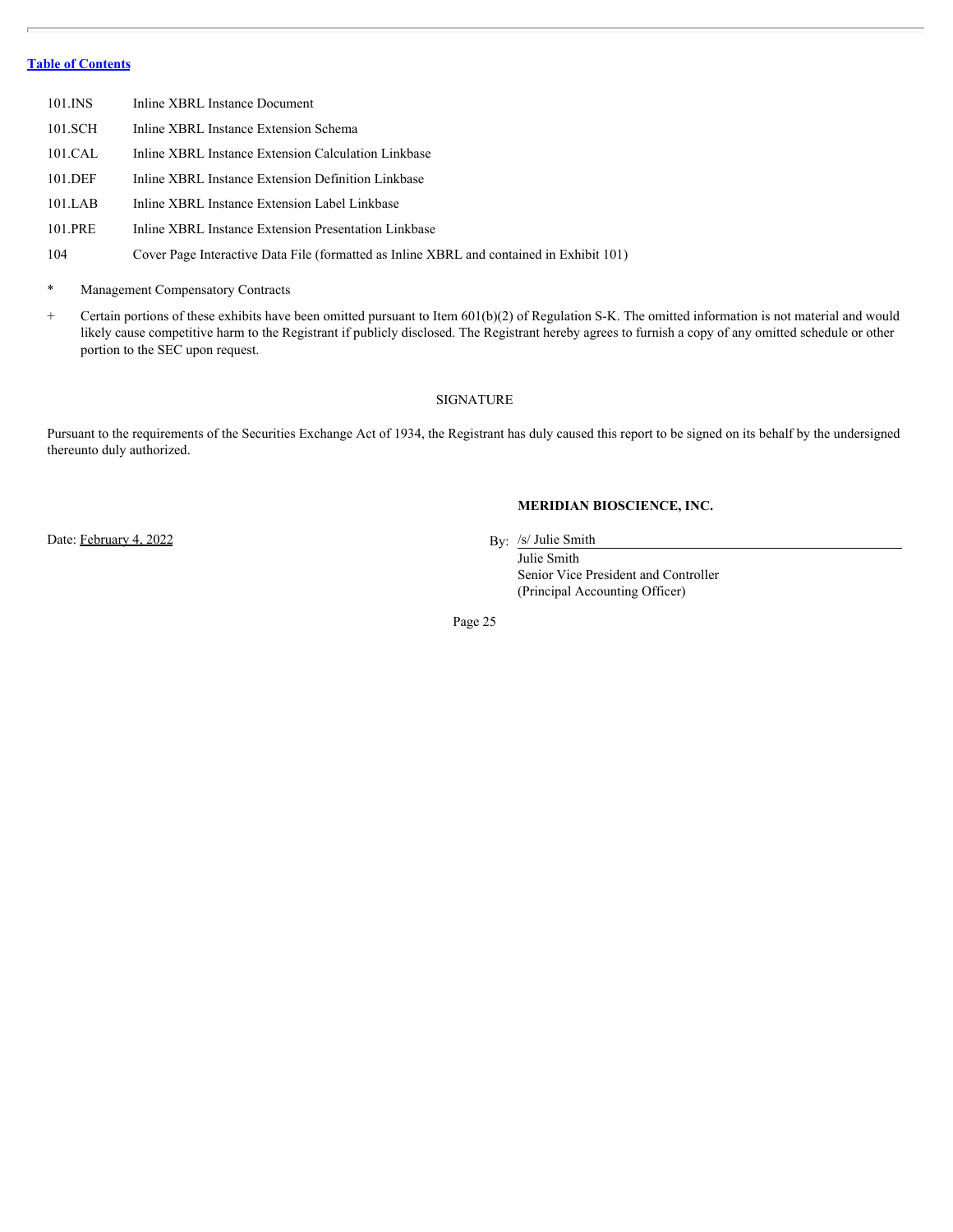# **Table of Contents**

| 101.INS   | Inline XBRL Instance Document                        |
|-----------|------------------------------------------------------|
| 101.SCH   | Inline XBRL Instance Extension Schema                |
| 101.CAL   | Inline XBRL Instance Extension Calculation Linkbase  |
| 101.DEF   | Inline XBRL Instance Extension Definition Linkbase   |
| $101$ LAB | Inline XBRL Instance Extension Label Linkbase        |
| 101.PRE   | Inline XBRL Instance Extension Presentation Linkbase |
|           |                                                      |

- 104 Cover Page Interactive Data File (formatted as Inline XBRL and contained in Exhibit 101)
- Management Compensatory Contracts
- + Certain portions of these exhibits have been omitted pursuant to Item 601(b)(2) of Regulation S-K. The omitted information is not material and would likely cause competitive harm to the Registrant if publicly disclosed. The Registrant hereby agrees to furnish a copy of any omitted schedule or other portion to the SEC upon request.

#### SIGNATURE

Pursuant to the requirements of the Securities Exchange Act of 1934, the Registrant has duly caused this report to be signed on its behalf by the undersigned thereunto duly authorized.

#### **MERIDIAN BIOSCIENCE, INC.**

Julie Smith Senior Vice President and Controller (Principal Accounting Officer)

Page 25

Date: February 4, 2022 By: /s/ Julie Smith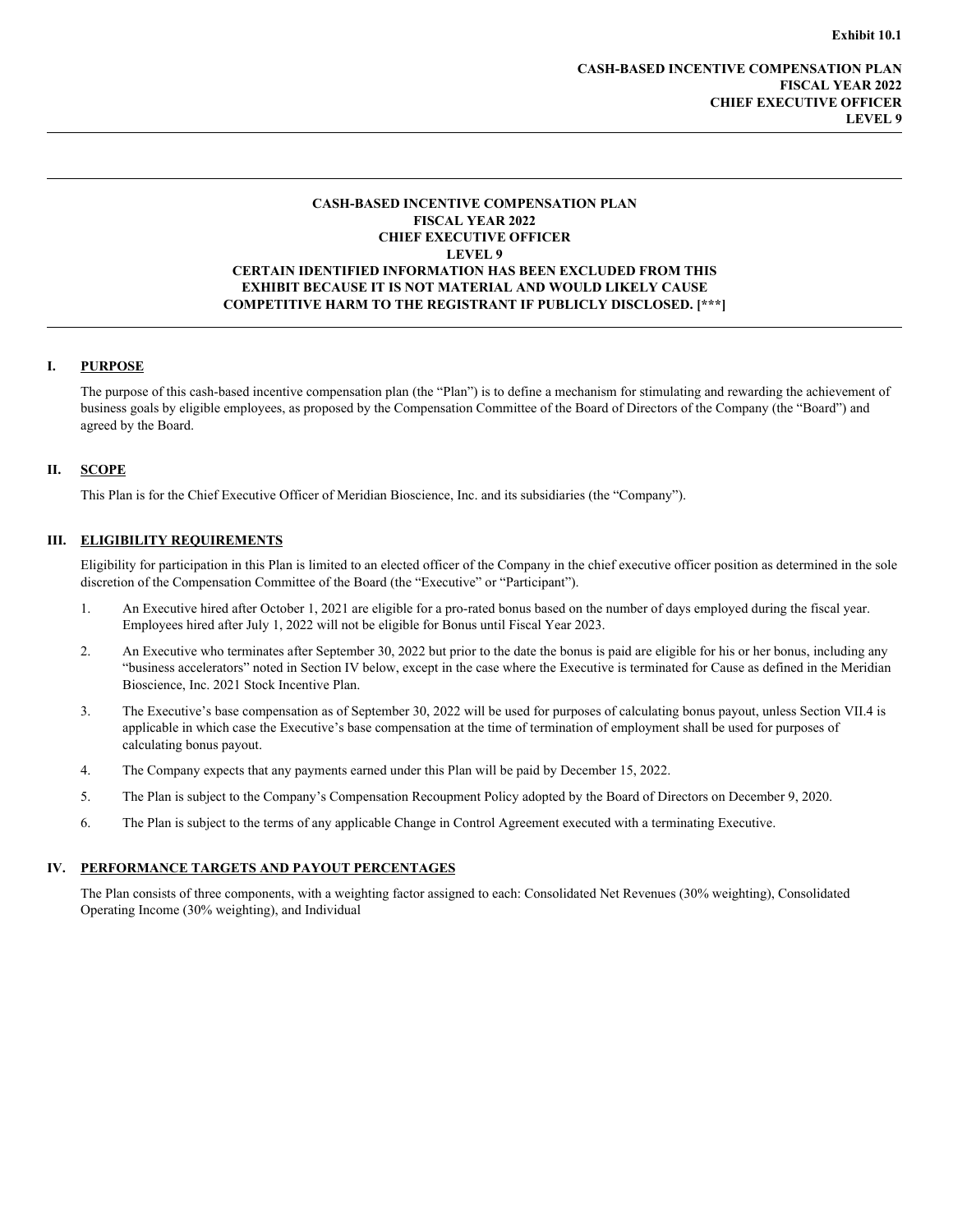# **CASH-BASED INCENTIVE COMPENSATION PLAN FISCAL YEAR 2022 CHIEF EXECUTIVE OFFICER LEVEL 9 CERTAIN IDENTIFIED INFORMATION HAS BEEN EXCLUDED FROM THIS EXHIBIT BECAUSE IT IS NOT MATERIAL AND WOULD LIKELY CAUSE COMPETITIVE HARM TO THE REGISTRANT IF PUBLICLY DISCLOSED. [\*\*\*]**

#### **I. PURPOSE**

The purpose of this cash-based incentive compensation plan (the "Plan") is to define a mechanism for stimulating and rewarding the achievement of business goals by eligible employees, as proposed by the Compensation Committee of the Board of Directors of the Company (the "Board") and agreed by the Board.

#### **II. SCOPE**

This Plan is for the Chief Executive Officer of Meridian Bioscience, Inc. and its subsidiaries (the "Company").

#### **III. ELIGIBILITY REQUIREMENTS**

Eligibility for participation in this Plan is limited to an elected officer of the Company in the chief executive officer position as determined in the sole discretion of the Compensation Committee of the Board (the "Executive" or "Participant").

- 1. An Executive hired after October 1, 2021 are eligible for a pro-rated bonus based on the number of days employed during the fiscal year. Employees hired after July 1, 2022 will not be eligible for Bonus until Fiscal Year 2023.
- 2. An Executive who terminates after September 30, 2022 but prior to the date the bonus is paid are eligible for his or her bonus, including any "business accelerators" noted in Section IV below, except in the case where the Executive is terminated for Cause as defined in the Meridian Bioscience, Inc. 2021 Stock Incentive Plan.
- 3. The Executive's base compensation as of September 30, 2022 will be used for purposes of calculating bonus payout, unless Section VII.4 is applicable in which case the Executive's base compensation at the time of termination of employment shall be used for purposes of calculating bonus payout.
- 4. The Company expects that any payments earned under this Plan will be paid by December 15, 2022.
- 5. The Plan is subject to the Company's Compensation Recoupment Policy adopted by the Board of Directors on December 9, 2020.
- 6. The Plan is subject to the terms of any applicable Change in Control Agreement executed with a terminating Executive.

#### **IV. PERFORMANCE TARGETS AND PAYOUT PERCENTAGES**

The Plan consists of three components, with a weighting factor assigned to each: Consolidated Net Revenues (30% weighting), Consolidated Operating Income (30% weighting), and Individual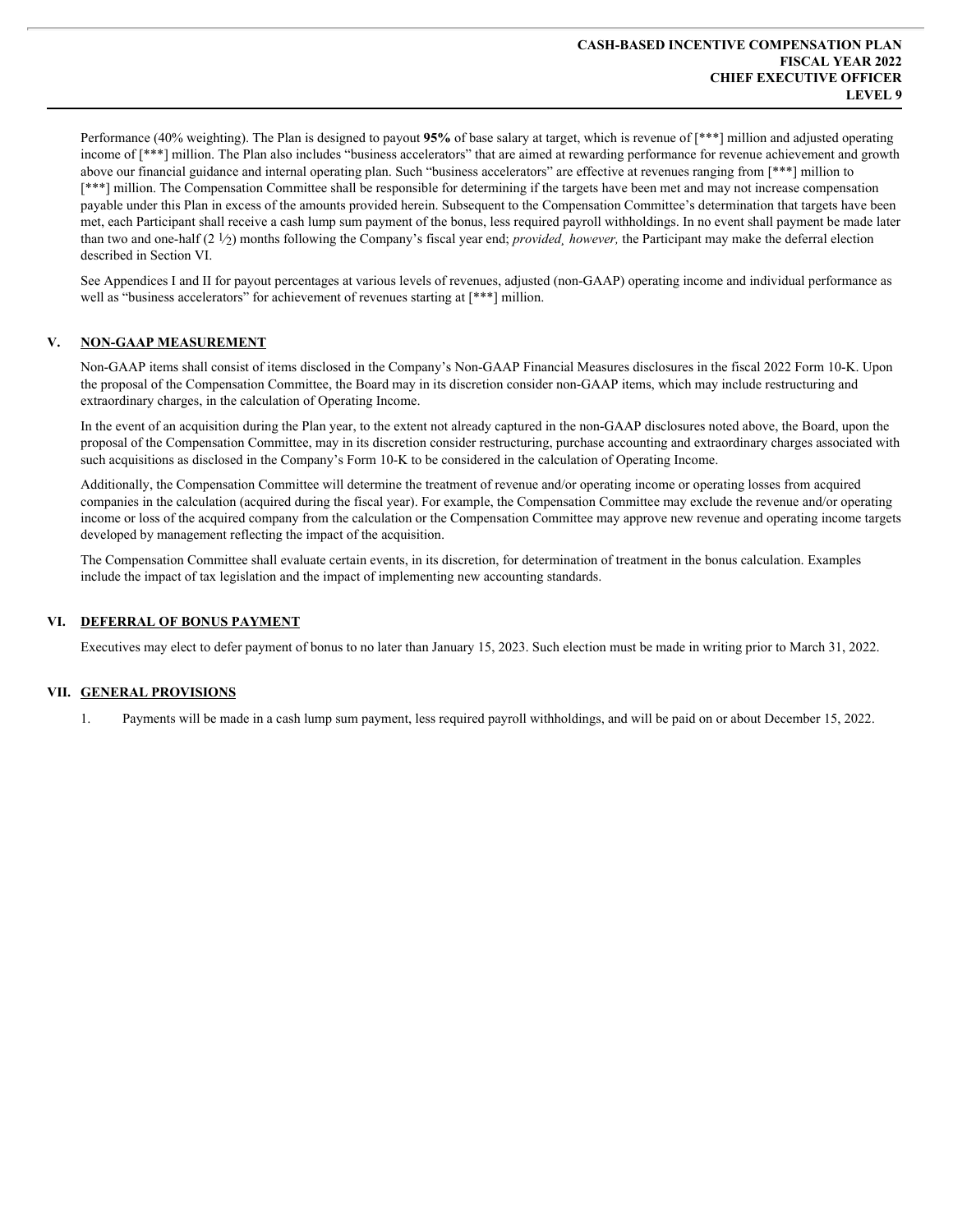Performance (40% weighting). The Plan is designed to payout **95%** of base salary at target, which is revenue of [\*\*\*] million and adjusted operating income of [\*\*\*] million. The Plan also includes "business accelerators" that are aimed at rewarding performance for revenue achievement and growth above our financial guidance and internal operating plan. Such "business accelerators" are effective at revenues ranging from [\*\*\*] million to [\*\*\*] million. The Compensation Committee shall be responsible for determining if the targets have been met and may not increase compensation payable under this Plan in excess of the amounts provided herein. Subsequent to the Compensation Committee's determination that targets have been met, each Participant shall receive a cash lump sum payment of the bonus, less required payroll withholdings. In no event shall payment be made later than two and one-half (2 <sup>1</sup>/<sub>2</sub>) months following the Company's fiscal year end; *provided, however*, the Participant may make the deferral election described in Section VI.

See Appendices I and II for payout percentages at various levels of revenues, adjusted (non-GAAP) operating income and individual performance as well as "business accelerators" for achievement of revenues starting at  $[***]$  million.

# **V. NON-GAAP MEASUREMENT**

Non-GAAP items shall consist of items disclosed in the Company's Non-GAAP Financial Measures disclosures in the fiscal 2022 Form 10-K. Upon the proposal of the Compensation Committee, the Board may in its discretion consider non-GAAP items, which may include restructuring and extraordinary charges, in the calculation of Operating Income.

In the event of an acquisition during the Plan year, to the extent not already captured in the non-GAAP disclosures noted above, the Board, upon the proposal of the Compensation Committee, may in its discretion consider restructuring, purchase accounting and extraordinary charges associated with such acquisitions as disclosed in the Company's Form 10-K to be considered in the calculation of Operating Income.

Additionally, the Compensation Committee will determine the treatment of revenue and/or operating income or operating losses from acquired companies in the calculation (acquired during the fiscal year). For example, the Compensation Committee may exclude the revenue and/or operating income or loss of the acquired company from the calculation or the Compensation Committee may approve new revenue and operating income targets developed by management reflecting the impact of the acquisition.

The Compensation Committee shall evaluate certain events, in its discretion, for determination of treatment in the bonus calculation. Examples include the impact of tax legislation and the impact of implementing new accounting standards.

#### **VI. DEFERRAL OF BONUS PAYMENT**

Executives may elect to defer payment of bonus to no later than January 15, 2023. Such election must be made in writing prior to March 31, 2022.

# **VII. GENERAL PROVISIONS**

1. Payments will be made in a cash lump sum payment, less required payroll withholdings, and will be paid on or about December 15, 2022.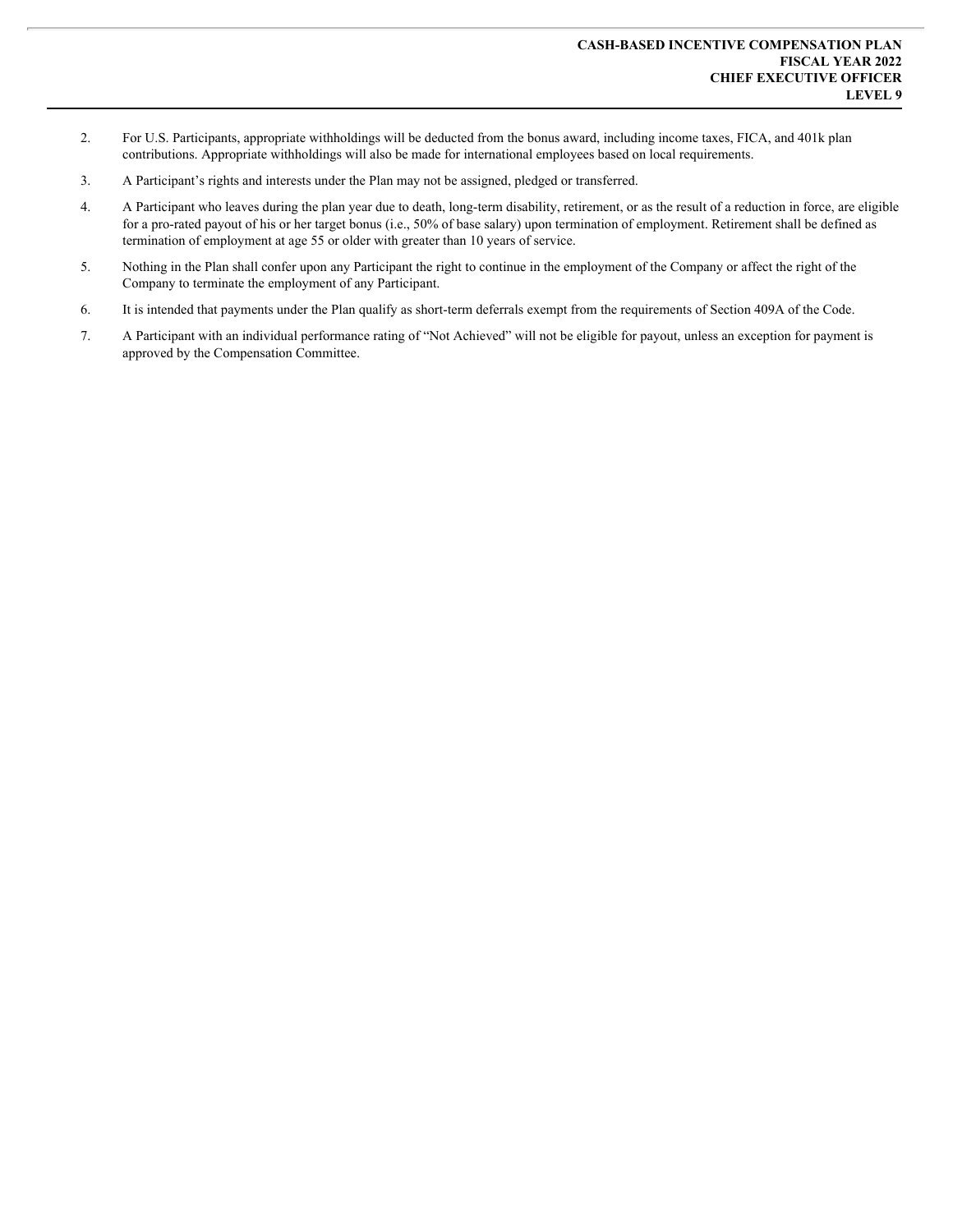- 2. For U.S. Participants, appropriate withholdings will be deducted from the bonus award, including income taxes, FICA, and 401k plan contributions. Appropriate withholdings will also be made for international employees based on local requirements.
- 3. A Participant's rights and interests under the Plan may not be assigned, pledged or transferred.
- 4. A Participant who leaves during the plan year due to death, long-term disability, retirement, or as the result of a reduction in force, are eligible for a pro-rated payout of his or her target bonus (i.e., 50% of base salary) upon termination of employment. Retirement shall be defined as termination of employment at age 55 or older with greater than 10 years of service.
- 5. Nothing in the Plan shall confer upon any Participant the right to continue in the employment of the Company or affect the right of the Company to terminate the employment of any Participant.
- 6. It is intended that payments under the Plan qualify as short-term deferrals exempt from the requirements of Section 409A of the Code.
- 7. A Participant with an individual performance rating of "Not Achieved" will not be eligible for payout, unless an exception for payment is approved by the Compensation Committee.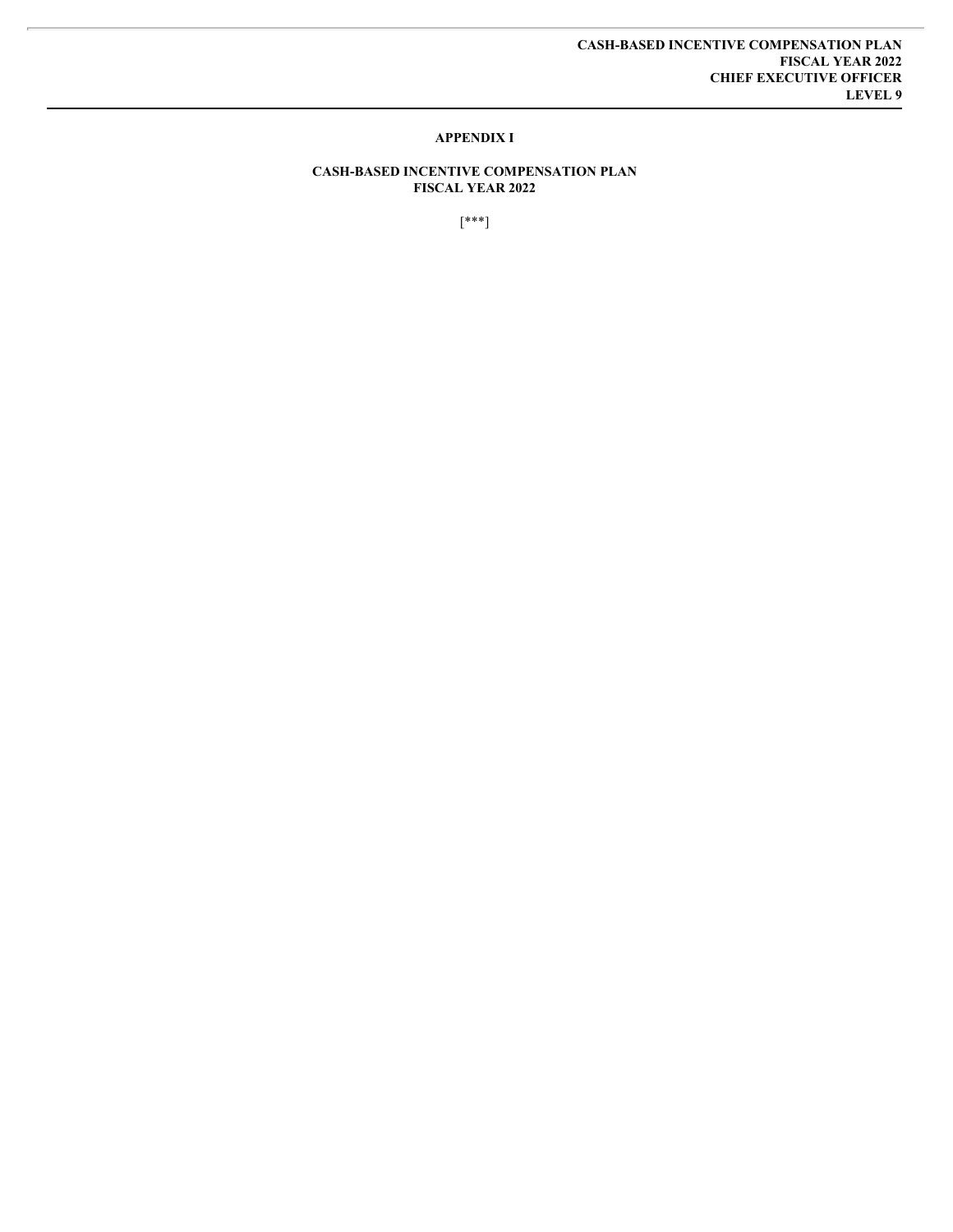# **APPENDIX I**

# **CASH-BASED INCENTIVE COMPENSATION PLAN FISCAL YEAR 2022**

[\*\*\*]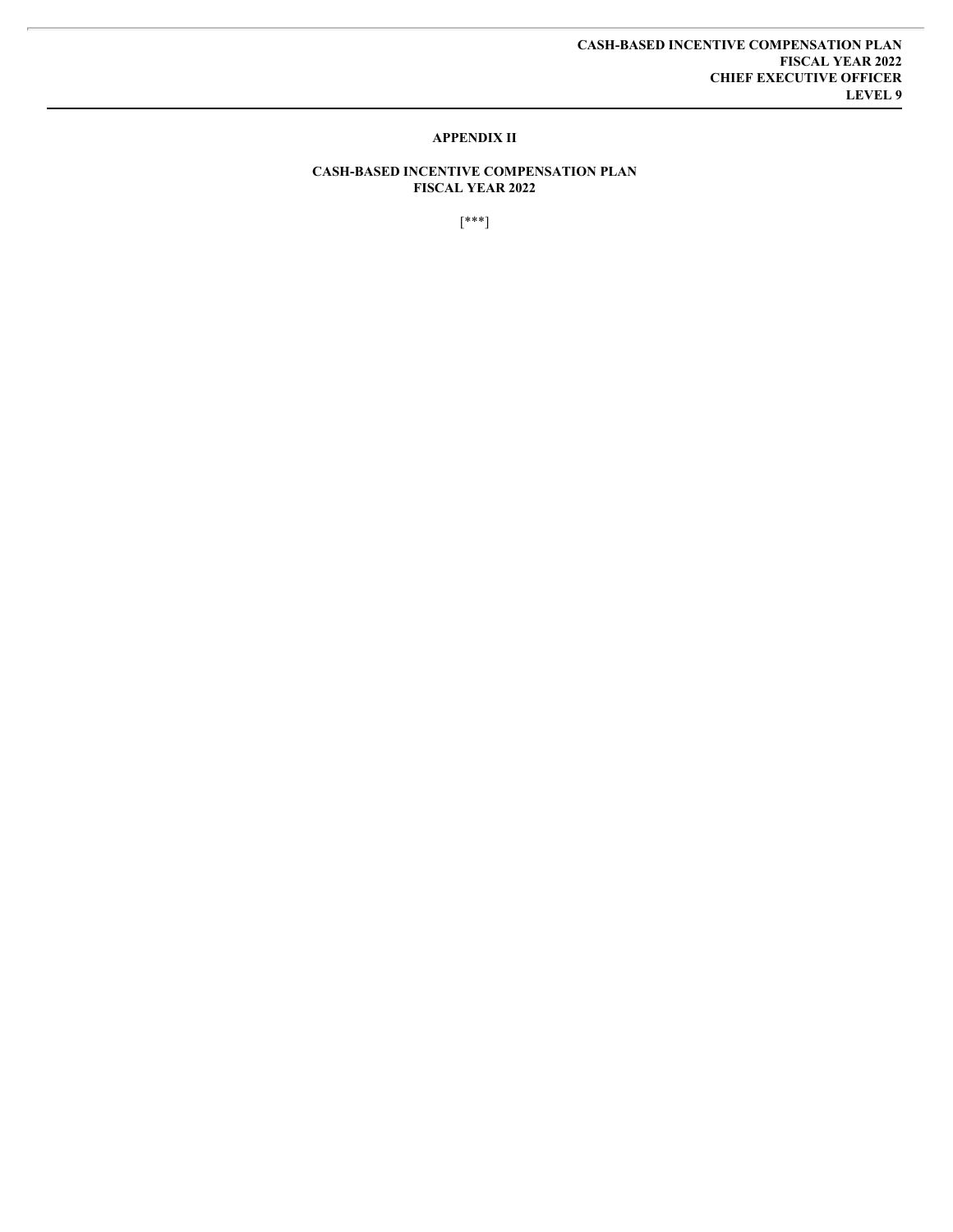# **APPENDIX II**

# **CASH-BASED INCENTIVE COMPENSATION PLAN FISCAL YEAR 2022**

[\*\*\*]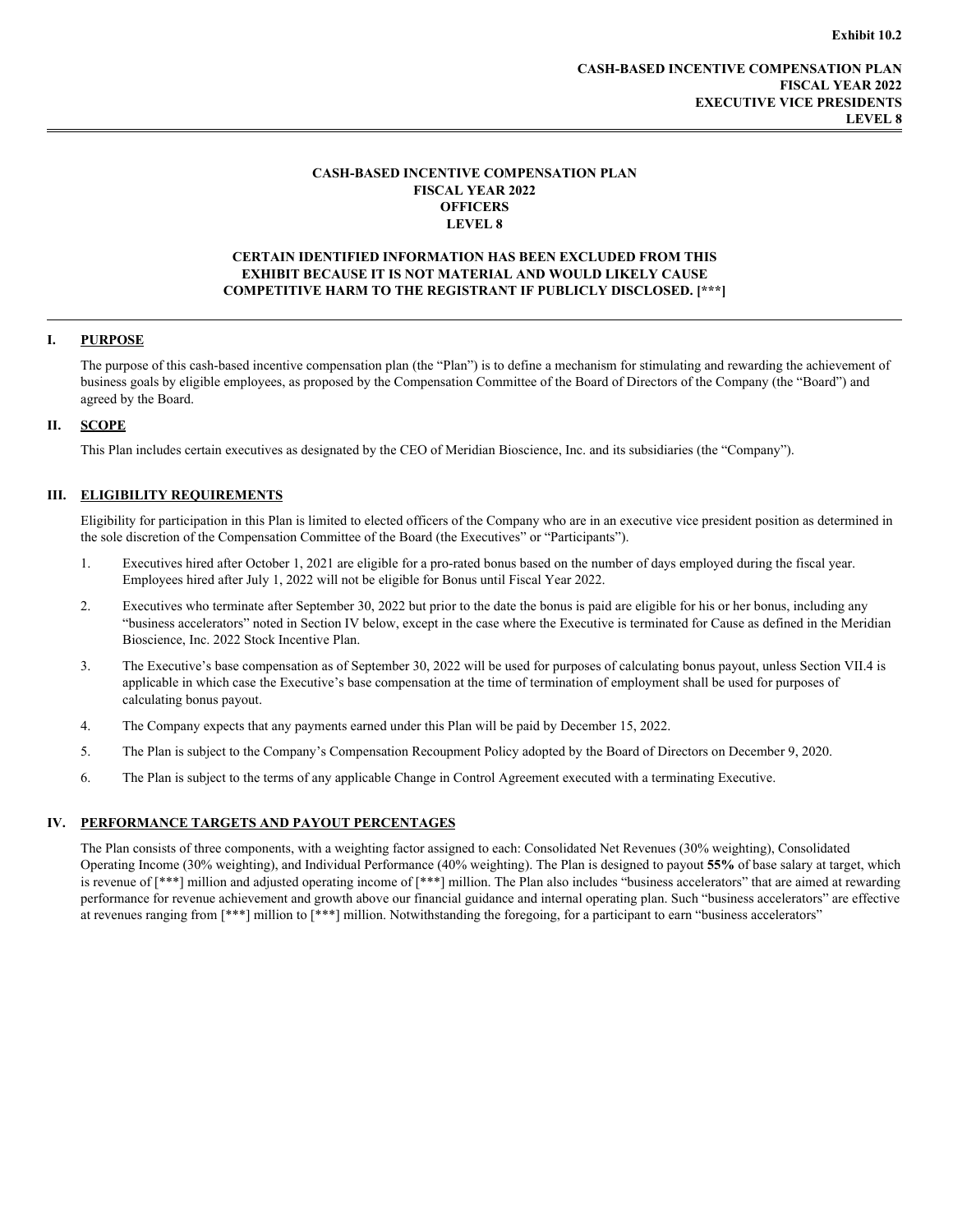#### **CASH-BASED INCENTIVE COMPENSATION PLAN FISCAL YEAR 2022 OFFICERS LEVEL 8**

#### **CERTAIN IDENTIFIED INFORMATION HAS BEEN EXCLUDED FROM THIS EXHIBIT BECAUSE IT IS NOT MATERIAL AND WOULD LIKELY CAUSE COMPETITIVE HARM TO THE REGISTRANT IF PUBLICLY DISCLOSED. [\*\*\*]**

#### **I. PURPOSE**

The purpose of this cash-based incentive compensation plan (the "Plan") is to define a mechanism for stimulating and rewarding the achievement of business goals by eligible employees, as proposed by the Compensation Committee of the Board of Directors of the Company (the "Board") and agreed by the Board.

#### **II. SCOPE**

This Plan includes certain executives as designated by the CEO of Meridian Bioscience, Inc. and its subsidiaries (the "Company").

#### **III. ELIGIBILITY REQUIREMENTS**

Eligibility for participation in this Plan is limited to elected officers of the Company who are in an executive vice president position as determined in the sole discretion of the Compensation Committee of the Board (the Executives" or "Participants").

- 1. Executives hired after October 1, 2021 are eligible for a pro-rated bonus based on the number of days employed during the fiscal year. Employees hired after July 1, 2022 will not be eligible for Bonus until Fiscal Year 2022.
- 2. Executives who terminate after September 30, 2022 but prior to the date the bonus is paid are eligible for his or her bonus, including any "business accelerators" noted in Section IV below, except in the case where the Executive is terminated for Cause as defined in the Meridian Bioscience, Inc. 2022 Stock Incentive Plan.
- 3. The Executive's base compensation as of September 30, 2022 will be used for purposes of calculating bonus payout, unless Section VII.4 is applicable in which case the Executive's base compensation at the time of termination of employment shall be used for purposes of calculating bonus payout.
- 4. The Company expects that any payments earned under this Plan will be paid by December 15, 2022.
- 5. The Plan is subject to the Company's Compensation Recoupment Policy adopted by the Board of Directors on December 9, 2020.
- 6. The Plan is subject to the terms of any applicable Change in Control Agreement executed with a terminating Executive.

#### **IV. PERFORMANCE TARGETS AND PAYOUT PERCENTAGES**

The Plan consists of three components, with a weighting factor assigned to each: Consolidated Net Revenues (30% weighting), Consolidated Operating Income (30% weighting), and Individual Performance (40% weighting). The Plan is designed to payout **55%** of base salary at target, which is revenue of [\*\*\*] million and adjusted operating income of [\*\*\*] million. The Plan also includes "business accelerators" that are aimed at rewarding performance for revenue achievement and growth above our financial guidance and internal operating plan. Such "business accelerators" are effective at revenues ranging from [\*\*\*] million to [\*\*\*] million. Notwithstanding the foregoing, for a participant to earn "business accelerators"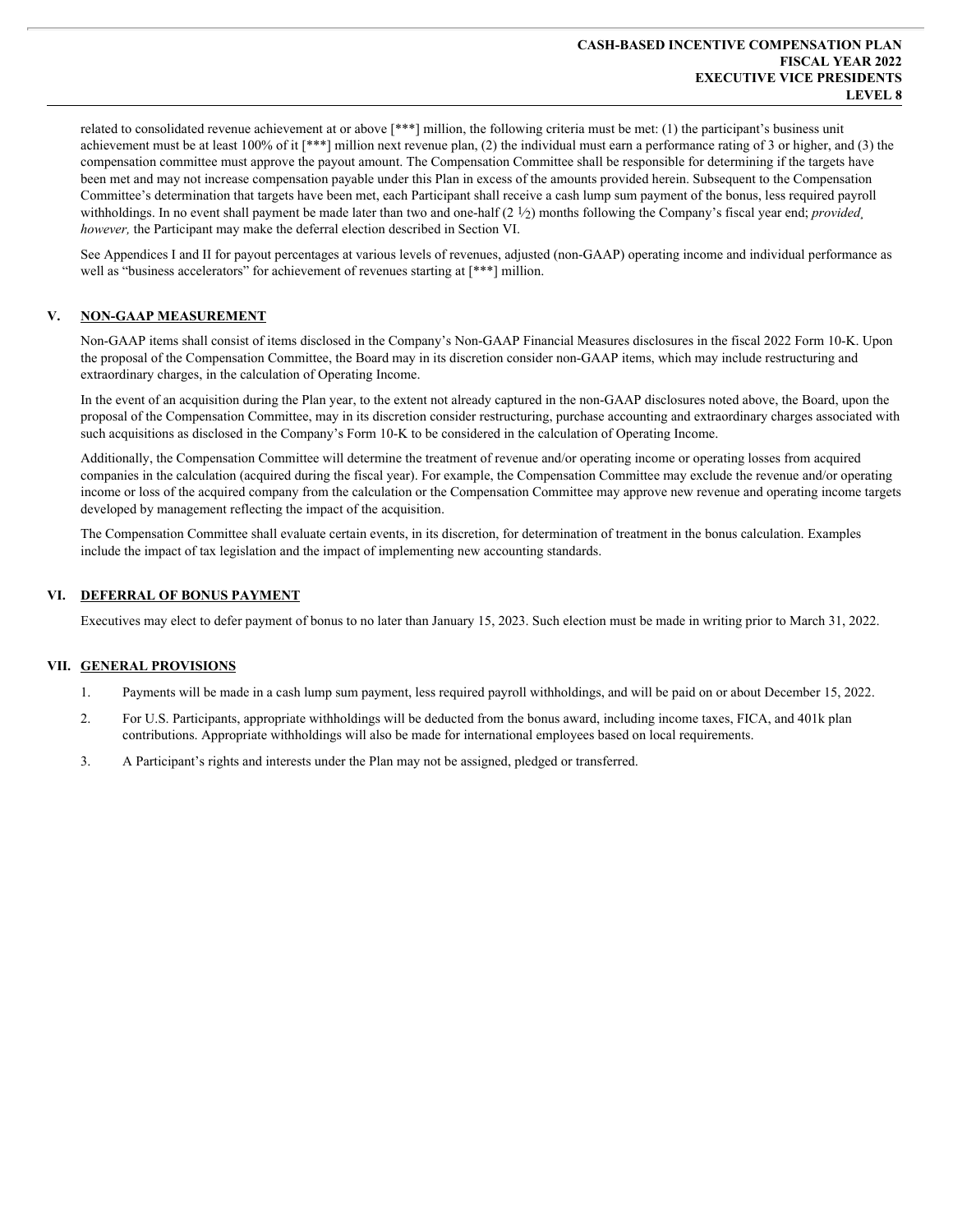related to consolidated revenue achievement at or above [\*\*\*] million, the following criteria must be met: (1) the participant's business unit achievement must be at least 100% of it [\*\*\*] million next revenue plan, (2) the individual must earn a performance rating of 3 or higher, and (3) the compensation committee must approve the payout amount. The Compensation Committee shall be responsible for determining if the targets have been met and may not increase compensation payable under this Plan in excess of the amounts provided herein. Subsequent to the Compensation Committee's determination that targets have been met, each Participant shall receive a cash lump sum payment of the bonus, less required payroll withholdings. In no event shall payment be made later than two and one-half  $(2 \frac{1}{2})$  months following the Company's fiscal year end; *provided*, *however,* the Participant may make the deferral election described in Section VI.

See Appendices I and II for payout percentages at various levels of revenues, adjusted (non-GAAP) operating income and individual performance as well as "business accelerators" for achievement of revenues starting at [\*\*\*] million.

# **V. NON-GAAP MEASUREMENT**

Non-GAAP items shall consist of items disclosed in the Company's Non-GAAP Financial Measures disclosures in the fiscal 2022 Form 10-K. Upon the proposal of the Compensation Committee, the Board may in its discretion consider non-GAAP items, which may include restructuring and extraordinary charges, in the calculation of Operating Income.

In the event of an acquisition during the Plan year, to the extent not already captured in the non-GAAP disclosures noted above, the Board, upon the proposal of the Compensation Committee, may in its discretion consider restructuring, purchase accounting and extraordinary charges associated with such acquisitions as disclosed in the Company's Form 10-K to be considered in the calculation of Operating Income.

Additionally, the Compensation Committee will determine the treatment of revenue and/or operating income or operating losses from acquired companies in the calculation (acquired during the fiscal year). For example, the Compensation Committee may exclude the revenue and/or operating income or loss of the acquired company from the calculation or the Compensation Committee may approve new revenue and operating income targets developed by management reflecting the impact of the acquisition.

The Compensation Committee shall evaluate certain events, in its discretion, for determination of treatment in the bonus calculation. Examples include the impact of tax legislation and the impact of implementing new accounting standards.

#### **VI. DEFERRAL OF BONUS PAYMENT**

Executives may elect to defer payment of bonus to no later than January 15, 2023. Such election must be made in writing prior to March 31, 2022.

#### **VII. GENERAL PROVISIONS**

- 1. Payments will be made in a cash lump sum payment, less required payroll withholdings, and will be paid on or about December 15, 2022.
- 2. For U.S. Participants, appropriate withholdings will be deducted from the bonus award, including income taxes, FICA, and 401k plan contributions. Appropriate withholdings will also be made for international employees based on local requirements.
- 3. A Participant's rights and interests under the Plan may not be assigned, pledged or transferred.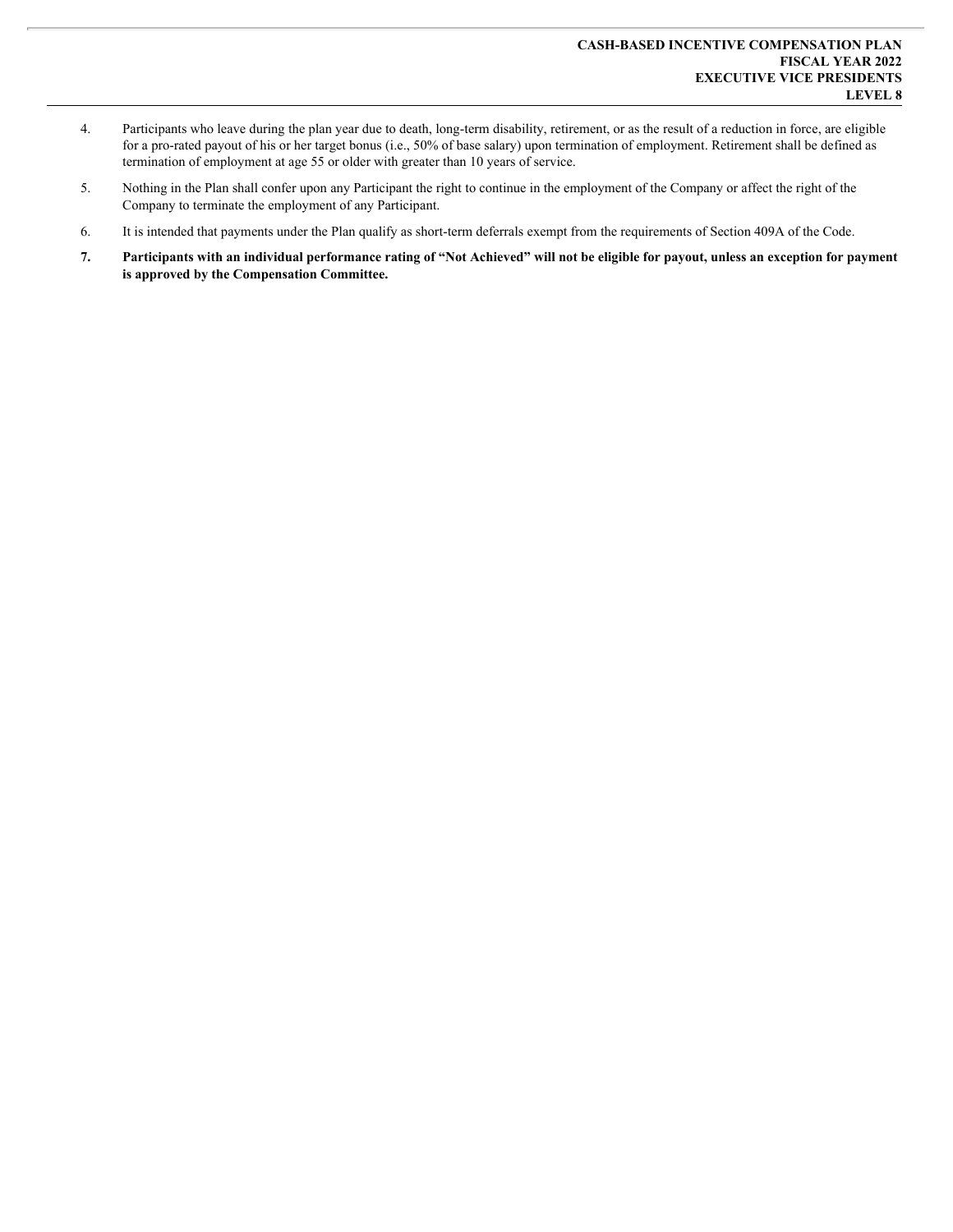- 4. Participants who leave during the plan year due to death, long-term disability, retirement, or as the result of a reduction in force, are eligible for a pro-rated payout of his or her target bonus (i.e., 50% of base salary) upon termination of employment. Retirement shall be defined as termination of employment at age 55 or older with greater than 10 years of service.
- 5. Nothing in the Plan shall confer upon any Participant the right to continue in the employment of the Company or affect the right of the Company to terminate the employment of any Participant.
- 6. It is intended that payments under the Plan qualify as short-term deferrals exempt from the requirements of Section 409A of the Code.
- **7. Participants with an individual performance rating of "Not Achieved" will not be eligible for payout, unless an exception for payment is approved by the Compensation Committee.**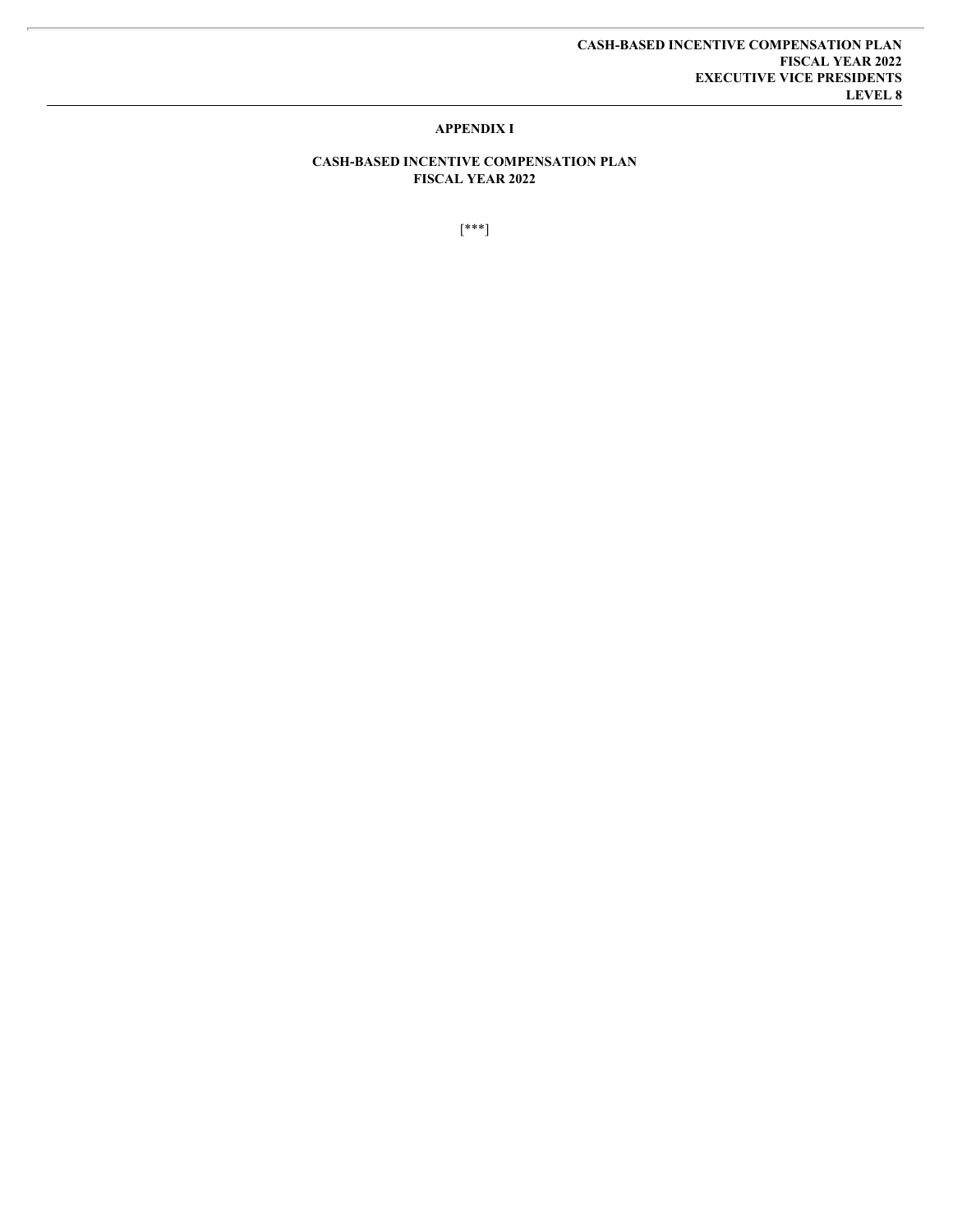# **APPENDIX I**

# **CASH-BASED INCENTIVE COMPENSATION PLAN FISCAL YEAR 2022**

[\*\*\*]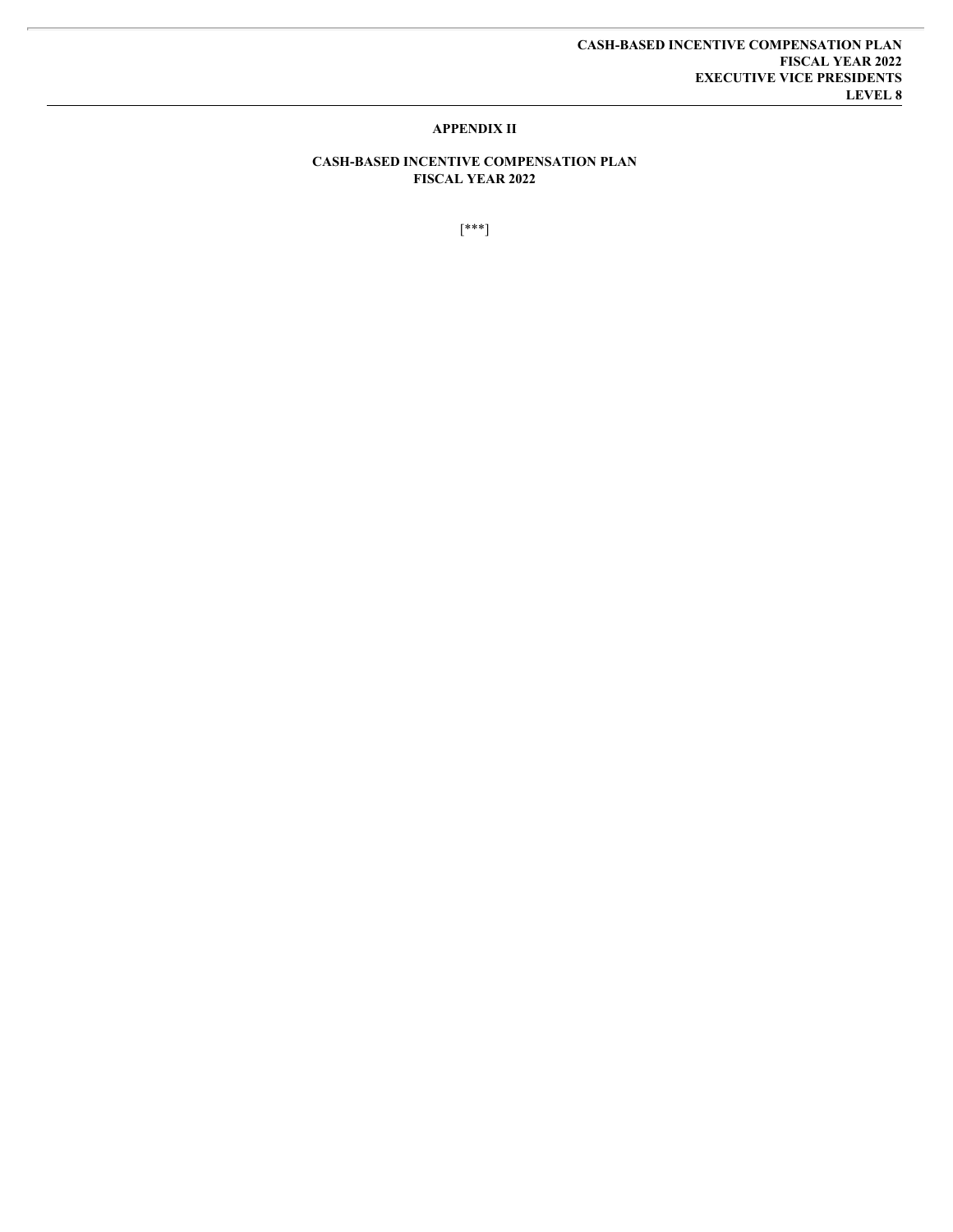# **APPENDIX II**

# **CASH-BASED INCENTIVE COMPENSATION PLAN FISCAL YEAR 2022**

[\*\*\*]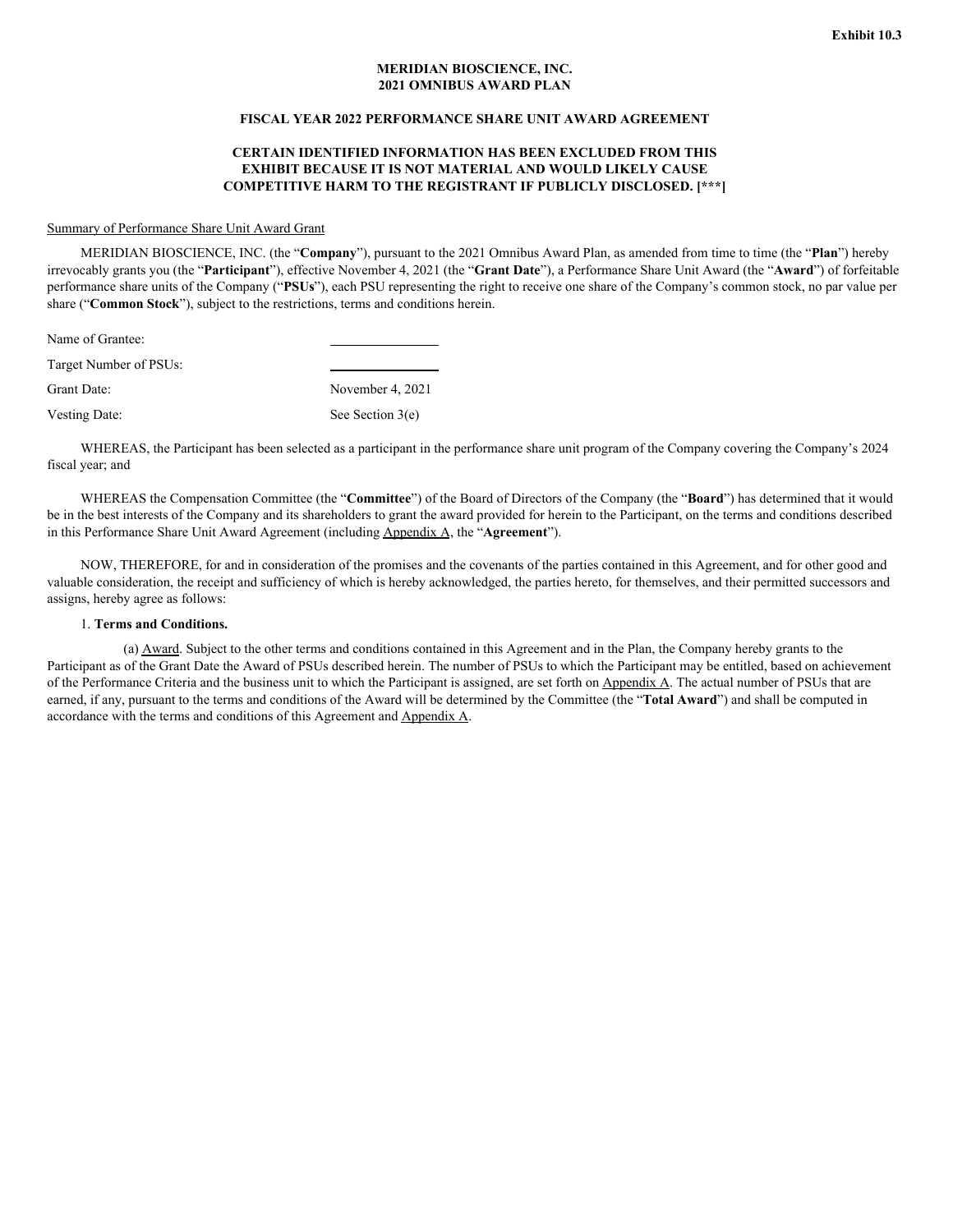#### **MERIDIAN BIOSCIENCE, INC. 2021 OMNIBUS AWARD PLAN**

#### **FISCAL YEAR 2022 PERFORMANCE SHARE UNIT AWARD AGREEMENT**

# **CERTAIN IDENTIFIED INFORMATION HAS BEEN EXCLUDED FROM THIS EXHIBIT BECAUSE IT IS NOT MATERIAL AND WOULD LIKELY CAUSE COMPETITIVE HARM TO THE REGISTRANT IF PUBLICLY DISCLOSED. [\*\*\*]**

#### Summary of Performance Share Unit Award Grant

MERIDIAN BIOSCIENCE, INC. (the "**Company**"), pursuant to the 2021 Omnibus Award Plan, as amended from time to time (the "**Plan**") hereby irrevocably grants you (the "**Participant**"), effective November 4, 2021 (the "**Grant Date**"), a Performance Share Unit Award (the "**Award**") of forfeitable performance share units of the Company ("**PSUs**"), each PSU representing the right to receive one share of the Company's common stock, no par value per share ("**Common Stock**"), subject to the restrictions, terms and conditions herein.

| Name of Grantee:       |                    |
|------------------------|--------------------|
| Target Number of PSUs: |                    |
| Grant Date:            | November 4, 2021   |
| Vesting Date:          | See Section $3(e)$ |

WHEREAS, the Participant has been selected as a participant in the performance share unit program of the Company covering the Company's 2024 fiscal year; and

WHEREAS the Compensation Committee (the "**Committee**") of the Board of Directors of the Company (the "**Board**") has determined that it would be in the best interests of the Company and its shareholders to grant the award provided for herein to the Participant, on the terms and conditions described in this Performance Share Unit Award Agreement (including Appendix A, the "**Agreement**").

NOW, THEREFORE, for and in consideration of the promises and the covenants of the parties contained in this Agreement, and for other good and valuable consideration, the receipt and sufficiency of which is hereby acknowledged, the parties hereto, for themselves, and their permitted successors and assigns, hereby agree as follows:

#### 1. **Terms and Conditions.**

(a) Award. Subject to the other terms and conditions contained in this Agreement and in the Plan, the Company hereby grants to the Participant as of the Grant Date the Award of PSUs described herein. The number of PSUs to which the Participant may be entitled, based on achievement of the Performance Criteria and the business unit to which the Participant is assigned, are set forth on Appendix A. The actual number of PSUs that are earned, if any, pursuant to the terms and conditions of the Award will be determined by the Committee (the "**Total Award**") and shall be computed in accordance with the terms and conditions of this Agreement and Appendix A.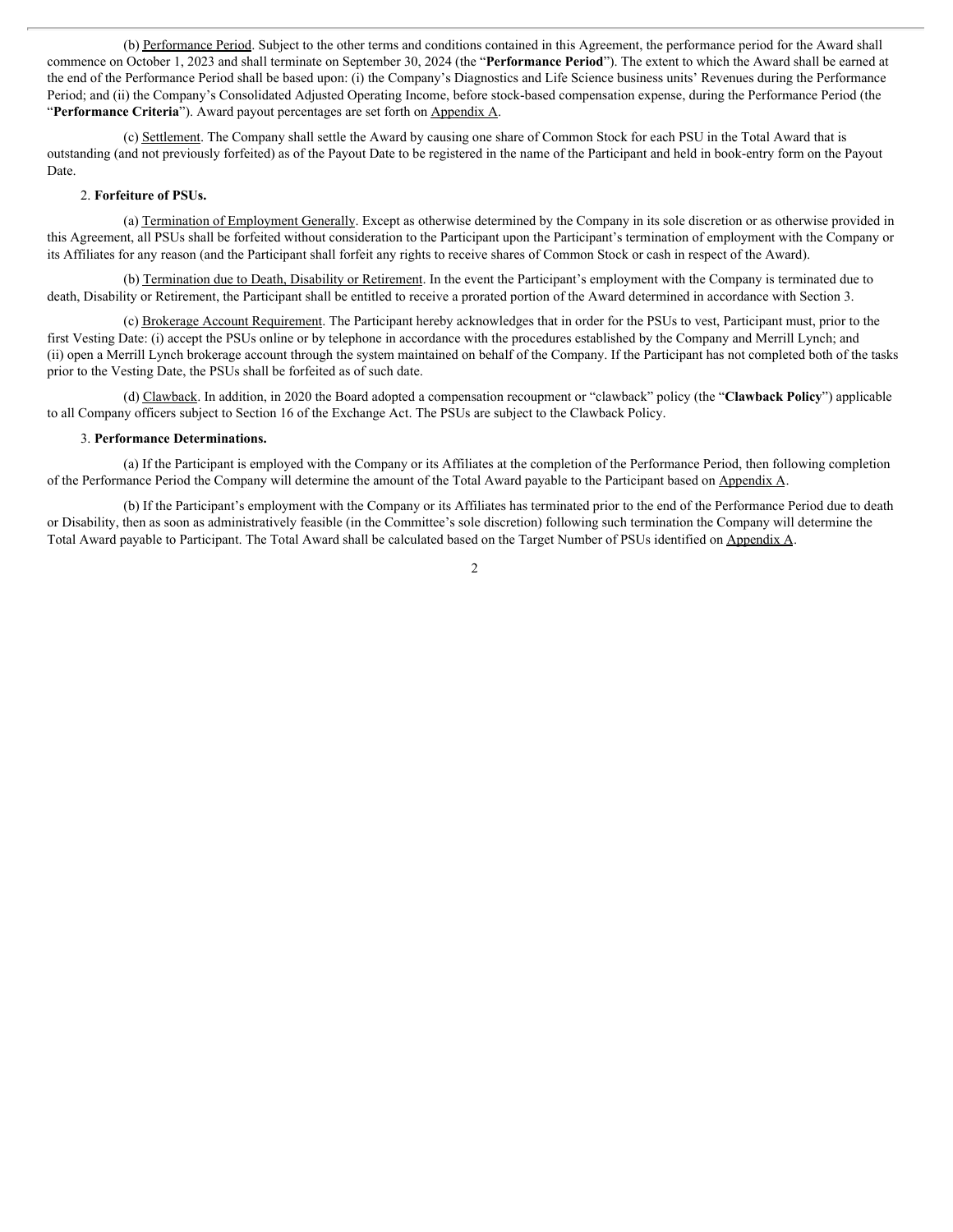(b) Performance Period. Subject to the other terms and conditions contained in this Agreement, the performance period for the Award shall commence on October 1, 2023 and shall terminate on September 30, 2024 (the "**Performance Period**"). The extent to which the Award shall be earned at the end of the Performance Period shall be based upon: (i) the Company's Diagnostics and Life Science business units' Revenues during the Performance Period; and (ii) the Company's Consolidated Adjusted Operating Income, before stock-based compensation expense, during the Performance Period (the "**Performance Criteria**"). Award payout percentages are set forth on Appendix A.

(c) Settlement. The Company shall settle the Award by causing one share of Common Stock for each PSU in the Total Award that is outstanding (and not previously forfeited) as of the Payout Date to be registered in the name of the Participant and held in book-entry form on the Payout Date.

# 2. **Forfeiture of PSUs.**

(a) Termination of Employment Generally. Except as otherwise determined by the Company in its sole discretion or as otherwise provided in this Agreement, all PSUs shall be forfeited without consideration to the Participant upon the Participant's termination of employment with the Company or its Affiliates for any reason (and the Participant shall forfeit any rights to receive shares of Common Stock or cash in respect of the Award).

(b) Termination due to Death, Disability or Retirement. In the event the Participant's employment with the Company is terminated due to death, Disability or Retirement, the Participant shall be entitled to receive a prorated portion of the Award determined in accordance with Section 3.

(c) Brokerage Account Requirement. The Participant hereby acknowledges that in order for the PSUs to vest, Participant must, prior to the first Vesting Date: (i) accept the PSUs online or by telephone in accordance with the procedures established by the Company and Merrill Lynch; and (ii) open a Merrill Lynch brokerage account through the system maintained on behalf of the Company. If the Participant has not completed both of the tasks prior to the Vesting Date, the PSUs shall be forfeited as of such date.

(d) Clawback. In addition, in 2020 the Board adopted a compensation recoupment or "clawback" policy (the "**Clawback Policy**") applicable to all Company officers subject to Section 16 of the Exchange Act. The PSUs are subject to the Clawback Policy.

#### 3. **Performance Determinations.**

(a) If the Participant is employed with the Company or its Affiliates at the completion of the Performance Period, then following completion of the Performance Period the Company will determine the amount of the Total Award payable to the Participant based on Appendix A.

(b) If the Participant's employment with the Company or its Affiliates has terminated prior to the end of the Performance Period due to death or Disability, then as soon as administratively feasible (in the Committee's sole discretion) following such termination the Company will determine the Total Award payable to Participant. The Total Award shall be calculated based on the Target Number of PSUs identified on Appendix A.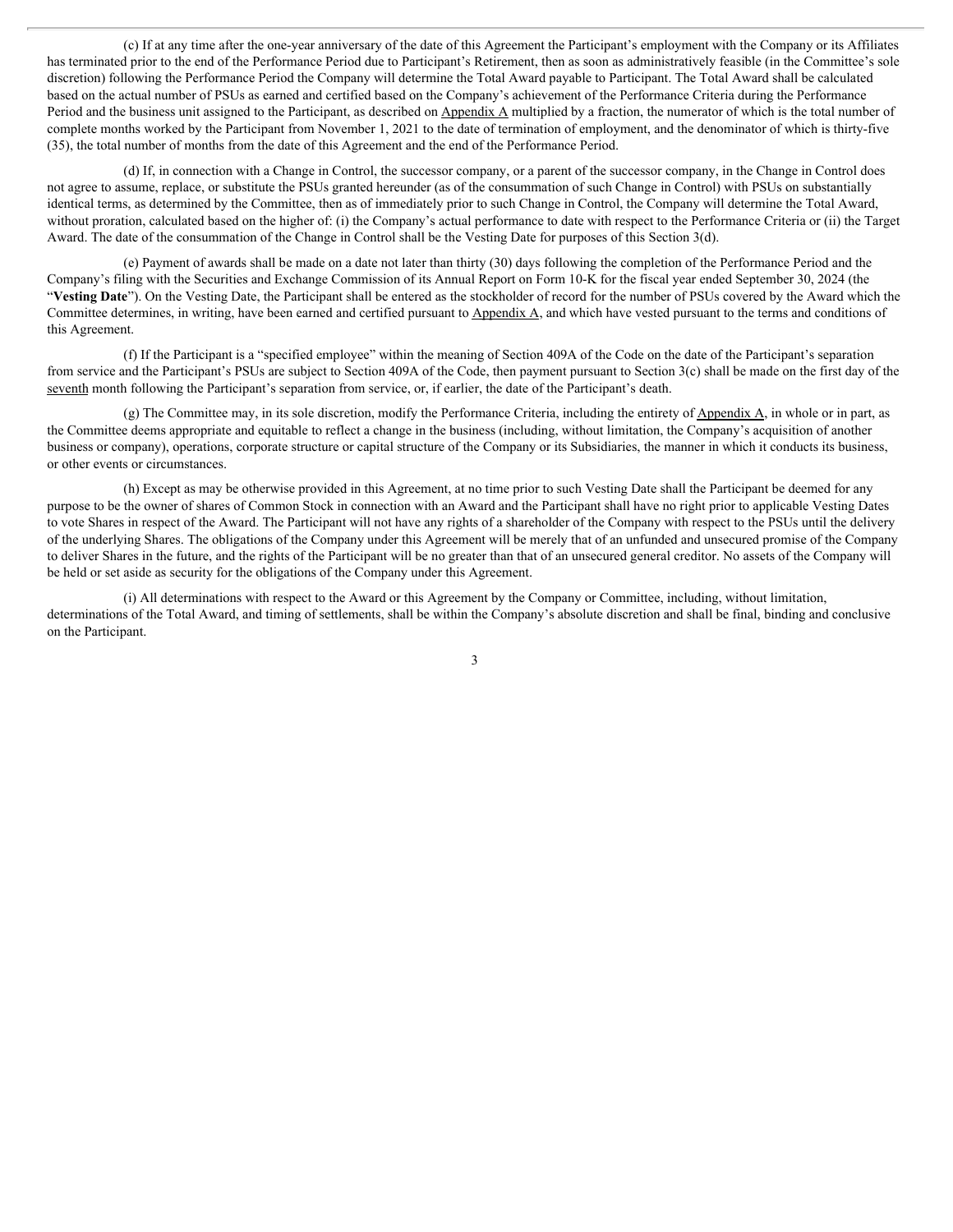(c) If at any time after the one-year anniversary of the date of this Agreement the Participant's employment with the Company or its Affiliates has terminated prior to the end of the Performance Period due to Participant's Retirement, then as soon as administratively feasible (in the Committee's sole discretion) following the Performance Period the Company will determine the Total Award payable to Participant. The Total Award shall be calculated based on the actual number of PSUs as earned and certified based on the Company's achievement of the Performance Criteria during the Performance Period and the business unit assigned to the Participant, as described on Appendix A multiplied by a fraction, the numerator of which is the total number of complete months worked by the Participant from November 1, 2021 to the date of termination of employment, and the denominator of which is thirty-five (35), the total number of months from the date of this Agreement and the end of the Performance Period.

(d) If, in connection with a Change in Control, the successor company, or a parent of the successor company, in the Change in Control does not agree to assume, replace, or substitute the PSUs granted hereunder (as of the consummation of such Change in Control) with PSUs on substantially identical terms, as determined by the Committee, then as of immediately prior to such Change in Control, the Company will determine the Total Award, without proration, calculated based on the higher of: (i) the Company's actual performance to date with respect to the Performance Criteria or (ii) the Target Award. The date of the consummation of the Change in Control shall be the Vesting Date for purposes of this Section 3(d).

(e) Payment of awards shall be made on a date not later than thirty (30) days following the completion of the Performance Period and the Company's filing with the Securities and Exchange Commission of its Annual Report on Form 10-K for the fiscal year ended September 30, 2024 (the "**Vesting Date**"). On the Vesting Date, the Participant shall be entered as the stockholder of record for the number of PSUs covered by the Award which the Committee determines, in writing, have been earned and certified pursuant to Appendix A, and which have vested pursuant to the terms and conditions of this Agreement.

(f) If the Participant is a "specified employee" within the meaning of Section 409A of the Code on the date of the Participant's separation from service and the Participant's PSUs are subject to Section 409A of the Code, then payment pursuant to Section 3(c) shall be made on the first day of the seventh month following the Participant's separation from service, or, if earlier, the date of the Participant's death.

(g) The Committee may, in its sole discretion, modify the Performance Criteria, including the entirety of Appendix A, in whole or in part, as the Committee deems appropriate and equitable to reflect a change in the business (including, without limitation, the Company's acquisition of another business or company), operations, corporate structure or capital structure of the Company or its Subsidiaries, the manner in which it conducts its business, or other events or circumstances.

(h) Except as may be otherwise provided in this Agreement, at no time prior to such Vesting Date shall the Participant be deemed for any purpose to be the owner of shares of Common Stock in connection with an Award and the Participant shall have no right prior to applicable Vesting Dates to vote Shares in respect of the Award. The Participant will not have any rights of a shareholder of the Company with respect to the PSUs until the delivery of the underlying Shares. The obligations of the Company under this Agreement will be merely that of an unfunded and unsecured promise of the Company to deliver Shares in the future, and the rights of the Participant will be no greater than that of an unsecured general creditor. No assets of the Company will be held or set aside as security for the obligations of the Company under this Agreement.

(i) All determinations with respect to the Award or this Agreement by the Company or Committee, including, without limitation, determinations of the Total Award, and timing of settlements, shall be within the Company's absolute discretion and shall be final, binding and conclusive on the Participant.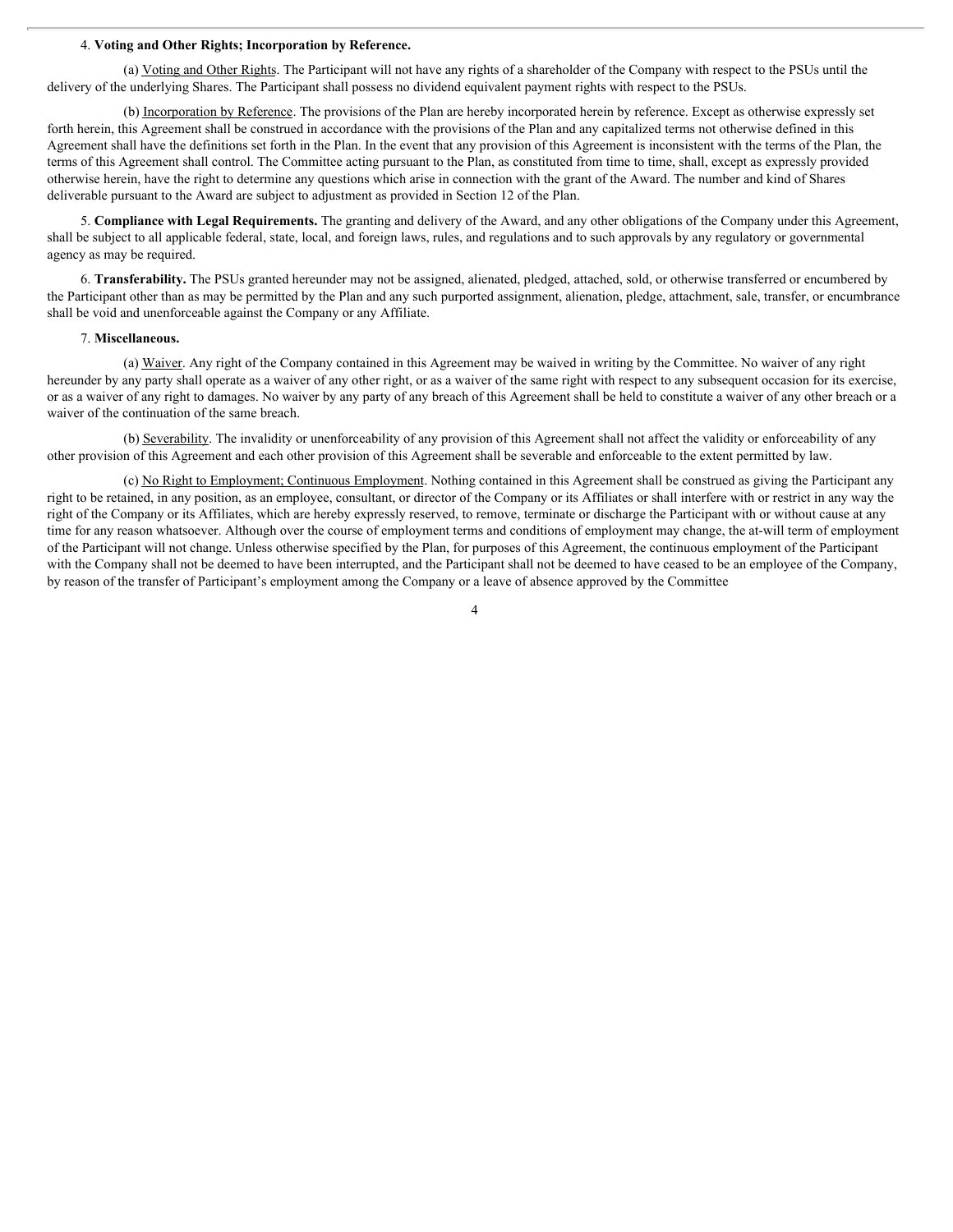#### 4. **Voting and Other Rights; Incorporation by Reference.**

(a) Voting and Other Rights. The Participant will not have any rights of a shareholder of the Company with respect to the PSUs until the delivery of the underlying Shares. The Participant shall possess no dividend equivalent payment rights with respect to the PSUs.

(b) Incorporation by Reference. The provisions of the Plan are hereby incorporated herein by reference. Except as otherwise expressly set forth herein, this Agreement shall be construed in accordance with the provisions of the Plan and any capitalized terms not otherwise defined in this Agreement shall have the definitions set forth in the Plan. In the event that any provision of this Agreement is inconsistent with the terms of the Plan, the terms of this Agreement shall control. The Committee acting pursuant to the Plan, as constituted from time to time, shall, except as expressly provided otherwise herein, have the right to determine any questions which arise in connection with the grant of the Award. The number and kind of Shares deliverable pursuant to the Award are subject to adjustment as provided in Section 12 of the Plan.

5. **Compliance with Legal Requirements.** The granting and delivery of the Award, and any other obligations of the Company under this Agreement, shall be subject to all applicable federal, state, local, and foreign laws, rules, and regulations and to such approvals by any regulatory or governmental agency as may be required.

6. **Transferability.** The PSUs granted hereunder may not be assigned, alienated, pledged, attached, sold, or otherwise transferred or encumbered by the Participant other than as may be permitted by the Plan and any such purported assignment, alienation, pledge, attachment, sale, transfer, or encumbrance shall be void and unenforceable against the Company or any Affiliate.

#### 7. **Miscellaneous.**

(a) Waiver. Any right of the Company contained in this Agreement may be waived in writing by the Committee. No waiver of any right hereunder by any party shall operate as a waiver of any other right, or as a waiver of the same right with respect to any subsequent occasion for its exercise, or as a waiver of any right to damages. No waiver by any party of any breach of this Agreement shall be held to constitute a waiver of any other breach or a waiver of the continuation of the same breach.

(b) Severability. The invalidity or unenforceability of any provision of this Agreement shall not affect the validity or enforceability of any other provision of this Agreement and each other provision of this Agreement shall be severable and enforceable to the extent permitted by law.

(c) No Right to Employment; Continuous Employment. Nothing contained in this Agreement shall be construed as giving the Participant any right to be retained, in any position, as an employee, consultant, or director of the Company or its Affiliates or shall interfere with or restrict in any way the right of the Company or its Affiliates, which are hereby expressly reserved, to remove, terminate or discharge the Participant with or without cause at any time for any reason whatsoever. Although over the course of employment terms and conditions of employment may change, the at-will term of employment of the Participant will not change. Unless otherwise specified by the Plan, for purposes of this Agreement, the continuous employment of the Participant with the Company shall not be deemed to have been interrupted, and the Participant shall not be deemed to have ceased to be an employee of the Company, by reason of the transfer of Participant's employment among the Company or a leave of absence approved by the Committee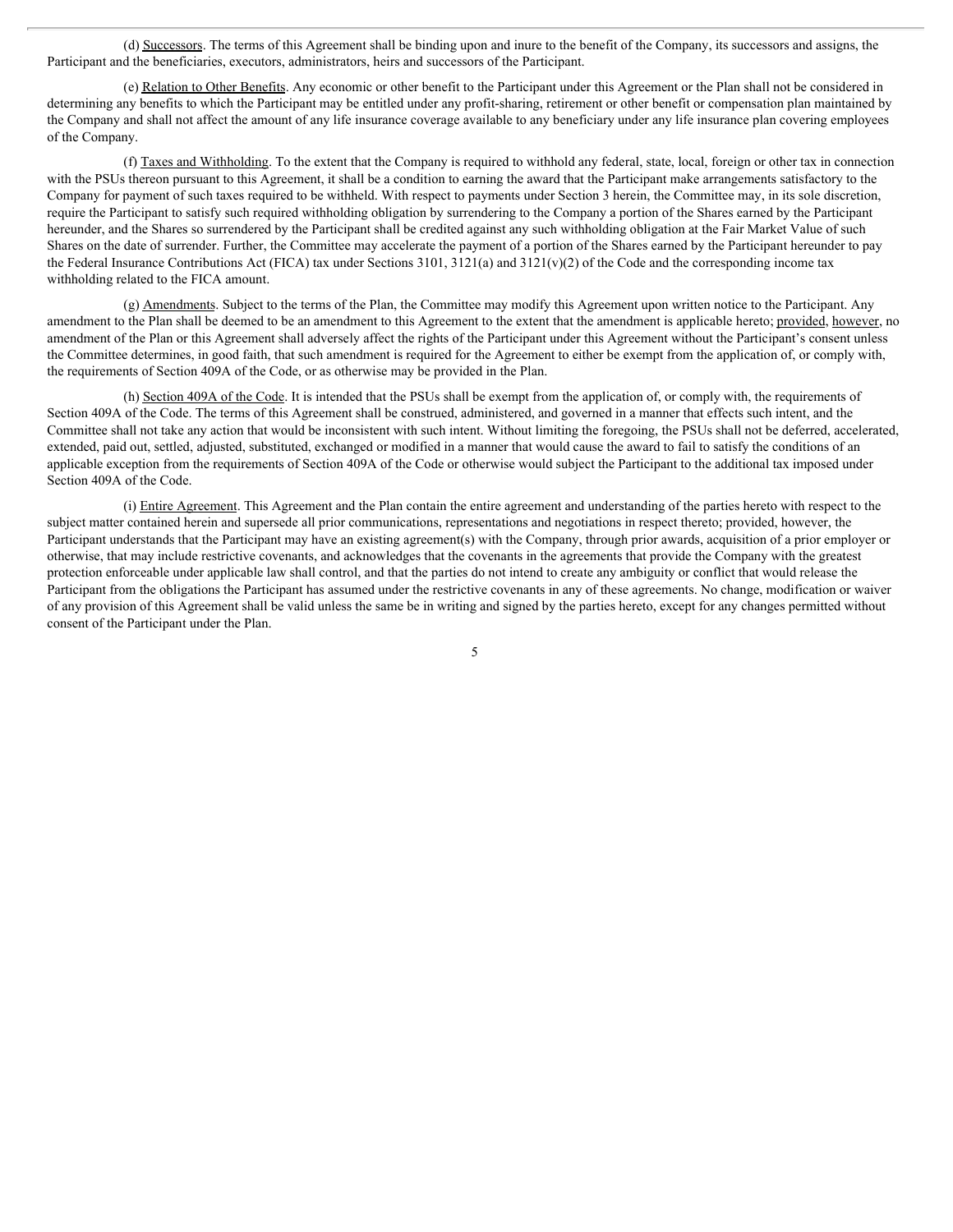(d) Successors. The terms of this Agreement shall be binding upon and inure to the benefit of the Company, its successors and assigns, the Participant and the beneficiaries, executors, administrators, heirs and successors of the Participant.

(e) Relation to Other Benefits. Any economic or other benefit to the Participant under this Agreement or the Plan shall not be considered in determining any benefits to which the Participant may be entitled under any profit-sharing, retirement or other benefit or compensation plan maintained by the Company and shall not affect the amount of any life insurance coverage available to any beneficiary under any life insurance plan covering employees of the Company.

(f) Taxes and Withholding. To the extent that the Company is required to withhold any federal, state, local, foreign or other tax in connection with the PSUs thereon pursuant to this Agreement, it shall be a condition to earning the award that the Participant make arrangements satisfactory to the Company for payment of such taxes required to be withheld. With respect to payments under Section 3 herein, the Committee may, in its sole discretion, require the Participant to satisfy such required withholding obligation by surrendering to the Company a portion of the Shares earned by the Participant hereunder, and the Shares so surrendered by the Participant shall be credited against any such withholding obligation at the Fair Market Value of such Shares on the date of surrender. Further, the Committee may accelerate the payment of a portion of the Shares earned by the Participant hereunder to pay the Federal Insurance Contributions Act (FICA) tax under Sections 3101, 3121(a) and 3121(v)(2) of the Code and the corresponding income tax withholding related to the FICA amount.

(g) Amendments. Subject to the terms of the Plan, the Committee may modify this Agreement upon written notice to the Participant. Any amendment to the Plan shall be deemed to be an amendment to this Agreement to the extent that the amendment is applicable hereto; provided, however, no amendment of the Plan or this Agreement shall adversely affect the rights of the Participant under this Agreement without the Participant's consent unless the Committee determines, in good faith, that such amendment is required for the Agreement to either be exempt from the application of, or comply with, the requirements of Section 409A of the Code, or as otherwise may be provided in the Plan.

(h) Section 409A of the Code. It is intended that the PSUs shall be exempt from the application of, or comply with, the requirements of Section 409A of the Code. The terms of this Agreement shall be construed, administered, and governed in a manner that effects such intent, and the Committee shall not take any action that would be inconsistent with such intent. Without limiting the foregoing, the PSUs shall not be deferred, accelerated, extended, paid out, settled, adjusted, substituted, exchanged or modified in a manner that would cause the award to fail to satisfy the conditions of an applicable exception from the requirements of Section 409A of the Code or otherwise would subject the Participant to the additional tax imposed under Section 409A of the Code.

(i) Entire Agreement. This Agreement and the Plan contain the entire agreement and understanding of the parties hereto with respect to the subject matter contained herein and supersede all prior communications, representations and negotiations in respect thereto; provided, however, the Participant understands that the Participant may have an existing agreement(s) with the Company, through prior awards, acquisition of a prior employer or otherwise, that may include restrictive covenants, and acknowledges that the covenants in the agreements that provide the Company with the greatest protection enforceable under applicable law shall control, and that the parties do not intend to create any ambiguity or conflict that would release the Participant from the obligations the Participant has assumed under the restrictive covenants in any of these agreements. No change, modification or waiver of any provision of this Agreement shall be valid unless the same be in writing and signed by the parties hereto, except for any changes permitted without consent of the Participant under the Plan.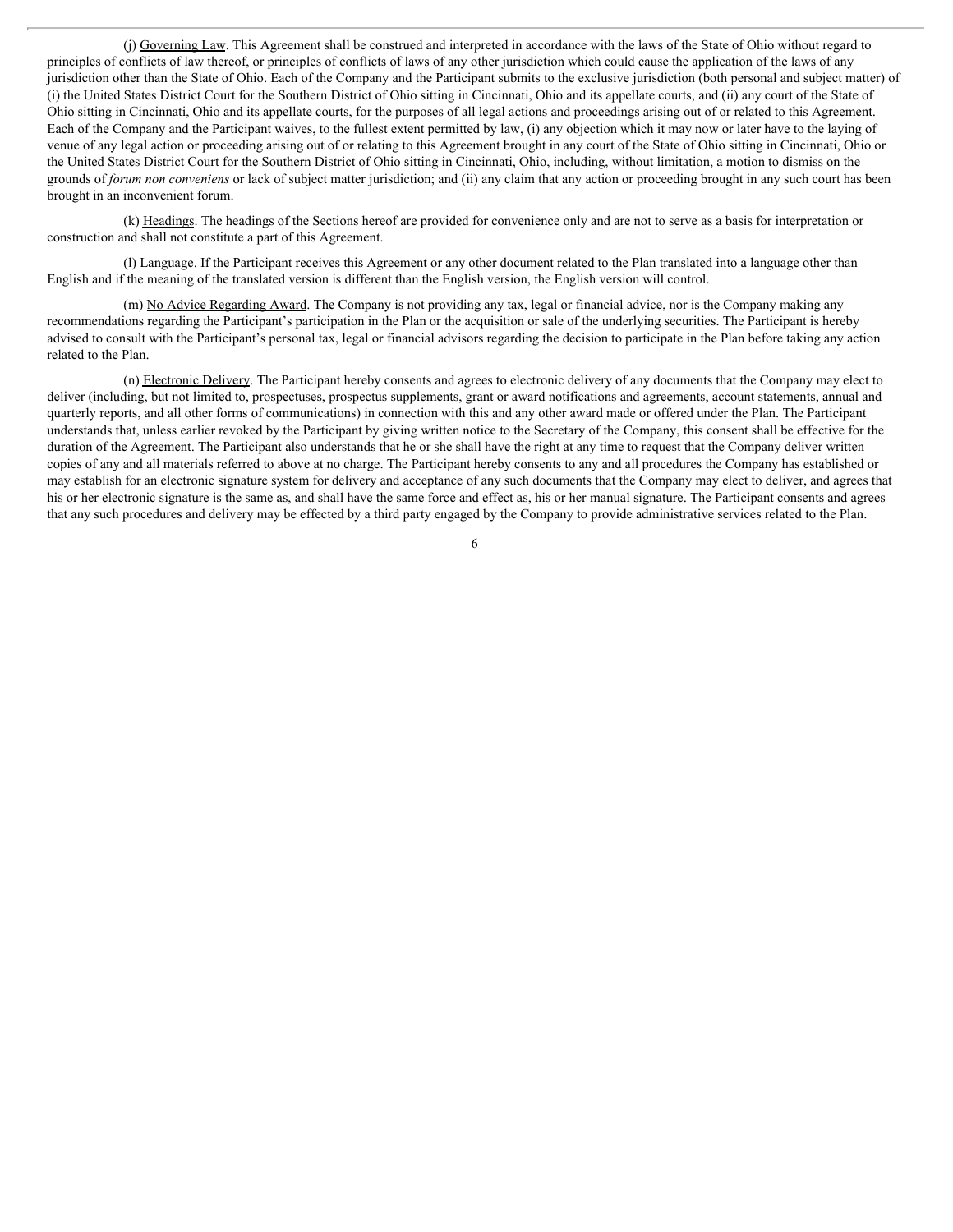(j) Governing Law. This Agreement shall be construed and interpreted in accordance with the laws of the State of Ohio without regard to principles of conflicts of law thereof, or principles of conflicts of laws of any other jurisdiction which could cause the application of the laws of any jurisdiction other than the State of Ohio. Each of the Company and the Participant submits to the exclusive jurisdiction (both personal and subject matter) of (i) the United States District Court for the Southern District of Ohio sitting in Cincinnati, Ohio and its appellate courts, and (ii) any court of the State of Ohio sitting in Cincinnati, Ohio and its appellate courts, for the purposes of all legal actions and proceedings arising out of or related to this Agreement. Each of the Company and the Participant waives, to the fullest extent permitted by law, (i) any objection which it may now or later have to the laying of venue of any legal action or proceeding arising out of or relating to this Agreement brought in any court of the State of Ohio sitting in Cincinnati, Ohio or the United States District Court for the Southern District of Ohio sitting in Cincinnati, Ohio, including, without limitation, a motion to dismiss on the grounds of *forum non conveniens* or lack of subject matter jurisdiction; and (ii) any claim that any action or proceeding brought in any such court has been brought in an inconvenient forum.

(k) Headings. The headings of the Sections hereof are provided for convenience only and are not to serve as a basis for interpretation or construction and shall not constitute a part of this Agreement.

(l) Language. If the Participant receives this Agreement or any other document related to the Plan translated into a language other than English and if the meaning of the translated version is different than the English version, the English version will control.

(m) No Advice Regarding Award. The Company is not providing any tax, legal or financial advice, nor is the Company making any recommendations regarding the Participant's participation in the Plan or the acquisition or sale of the underlying securities. The Participant is hereby advised to consult with the Participant's personal tax, legal or financial advisors regarding the decision to participate in the Plan before taking any action related to the Plan.

(n) Electronic Delivery. The Participant hereby consents and agrees to electronic delivery of any documents that the Company may elect to deliver (including, but not limited to, prospectuses, prospectus supplements, grant or award notifications and agreements, account statements, annual and quarterly reports, and all other forms of communications) in connection with this and any other award made or offered under the Plan. The Participant understands that, unless earlier revoked by the Participant by giving written notice to the Secretary of the Company, this consent shall be effective for the duration of the Agreement. The Participant also understands that he or she shall have the right at any time to request that the Company deliver written copies of any and all materials referred to above at no charge. The Participant hereby consents to any and all procedures the Company has established or may establish for an electronic signature system for delivery and acceptance of any such documents that the Company may elect to deliver, and agrees that his or her electronic signature is the same as, and shall have the same force and effect as, his or her manual signature. The Participant consents and agrees that any such procedures and delivery may be effected by a third party engaged by the Company to provide administrative services related to the Plan.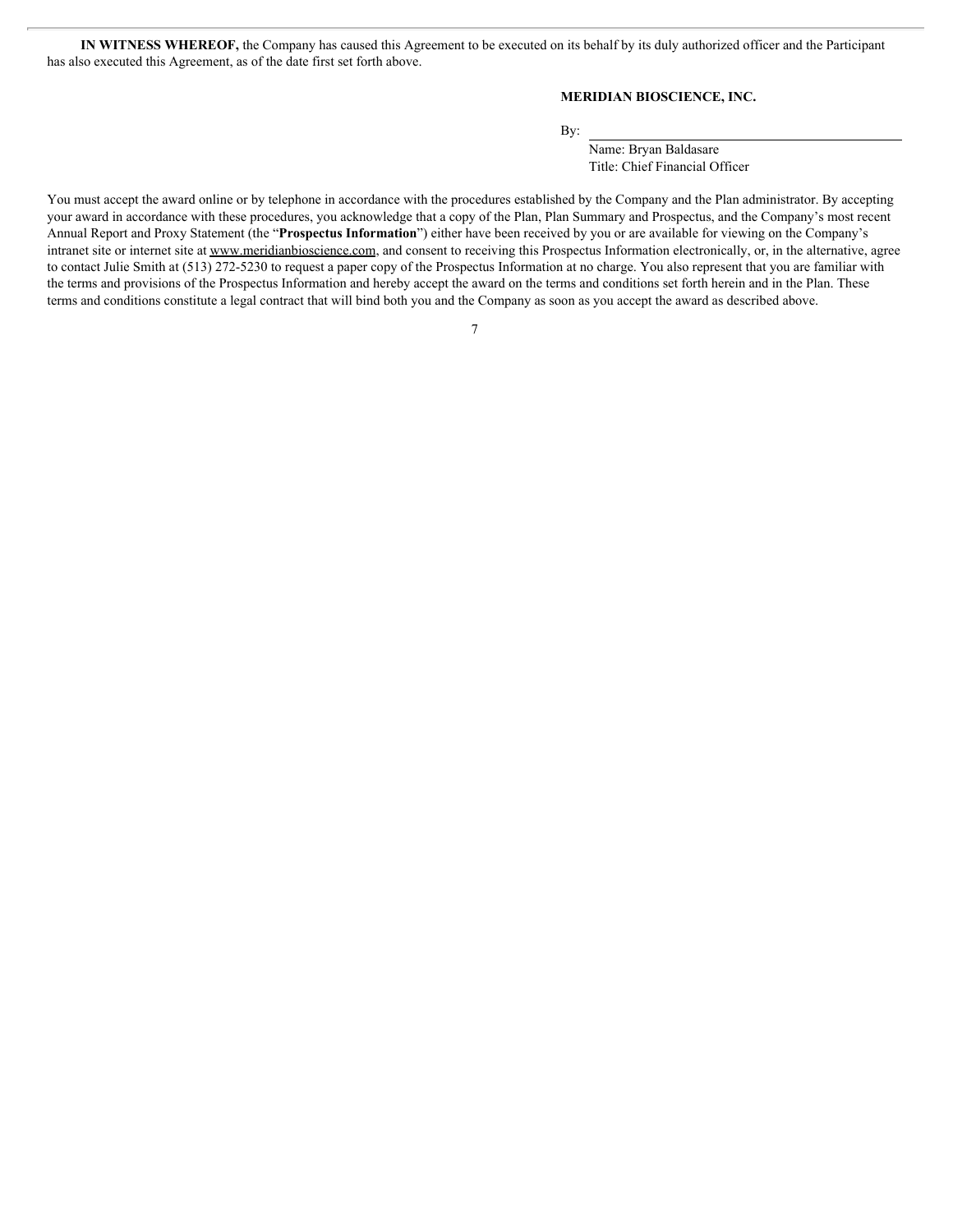**IN WITNESS WHEREOF,** the Company has caused this Agreement to be executed on its behalf by its duly authorized officer and the Participant has also executed this Agreement, as of the date first set forth above.

#### **MERIDIAN BIOSCIENCE, INC.**

By: Name: Bryan Baldasare Title: Chief Financial Officer

You must accept the award online or by telephone in accordance with the procedures established by the Company and the Plan administrator. By accepting your award in accordance with these procedures, you acknowledge that a copy of the Plan, Plan Summary and Prospectus, and the Company's most recent Annual Report and Proxy Statement (the "**Prospectus Information**") either have been received by you or are available for viewing on the Company's intranet site or internet site at www.meridianbioscience.com, and consent to receiving this Prospectus Information electronically, or, in the alternative, agree to contact Julie Smith at (513) 272-5230 to request a paper copy of the Prospectus Information at no charge. You also represent that you are familiar with the terms and provisions of the Prospectus Information and hereby accept the award on the terms and conditions set forth herein and in the Plan. These terms and conditions constitute a legal contract that will bind both you and the Company as soon as you accept the award as described above.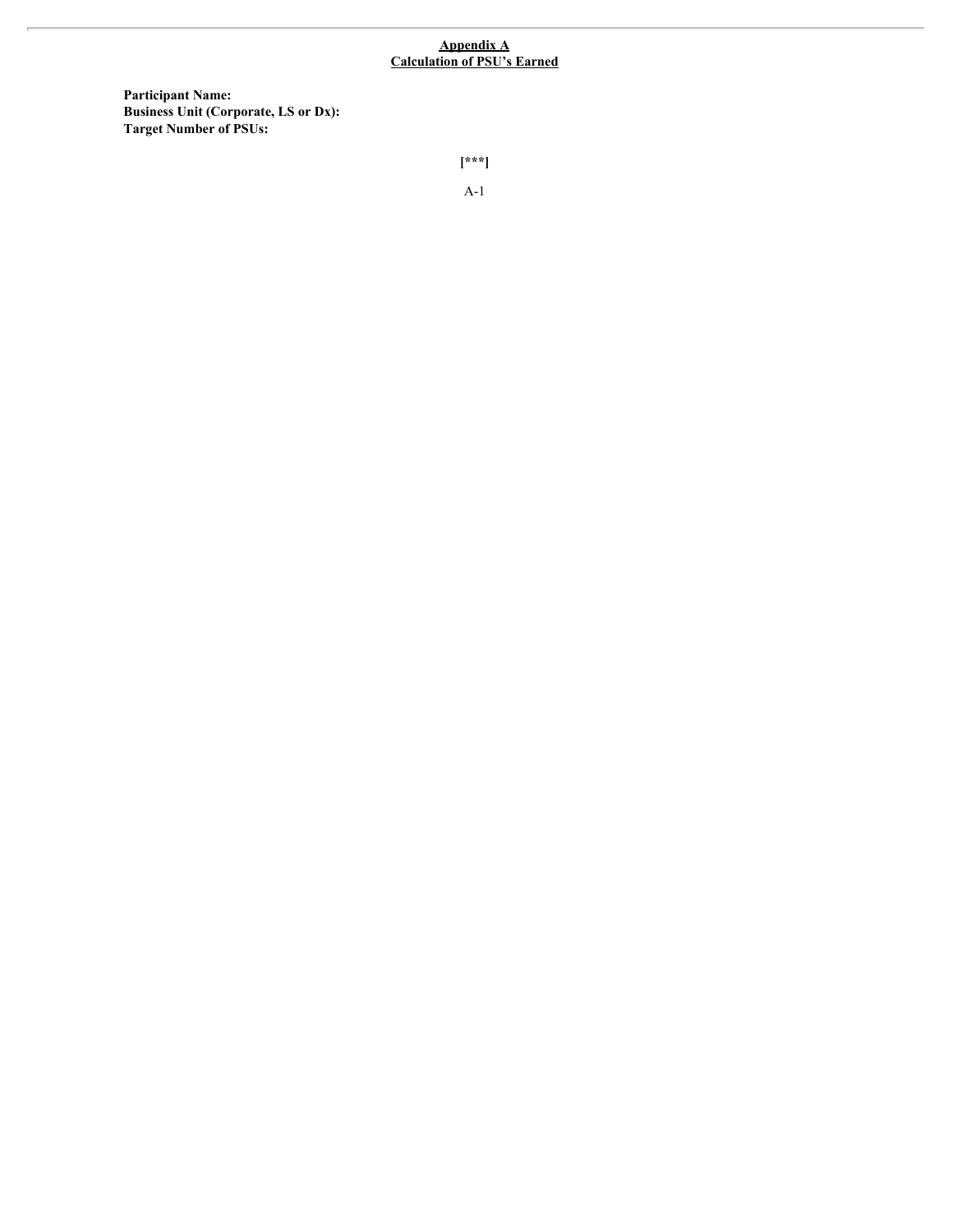# **Appendix A Calculation of PSU's Earned**

**Participant Name: Business Unit (Corporate, LS or Dx): Target Number of PSUs:**

**[\*\*\*]**

A-1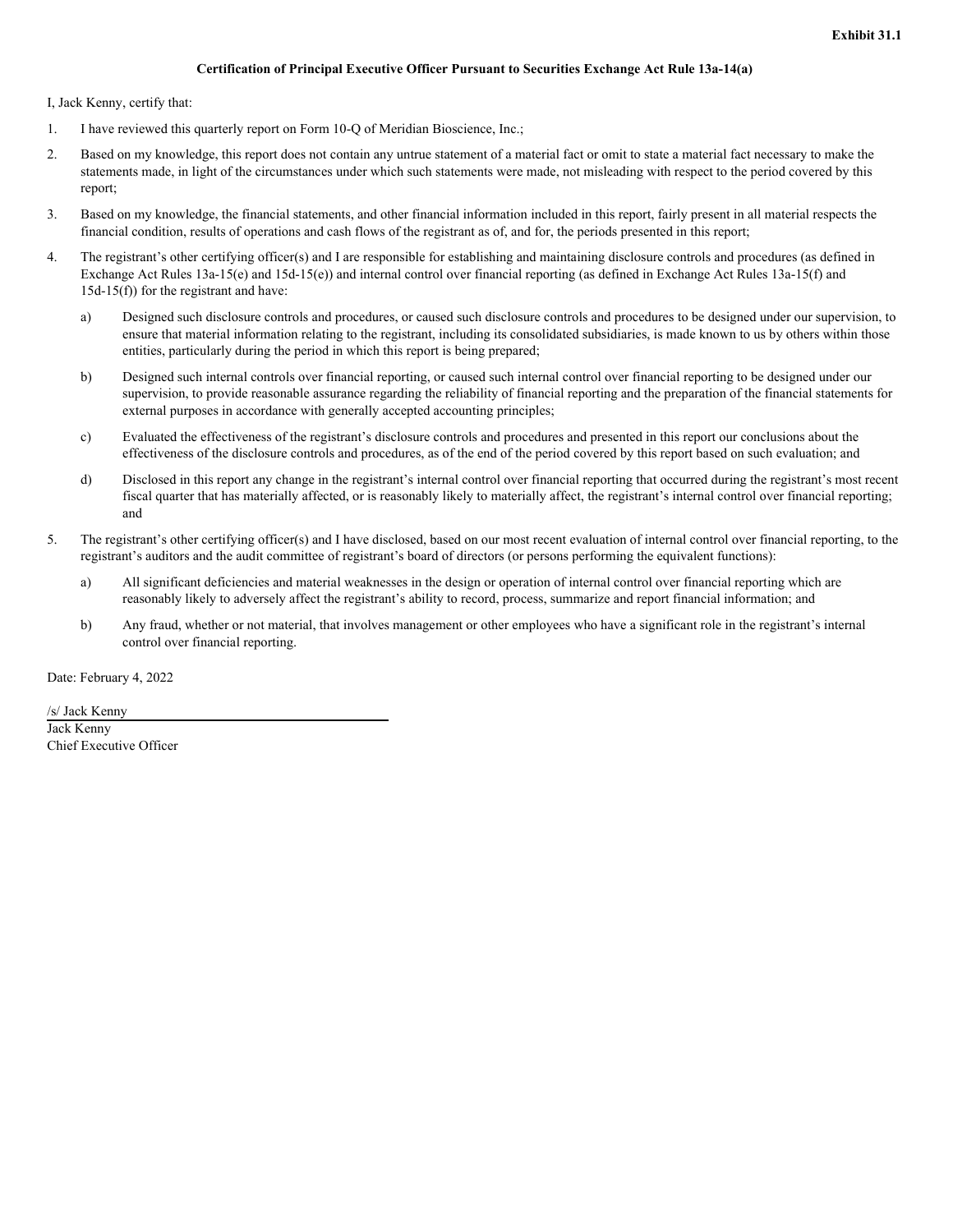#### **Certification of Principal Executive Officer Pursuant to Securities Exchange Act Rule 13a-14(a)**

I, Jack Kenny, certify that:

- 1. I have reviewed this quarterly report on Form 10-Q of Meridian Bioscience, Inc.;
- 2. Based on my knowledge, this report does not contain any untrue statement of a material fact or omit to state a material fact necessary to make the statements made, in light of the circumstances under which such statements were made, not misleading with respect to the period covered by this report;
- 3. Based on my knowledge, the financial statements, and other financial information included in this report, fairly present in all material respects the financial condition, results of operations and cash flows of the registrant as of, and for, the periods presented in this report;
- 4. The registrant's other certifying officer(s) and I are responsible for establishing and maintaining disclosure controls and procedures (as defined in Exchange Act Rules 13a-15(e) and 15d-15(e)) and internal control over financial reporting (as defined in Exchange Act Rules 13a-15(f) and 15d-15(f)) for the registrant and have:
	- a) Designed such disclosure controls and procedures, or caused such disclosure controls and procedures to be designed under our supervision, to ensure that material information relating to the registrant, including its consolidated subsidiaries, is made known to us by others within those entities, particularly during the period in which this report is being prepared;
	- b) Designed such internal controls over financial reporting, or caused such internal control over financial reporting to be designed under our supervision, to provide reasonable assurance regarding the reliability of financial reporting and the preparation of the financial statements for external purposes in accordance with generally accepted accounting principles;
	- c) Evaluated the effectiveness of the registrant's disclosure controls and procedures and presented in this report our conclusions about the effectiveness of the disclosure controls and procedures, as of the end of the period covered by this report based on such evaluation; and
	- d) Disclosed in this report any change in the registrant's internal control over financial reporting that occurred during the registrant's most recent fiscal quarter that has materially affected, or is reasonably likely to materially affect, the registrant's internal control over financial reporting; and
- 5. The registrant's other certifying officer(s) and I have disclosed, based on our most recent evaluation of internal control over financial reporting, to the registrant's auditors and the audit committee of registrant's board of directors (or persons performing the equivalent functions):
	- a) All significant deficiencies and material weaknesses in the design or operation of internal control over financial reporting which are reasonably likely to adversely affect the registrant's ability to record, process, summarize and report financial information; and
	- b) Any fraud, whether or not material, that involves management or other employees who have a significant role in the registrant's internal control over financial reporting.

Date: February 4, 2022

/s/ Jack Kenny Jack Kenny Chief Executive Officer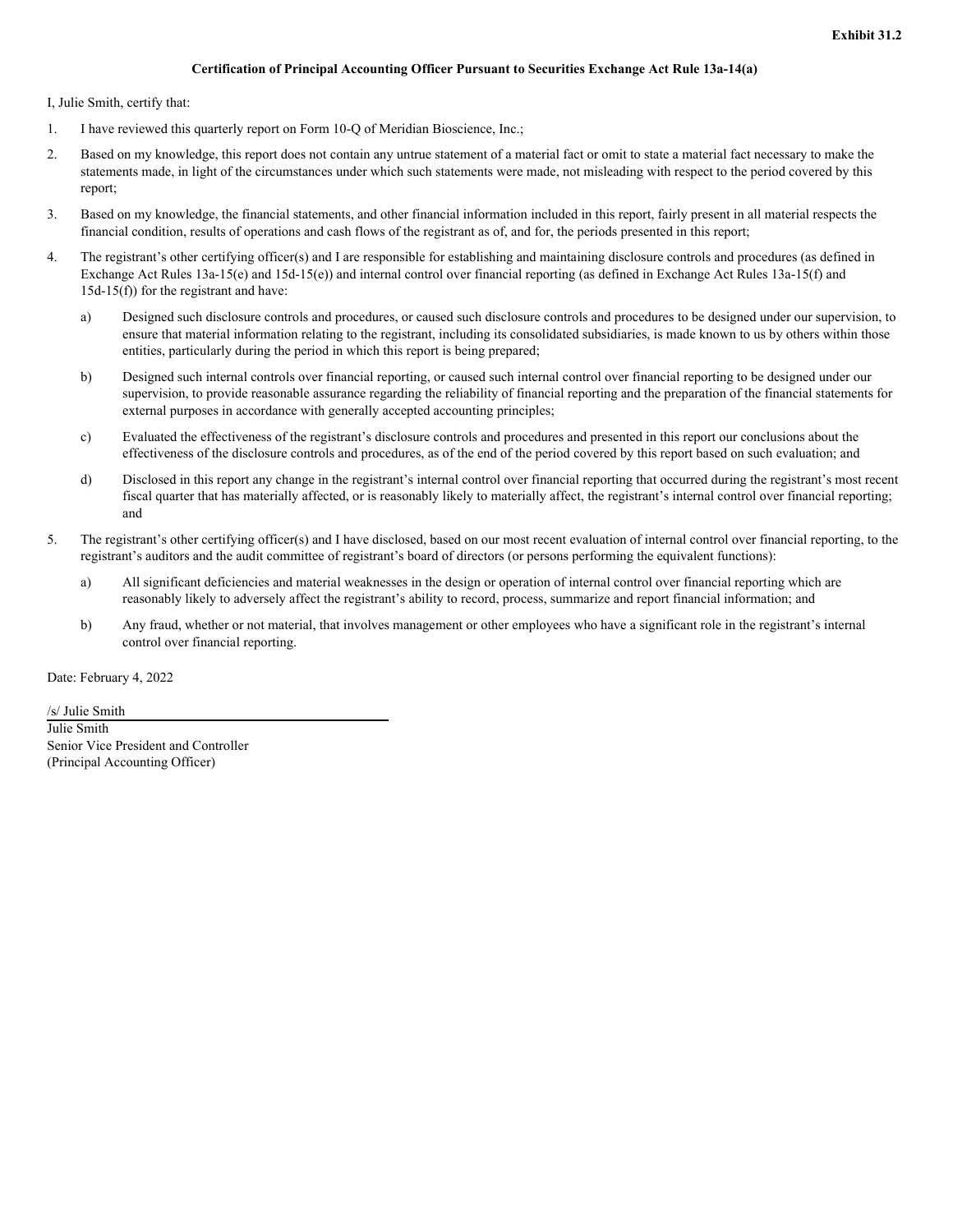#### **Certification of Principal Accounting Officer Pursuant to Securities Exchange Act Rule 13a-14(a)**

I, Julie Smith, certify that:

- 1. I have reviewed this quarterly report on Form 10-Q of Meridian Bioscience, Inc.;
- 2. Based on my knowledge, this report does not contain any untrue statement of a material fact or omit to state a material fact necessary to make the statements made, in light of the circumstances under which such statements were made, not misleading with respect to the period covered by this report;
- 3. Based on my knowledge, the financial statements, and other financial information included in this report, fairly present in all material respects the financial condition, results of operations and cash flows of the registrant as of, and for, the periods presented in this report;
- 4. The registrant's other certifying officer(s) and I are responsible for establishing and maintaining disclosure controls and procedures (as defined in Exchange Act Rules 13a-15(e) and 15d-15(e)) and internal control over financial reporting (as defined in Exchange Act Rules 13a-15(f) and 15d-15(f)) for the registrant and have:
	- a) Designed such disclosure controls and procedures, or caused such disclosure controls and procedures to be designed under our supervision, to ensure that material information relating to the registrant, including its consolidated subsidiaries, is made known to us by others within those entities, particularly during the period in which this report is being prepared;
	- b) Designed such internal controls over financial reporting, or caused such internal control over financial reporting to be designed under our supervision, to provide reasonable assurance regarding the reliability of financial reporting and the preparation of the financial statements for external purposes in accordance with generally accepted accounting principles;
	- c) Evaluated the effectiveness of the registrant's disclosure controls and procedures and presented in this report our conclusions about the effectiveness of the disclosure controls and procedures, as of the end of the period covered by this report based on such evaluation; and
	- d) Disclosed in this report any change in the registrant's internal control over financial reporting that occurred during the registrant's most recent fiscal quarter that has materially affected, or is reasonably likely to materially affect, the registrant's internal control over financial reporting; and
- 5. The registrant's other certifying officer(s) and I have disclosed, based on our most recent evaluation of internal control over financial reporting, to the registrant's auditors and the audit committee of registrant's board of directors (or persons performing the equivalent functions):
	- a) All significant deficiencies and material weaknesses in the design or operation of internal control over financial reporting which are reasonably likely to adversely affect the registrant's ability to record, process, summarize and report financial information; and
	- b) Any fraud, whether or not material, that involves management or other employees who have a significant role in the registrant's internal control over financial reporting.

Date: February 4, 2022

/s/ Julie Smith Julie Smith Senior Vice President and Controller (Principal Accounting Officer)